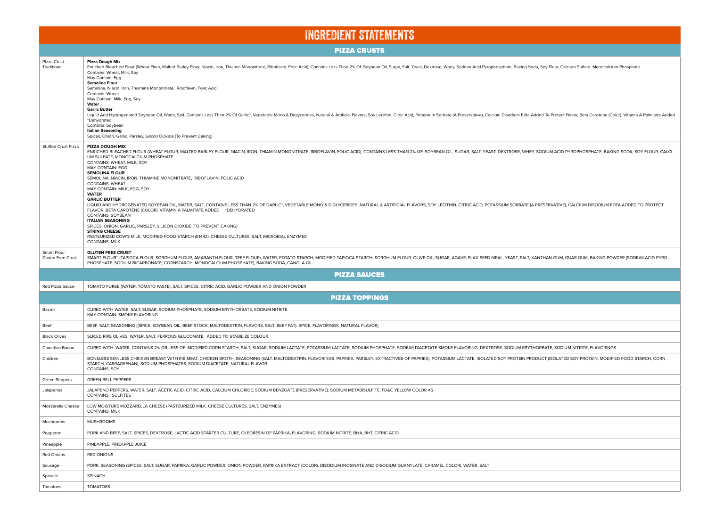| <b>INGREDIENT STATEMENTS</b>     |                                                                                                                                                                                                                                                                                                                                                                                                                                                                                                                                                                                                                                                                                                                                                                                                                                                                                                                                                                                                                                                                                                                                               |  |  |  |  |  |  |  |  |
|----------------------------------|-----------------------------------------------------------------------------------------------------------------------------------------------------------------------------------------------------------------------------------------------------------------------------------------------------------------------------------------------------------------------------------------------------------------------------------------------------------------------------------------------------------------------------------------------------------------------------------------------------------------------------------------------------------------------------------------------------------------------------------------------------------------------------------------------------------------------------------------------------------------------------------------------------------------------------------------------------------------------------------------------------------------------------------------------------------------------------------------------------------------------------------------------|--|--|--|--|--|--|--|--|
| <b>PIZZA CRUSTS</b>              |                                                                                                                                                                                                                                                                                                                                                                                                                                                                                                                                                                                                                                                                                                                                                                                                                                                                                                                                                                                                                                                                                                                                               |  |  |  |  |  |  |  |  |
| Pizza Crust -<br>Traditional     | Pizza Dough Mix<br>Enriched Bleached Flour (Wheat Flour, Malted Barley Flour, Niacin, Iron, Thiamin Mononitrate, Riboflavin, Folic Acid), Contains Less Than 2% Of: Soybean Oil, Sugar, Salt, Yeast, Dextrose, Whey, Sodium Acid Pyrophosphate, B<br>Contains: Wheat, Milk, Soy<br>May Contain: Egg<br><b>Semolina Flour</b><br>Semolina, Niacin, Iron, Thiamine Mononitrate, Riboflavin, Folic Acid<br>Contains: Wheat<br>May Contain: Milk, Egg, Soy<br>Water<br><b>Garlic Butter</b><br>Liquid And Hydrogenated Soybean Oil, Water, Salt, Contains Less Than 2% Of Garlic*, Vegetable Mono & Diglycerides, Natural & Artificial Flavors, Soy Lecithin, Citric Acid, Potassium Sorbate (A Preservative), Calcium Disodi<br>*Dehydrated<br>Contains: Soybean<br><b>Italian Seasoning</b><br>Spices, Onion, Garlic, Parsley, Silicon Dioxide (To Prevent Caking)                                                                                                                                                                                                                                                                              |  |  |  |  |  |  |  |  |
| <b>Stuffed Crust Pizza</b>       | PIZZA DOUGH MIX<br>ENRICHED BLEACHED FLOUR (WHEAT FLOUR, MALTED BARLEY FLOUR, NIACIN, IRON, THIAMIN MONONITRATE, RIBOFLAVIN, FOLIC ACID), CONTAINS LESS THAN 2% OF: SOYBEAN OIL, SUGAR, SALT, YEAST, DEXTROSE, WHEY, SODIUM ACID PYROPHOSPHATE, B<br>UM SULFATE, MONOCALCIUM PHOSPHATE<br>CONTAINS: WHEAT, MILK, SOY<br><b>MAY CONTAIN: EGG</b><br><b>SEMOLINA FLOUR</b><br>SEMOLINA, NIACIN, IRON, THIAMINE MONONITRATE, RIBOFLAVIN, FOLIC ACID<br><b>CONTAINS: WHEAT</b><br>MAY CONTAIN: MILK, EGG, SOY<br><b>WATER</b><br><b>GARLIC BUTTER</b><br>LIQUID AND HYDROGENATED SOYBEAN OIL, WATER, SALT, CONTAINS LESS THAN 2% OF GARLIC*, VEGETABLE MONO & DIGLYCERIDES, NATURAL & ARTIFICIAL FLAVORS, SOY LECITHIN, CITRIC ACID, POTASSIUM SORBATE (A PRESERVATIVE), CALCIUM DISODI<br>FLAVOR, BETA CAROTENE (COLOR), VITAMIN A PALMITATE ADDED *DEHYDRATED<br><b>CONTAINS: SOYBEAN</b><br><b>ITALIAN SEASONING</b><br>SPICES, ONION, GARLIC, PARSLEY, SILICON DIOXIDE (TO PREVENT CAKING)<br><b>STRING CHEESE</b><br>PASTEURIZED COW'S MILK, MODIFIED FOOD STARCH (E1442), CHEESE CULTURES, SALT, MICROBIAL ENZYMES<br><b>CONTAINS: MILK</b> |  |  |  |  |  |  |  |  |
| Smart Flour<br>Gluten Free Crust | <b>GLUTEN FREE CRUST</b><br>SMART FLOUR" (TAPIOCA FLOUR, SORGHUM FLOUR, AMARANTH FLOUR, TEFF FLOUR), WATER, POTATO STARCH, MODIFIED TAPIOCA STARCH, SORGHUM FLOUR, OLIVE OIL, SUGAR, AGAVE, FLAX SEED MEAL, YEAST, SALT, XANTHAN GUM, GUAR GUM, BAKING POW<br>PHOSPHATE, SODIUM BICARBONATE, CORNSTARCH, MONOCALCIUM PHOSPHATE), BAKING SODA, CANOLA OIL                                                                                                                                                                                                                                                                                                                                                                                                                                                                                                                                                                                                                                                                                                                                                                                      |  |  |  |  |  |  |  |  |
|                                  | <b>PIZZA SAUCES</b>                                                                                                                                                                                                                                                                                                                                                                                                                                                                                                                                                                                                                                                                                                                                                                                                                                                                                                                                                                                                                                                                                                                           |  |  |  |  |  |  |  |  |
| Red Pizza Sauce                  | TOMATO PUREE (WATER, TOMATO PASTE), SALT, SPICES, CITRIC ACID, GARLIC POWDER AND ONION POWDER                                                                                                                                                                                                                                                                                                                                                                                                                                                                                                                                                                                                                                                                                                                                                                                                                                                                                                                                                                                                                                                 |  |  |  |  |  |  |  |  |
|                                  | <b>PIZZA TOPPINGS</b>                                                                                                                                                                                                                                                                                                                                                                                                                                                                                                                                                                                                                                                                                                                                                                                                                                                                                                                                                                                                                                                                                                                         |  |  |  |  |  |  |  |  |
| Bacon                            | CURED WITH WATER, SALT, SUGAR, SODIUM PHOSPHATE, SODIUM ERYTHORBATE, SODIUM NITRITE<br>MAY CONTAIN: SMOKE FLAVORING                                                                                                                                                                                                                                                                                                                                                                                                                                                                                                                                                                                                                                                                                                                                                                                                                                                                                                                                                                                                                           |  |  |  |  |  |  |  |  |
| Beef                             | BEEF, SALT, SEASONING [(SPICE, SOYBEAN OIL, BEEF STOCK, MALTODEXTRIN, FLAVORS, SALT, BEEF FAT), SPICE, FLAVORINGS, NATURAL FLAVOR]                                                                                                                                                                                                                                                                                                                                                                                                                                                                                                                                                                                                                                                                                                                                                                                                                                                                                                                                                                                                            |  |  |  |  |  |  |  |  |
| <b>Black Olives</b>              | SLICED RIPE OLIVES, WATER, SALT, FERROUS GLUCONATE: ADDED TO STABILIZE COLOUR                                                                                                                                                                                                                                                                                                                                                                                                                                                                                                                                                                                                                                                                                                                                                                                                                                                                                                                                                                                                                                                                 |  |  |  |  |  |  |  |  |
| Canadian Bacon                   | CURED WITH: WATER, CONTAINS 2% OR LESS OF: MODIFIED CORN STARCH, SALT, SUGAR, SODIUM LACTATE, POTASSIUM LACTATE, SODIUM PHOSPHATE, SODIUM DIACETATE SMOKE FLAVORING, DEXTROSE, SODIUM ERYTHORBATE, SODIUM NITRITE, FLAVORINGS                                                                                                                                                                                                                                                                                                                                                                                                                                                                                                                                                                                                                                                                                                                                                                                                                                                                                                                 |  |  |  |  |  |  |  |  |
| Chicken                          | BONELESS SKINLESS CHICKEN BREAST WITH RIB MEAT, CHICKEN BROTH, SEASONING (SALT, MALTODEXTRIN, FLAVORINGS, PAPRIKA, PARSLEY, EXTRACTIVES OF PAPRIKA), POTASSIUM LACTATE, ISOLATED SOY PROTEIN PRODUCT (ISOLATED SOY PROTEIN, MO<br>STARCH, CARRAGEENAN), SODIUM PHOSPHATES, SODIUM DIACETATE, NATURAL FLAVOR<br><b>CONTAINS: SOY</b>                                                                                                                                                                                                                                                                                                                                                                                                                                                                                                                                                                                                                                                                                                                                                                                                           |  |  |  |  |  |  |  |  |
| <b>Green Peppers</b>             | <b>GREEN BELL PEPPERS</b>                                                                                                                                                                                                                                                                                                                                                                                                                                                                                                                                                                                                                                                                                                                                                                                                                                                                                                                                                                                                                                                                                                                     |  |  |  |  |  |  |  |  |
| Jalapenos                        | JALAPENO PEPPERS, WATER, SALT, ACETIC ACID, CITRIC ACID, CALCIUM CHLORIDE, SODIUM BENZOATE (PRESERVATIVE), SODIUM METABISULFITE, FD&C YELLOW COLOR #5<br><b>CONTAINS: SULFITES</b>                                                                                                                                                                                                                                                                                                                                                                                                                                                                                                                                                                                                                                                                                                                                                                                                                                                                                                                                                            |  |  |  |  |  |  |  |  |
| Mozzarella Cheese                | LOW MOISTURE MOZZARELLA CHEESE (PASTEURIZED MILK, CHEESE CULTURES, SALT, ENZYMES)<br><b>CONTAINS: MILK</b>                                                                                                                                                                                                                                                                                                                                                                                                                                                                                                                                                                                                                                                                                                                                                                                                                                                                                                                                                                                                                                    |  |  |  |  |  |  |  |  |
| Mushrooms                        | <b>MUSHROOMS</b>                                                                                                                                                                                                                                                                                                                                                                                                                                                                                                                                                                                                                                                                                                                                                                                                                                                                                                                                                                                                                                                                                                                              |  |  |  |  |  |  |  |  |
| Pepperoni                        | PORK AND BEEF, SALT, SPICES, DEXTROSE, LACTIC ACID STARTER CULTURE, OLEORESIN OF PAPRIKA, FLAVORING, SODIUM NITRITE, BHA, BHT, CITRIC ACID                                                                                                                                                                                                                                                                                                                                                                                                                                                                                                                                                                                                                                                                                                                                                                                                                                                                                                                                                                                                    |  |  |  |  |  |  |  |  |
| Pineapple                        | PINEAPPLE, PINEAPPLE JUICE                                                                                                                                                                                                                                                                                                                                                                                                                                                                                                                                                                                                                                                                                                                                                                                                                                                                                                                                                                                                                                                                                                                    |  |  |  |  |  |  |  |  |
| <b>Red Onions</b>                | <b>RED ONIONS</b>                                                                                                                                                                                                                                                                                                                                                                                                                                                                                                                                                                                                                                                                                                                                                                                                                                                                                                                                                                                                                                                                                                                             |  |  |  |  |  |  |  |  |
| Sausage                          | PORK, SEASONING (SPICES, SALT, SUGAR, PAPRIKA, GARLIC POWDER, ONION POWDER, PAPRIKA EXTRACT (COLOR), DISODIUM INOSINATE AND DISODIUM GUANYLATE, CARAMEL COLOR), WATER, SALT                                                                                                                                                                                                                                                                                                                                                                                                                                                                                                                                                                                                                                                                                                                                                                                                                                                                                                                                                                   |  |  |  |  |  |  |  |  |
| Spinach                          | SPINACH                                                                                                                                                                                                                                                                                                                                                                                                                                                                                                                                                                                                                                                                                                                                                                                                                                                                                                                                                                                                                                                                                                                                       |  |  |  |  |  |  |  |  |
| Tomatoes                         | <b>TOMATOES</b>                                                                                                                                                                                                                                                                                                                                                                                                                                                                                                                                                                                                                                                                                                                                                                                                                                                                                                                                                                                                                                                                                                                               |  |  |  |  |  |  |  |  |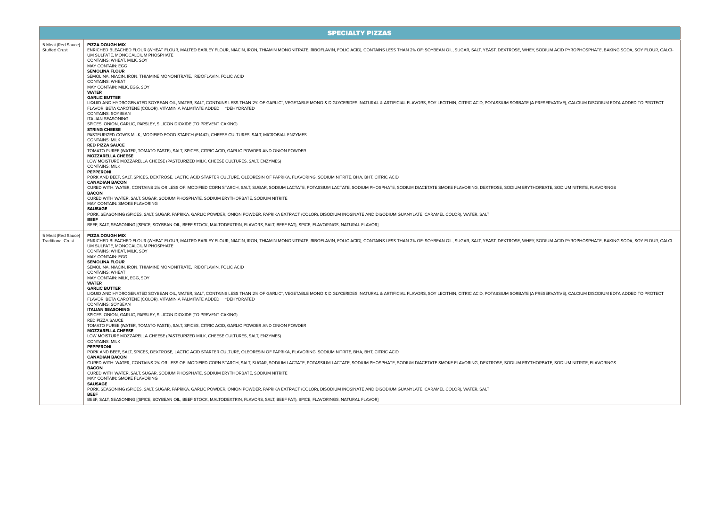SPECIALTY PIZZAS

| 5 Meat (Red Sauce)<br><b>Stuffed Crust</b> | PIZZA DOUGH MIX<br>ENRICHED BLEACHED FLOUR (WHEAT FLOUR, MALTED BARLEY FLOUR, NIACIN, IRON, THIAMIN MONONITRATE, RIBOFLAVIN, FOLIC ACID), CONTAINS LESS THAN 2% OF: SOYBEAN OIL, SUGAR, SALT, YEAST, DEXTROSE, WHEY, SODIUM ACID PYROPHOSPHATE, B<br>UM SULFATE. MONOCALCIUM PHOSPHATE                                             |
|--------------------------------------------|------------------------------------------------------------------------------------------------------------------------------------------------------------------------------------------------------------------------------------------------------------------------------------------------------------------------------------|
|                                            | CONTAINS: WHEAT, MILK, SOY                                                                                                                                                                                                                                                                                                         |
|                                            | <b>MAY CONTAIN: EGG</b><br><b>SEMOLINA FLOUR</b>                                                                                                                                                                                                                                                                                   |
|                                            | SEMOLINA, NIACIN, IRON, THIAMINE MONONITRATE, RIBOFLAVIN, FOLIC ACID                                                                                                                                                                                                                                                               |
|                                            | <b>CONTAINS: WHEAT</b><br>MAY CONTAIN: MILK, EGG, SOY                                                                                                                                                                                                                                                                              |
|                                            | <b>WATER</b>                                                                                                                                                                                                                                                                                                                       |
|                                            | <b>GARLIC BUTTER</b><br>LIQUID AND HYDROGENATED SOYBEAN OIL, WATER, SALT, CONTAINS LESS THAN 2% OF GARLIC*, VEGETABLE MONO & DIGLYCERIDES, NATURAL & ARTIFICIAL FLAVORS, SOY LECITHIN, CITRIC ACID, POTASSIUM SORBATE (A PRESERVATIVE), CALCIUM DISODI                                                                             |
|                                            | FLAVOR, BETA CAROTENE (COLOR), VITAMIN A PALMITATE ADDED *DEHYDRATED<br><b>CONTAINS: SOYBEAN</b>                                                                                                                                                                                                                                   |
|                                            | <b>ITALIAN SEASONING</b><br>SPICES, ONION, GARLIC, PARSLEY, SILICON DIOXIDE (TO PREVENT CAKING)                                                                                                                                                                                                                                    |
|                                            | <b>STRING CHEESE</b>                                                                                                                                                                                                                                                                                                               |
|                                            | PASTEURIZED COW'S MILK, MODIFIED FOOD STARCH (E1442), CHEESE CULTURES, SALT, MICROBIAL ENZYMES<br><b>CONTAINS: MILK</b><br><b>RED PIZZA SAUCE</b>                                                                                                                                                                                  |
|                                            | TOMATO PUREE (WATER, TOMATO PASTE), SALT, SPICES, CITRIC ACID, GARLIC POWDER AND ONION POWDER                                                                                                                                                                                                                                      |
|                                            | <b>MOZZARELLA CHEESE</b><br>LOW MOISTURE MOZZARELLA CHEESE (PASTEURIZED MILK, CHEESE CULTURES, SALT, ENZYMES)                                                                                                                                                                                                                      |
|                                            | <b>CONTAINS: MILK</b>                                                                                                                                                                                                                                                                                                              |
|                                            | <b>PEPPERONI</b><br>PORK AND BEEF, SALT, SPICES, DEXTROSE, LACTIC ACID STARTER CULTURE, OLEORESIN OF PAPRIKA, FLAVORING, SODIUM NITRITE, BHA, BHT, CITRIC ACID                                                                                                                                                                     |
|                                            | <b>CANADIAN BACON</b>                                                                                                                                                                                                                                                                                                              |
|                                            | CURED WITH: WATER, CONTAINS 2% OR LESS OF: MODIFIED CORN STARCH, SALT, SUGAR, SODIUM LACTATE, POTASSIUM LACTATE, SODIUM PHOSPHATE, SODIUM DIACETATE SMOKE FLAVORING, DEXTROSE, SODIUM ERYTHORBATE, SODIUM NITRITE, FLAVORINGS<br><b>BACON</b>                                                                                      |
|                                            | CURED WITH WATER, SALT, SUGAR, SODIUM PHOSPHATE, SODIUM ERYTHORBATE, SODIUM NITRITE                                                                                                                                                                                                                                                |
|                                            | MAY CONTAIN: SMOKE FLAVORING<br><b>SAUSAGE</b>                                                                                                                                                                                                                                                                                     |
|                                            | PORK, SEASONING (SPICES, SALT, SUGAR, PAPRIKA, GARLIC POWDER, ONION POWDER, PAPRIKA EXTRACT (COLOR), DISODIUM INOSINATE AND DISODIUM GUANYLATE, CARAMEL COLOR), WATER, SALT<br><b>BEEF</b>                                                                                                                                         |
|                                            | BEEF, SALT, SEASONING [(SPICE, SOYBEAN OIL, BEEF STOCK, MALTODEXTRIN, FLAVORS, SALT, BEEF FAT), SPICE, FLAVORINGS, NATURAL FLAVOR]                                                                                                                                                                                                 |
| 5 Meat (Red Sauce)                         | PIZZA DOUGH MIX                                                                                                                                                                                                                                                                                                                    |
| <b>Traditional Crust</b>                   | ENRICHED BLEACHED FLOUR (WHEAT FLOUR, MALTED BARLEY FLOUR, NIACIN, IRON, THIAMIN MONONITRATE, RIBOFLAVIN, FOLIC ACID), CONTAINS LESS THAN 2% OF: SOYBEAN OIL, SUGAR, SALT, YEAST, DEXTROSE, WHEY, SODIUM ACID PYROPHOSPHATE, B                                                                                                     |
|                                            | UM SULFATE, MONOCALCIUM PHOSPHATE<br>CONTAINS: WHEAT, MILK, SOY                                                                                                                                                                                                                                                                    |
|                                            | <b>MAY CONTAIN: EGG</b>                                                                                                                                                                                                                                                                                                            |
|                                            | <b>SEMOLINA FLOUR</b><br>SEMOLINA, NIACIN, IRON, THIAMINE MONONITRATE, RIBOFLAVIN, FOLIC ACID                                                                                                                                                                                                                                      |
|                                            | <b>CONTAINS: WHEAT</b>                                                                                                                                                                                                                                                                                                             |
|                                            | MAY CONTAIN: MILK, EGG, SOY<br><b>WATER</b>                                                                                                                                                                                                                                                                                        |
|                                            | <b>GARLIC BUTTER</b>                                                                                                                                                                                                                                                                                                               |
|                                            | LIQUID AND HYDROGENATED SOYBEAN OIL, WATER, SALT, CONTAINS LESS THAN 2% OF GARLIC*, VEGETABLE MONO & DIGLYCERIDES, NATURAL & ARTIFICIAL FLAVORS, SOY LECITHIN, CITRIC ACID, POTASSIUM SORBATE (A PRESERVATIVE), CALCIUM DISODI<br>FLAVOR, BETA CAROTENE (COLOR), VITAMIN A PALMITATE ADDED *DEHYDRATED<br><b>CONTAINS: SOYBEAN</b> |
|                                            | <b>ITALIAN SEASONING</b>                                                                                                                                                                                                                                                                                                           |
|                                            | SPICES, ONION, GARLIC, PARSLEY, SILICON DIOXIDE (TO PREVENT CAKING)<br>RED PIZZA SAUCE                                                                                                                                                                                                                                             |
|                                            | TOMATO PUREE (WATER, TOMATO PASTE), SALT, SPICES, CITRIC ACID, GARLIC POWDER AND ONION POWDER                                                                                                                                                                                                                                      |
|                                            | <b>MOZZARELLA CHEESE</b><br>LOW MOISTURE MOZZARELLA CHEESE (PASTEURIZED MILK, CHEESE CULTURES, SALT, ENZYMES)                                                                                                                                                                                                                      |
|                                            | <b>CONTAINS: MILK</b>                                                                                                                                                                                                                                                                                                              |
|                                            | <b>PEPPERONI</b><br>PORK AND BEEF, SALT, SPICES, DEXTROSE, LACTIC ACID STARTER CULTURE, OLEORESIN OF PAPRIKA, FLAVORING, SODIUM NITRITE, BHA, BHT, CITRIC ACID                                                                                                                                                                     |
|                                            | <b>CANADIAN BACON</b><br>CURED WITH: WATER, CONTAINS 2% OR LESS OF: MODIFIED CORN STARCH, SALT, SUGAR, SODIUM LACTATE, POTASSIUM LACTATE, SODIUM PHOSPHATE, SODIUM DIACETATE SMOKE FLAVORING, DEXTROSE, SODIUM ERYTHORBATE, SODIUM NITRITE, FLAVORINGS                                                                             |
|                                            | <b>BACON</b>                                                                                                                                                                                                                                                                                                                       |
|                                            | CURED WITH WATER, SALT, SUGAR, SODIUM PHOSPHATE, SODIUM ERYTHORBATE, SODIUM NITRITE<br>MAY CONTAIN: SMOKE FLAVORING<br><b>SAUSAGE</b>                                                                                                                                                                                              |
|                                            | PORK, SEASONING (SPICES, SALT, SUGAR, PAPRIKA, GARLIC POWDER, ONION POWDER, PAPRIKA EXTRACT (COLOR), DISODIUM INOSINATE AND DISODIUM GUANYLATE, CARAMEL COLOR), WATER, SALT                                                                                                                                                        |
|                                            | <b>BEEF</b><br>BEEF, SALT, SEASONING I(SPICE, SOYBEAN OIL, BEEF STOCK, MALTODEXTRIN, FLAVORS, SALT, BEEF FAT), SPICE, FLAVORINGS, NATURAL FLAVORI                                                                                                                                                                                  |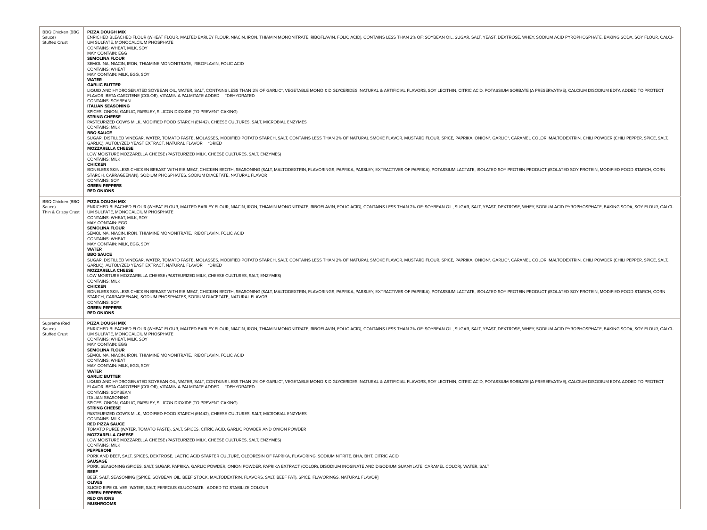| <b>BBQ Chicken (BBQ</b><br>Sauce) | <b>PIZZA DOUGH MIX</b><br>ENRICHED BLEACHED FLOUR (WHEAT FLOUR, MALTED BARLEY FLOUR, NIACIN, IRON, THIAMIN MONONITRATE, RIBOFLAVIN, FOLIC ACID), CONTAINS LESS THAN 2% OF: SOYBEAN OIL, SUGAR, SALT, YEAST, DEXTROSE, WHEY, SODIUM ACID PYROPHOSPHATE, B                                                                           |
|-----------------------------------|------------------------------------------------------------------------------------------------------------------------------------------------------------------------------------------------------------------------------------------------------------------------------------------------------------------------------------|
| <b>Stuffed Crust</b>              | UM SULFATE, MONOCALCIUM PHOSPHATE<br>CONTAINS: WHEAT, MILK, SOY                                                                                                                                                                                                                                                                    |
|                                   | MAY CONTAIN: EGG<br><b>SEMOLINA FLOUR</b>                                                                                                                                                                                                                                                                                          |
|                                   | SEMOLINA, NIACIN, IRON, THIAMINE MONONITRATE, RIBOFLAVIN, FOLIC ACID<br><b>CONTAINS: WHEAT</b>                                                                                                                                                                                                                                     |
|                                   | MAY CONTAIN: MILK, EGG, SOY<br><b>WATER</b>                                                                                                                                                                                                                                                                                        |
|                                   | <b>GARLIC BUTTER</b>                                                                                                                                                                                                                                                                                                               |
|                                   | LIQUID AND HYDROGENATED SOYBEAN OIL, WATER, SALT, CONTAINS LESS THAN 2% OF GARLIC*, VEGETABLE MONO & DIGLYCERIDES, NATURAL & ARTIFICIAL FLAVORS, SOY LECITHIN, CITRIC ACID, POTASSIUM SORBATE (A PRESERVATIVE), CALCIUM DISODI<br>FLAVOR, BETA CAROTENE (COLOR), VITAMIN A PALMITATE ADDED *DEHYDRATED<br><b>CONTAINS: SOYBEAN</b> |
|                                   | <b>ITALIAN SEASONING</b><br>SPICES, ONION, GARLIC, PARSLEY, SILICON DIOXIDE (TO PREVENT CAKING)                                                                                                                                                                                                                                    |
|                                   | <b>STRING CHEESE</b>                                                                                                                                                                                                                                                                                                               |
|                                   | PASTEURIZED COW'S MILK, MODIFIED FOOD STARCH (E1442), CHEESE CULTURES, SALT, MICROBIAL ENZYMES<br><b>CONTAINS: MILK</b>                                                                                                                                                                                                            |
|                                   | <b>BBQ SAUCE</b><br>SUGAR, DISTILLED VINEGAR, WATER, TOMATO PASTE, MOLASSES, MODIFIED POTATO STARCH, SALT, CONTAINS LESS THAN 2% OF NATURAL SMOKE FLAVOR, MUSTARD FLOUR, SPICE, PAPRIKA, ONION*, GARLIC*, CARAMEL COLOR, MALTODEXTRIN, CHILI POWDE<br>GARLIC), AUTOLYZED YEAST EXTRACT, NATURAL FLAVOR. *DRIED                     |
|                                   | <b>MOZZARELLA CHEESE</b><br>LOW MOISTURE MOZZARELLA CHEESE (PASTEURIZED MILK, CHEESE CULTURES, SALT, ENZYMES)<br><b>CONTAINS: MILK</b>                                                                                                                                                                                             |
|                                   | <b>CHICKEN</b><br>BONELESS SKINLESS CHICKEN BREAST WITH RIB MEAT, CHICKEN BROTH, SEASONING (SALT, MALTODEXTRIN, FLAVORINGS, PAPRIKA, PARSLEY, EXTRACTIVES OF PAPRIKA), POTASSIUM LACTATE, ISOLATED SOY PROTEIN PRODUCT (ISOLATED SOY PROTEIN, MO                                                                                   |
|                                   | STARCH, CARRAGEENAN), SODIUM PHOSPHATES, SODIUM DIACETATE, NATURAL FLAVOR<br><b>CONTAINS: SOY</b>                                                                                                                                                                                                                                  |
|                                   | <b>GREEN PEPPERS</b><br><b>RED ONIONS</b>                                                                                                                                                                                                                                                                                          |
| <b>BBQ Chicken (BBQ</b>           | <b>PIZZA DOUGH MIX</b>                                                                                                                                                                                                                                                                                                             |
| Sauce)<br>Thin & Crispy Crust     | ENRICHED BLEACHED FLOUR (WHEAT FLOUR, MALTED BARLEY FLOUR, NIACIN, IRON, THIAMIN MONONITRATE, RIBOFLAVIN, FOLIC ACID), CONTAINS LESS THAN 2% OF: SOYBEAN OIL, SUGAR, SALT, YEAST, DEXTROSE, WHEY, SODIUM ACID PYROPHOSPHATE, B<br>UM SULFATE, MONOCALCIUM PHOSPHATE                                                                |
|                                   | CONTAINS: WHEAT, MILK, SOY<br><b>MAY CONTAIN: EGG</b>                                                                                                                                                                                                                                                                              |
|                                   | <b>SEMOLINA FLOUR</b><br>SEMOLINA, NIACIN, IRON, THIAMINE MONONITRATE, RIBOFLAVIN, FOLIC ACID                                                                                                                                                                                                                                      |
|                                   | <b>CONTAINS: WHEAT</b>                                                                                                                                                                                                                                                                                                             |
|                                   | MAY CONTAIN: MILK, EGG, SOY<br><b>WATER</b>                                                                                                                                                                                                                                                                                        |
|                                   | <b>BBQ SAUCE</b><br>SUGAR, DISTILLED VINEGAR, WATER, TOMATO PASTE, MOLASSES, MODIFIED POTATO STARCH, SALT, CONTAINS LESS THAN 2% OF NATURAL SMOKE FLAVOR, MUSTARD FLOUR, SPICE, PAPRIKA, ONION*, GARLIC*, CARAMEL COLOR, MALTODEXTRIN, CHILI POWDE                                                                                 |
|                                   | GARLIC), AUTOLYZED YEAST EXTRACT, NATURAL FLAVOR. *DRIED<br><b>MOZZARELLA CHEESE</b>                                                                                                                                                                                                                                               |
|                                   | LOW MOISTURE MOZZARELLA CHEESE (PASTEURIZED MILK, CHEESE CULTURES, SALT, ENZYMES)<br><b>CONTAINS: MILK</b>                                                                                                                                                                                                                         |
|                                   | <b>CHICKEN</b>                                                                                                                                                                                                                                                                                                                     |
|                                   | BONELESS SKINLESS CHICKEN BREAST WITH RIB MEAT, CHICKEN BROTH, SEASONING (SALT, MALTODEXTRIN, FLAVORINGS, PAPRIKA, PARSLEY, EXTRACTIVES OF PAPRIKA), POTASSIUM LACTATE, ISOLATED SOY PROTEIN PRODUCT (ISOLATED SOY PROTEIN, MO<br>STARCH, CARRAGEENAN), SODIUM PHOSPHATES, SODIUM DIACETATE, NATURAL FLAVOR                        |
|                                   | <b>CONTAINS: SOY</b><br><b>GREEN PEPPERS</b>                                                                                                                                                                                                                                                                                       |
|                                   | <b>RED ONIONS</b>                                                                                                                                                                                                                                                                                                                  |
| Supreme (Red<br>Sauce)            | <b>PIZZA DOUGH MIX</b><br>ENRICHED BLEACHED FLOUR (WHEAT FLOUR, MALTED BARLEY FLOUR, NIACIN, IRON, THIAMIN MONONITRATE, RIBOFLAVIN, FOLIC ACID), CONTAINS LESS THAN 2% OF: SOYBEAN OIL, SUGAR, SALT, YEAST, DEXTROSE, WHEY, SODIUM ACID PYROPHOSPHATE, B                                                                           |
| <b>Stuffed Crust</b>              | UM SULFATE, MONOCALCIUM PHOSPHATE<br>CONTAINS: WHEAT, MILK, SOY                                                                                                                                                                                                                                                                    |
|                                   | <b>MAY CONTAIN: EGG</b>                                                                                                                                                                                                                                                                                                            |
|                                   | <b>SEMOLINA FLOUR</b><br>SEMOLINA, NIACIN, IRON, THIAMINE MONONITRATE, RIBOFLAVIN, FOLIC ACID                                                                                                                                                                                                                                      |
|                                   | <b>CONTAINS: WHEAT</b><br>MAY CONTAIN: MILK, EGG, SOY                                                                                                                                                                                                                                                                              |
|                                   | <b>WATER</b><br><b>GARLIC BUTTER</b>                                                                                                                                                                                                                                                                                               |
|                                   | LIQUID AND HYDROGENATED SOYBEAN OIL, WATER, SALT, CONTAINS LESS THAN 2% OF GARLIC*, VEGETABLE MONO & DIGLYCERIDES, NATURAL & ARTIFICIAL FLAVORS, SOY LECITHIN, CITRIC ACID, POTASSIUM SORBATE (A PRESERVATIVE), CALCIUM DISODI<br>FLAVOR, BETA CAROTENE (COLOR), VITAMIN A PALMITATE ADDED *DEHYDRATED                             |
|                                   | <b>CONTAINS: SOYBEAN</b>                                                                                                                                                                                                                                                                                                           |
|                                   | <b>ITALIAN SEASONING</b><br>SPICES, ONION, GARLIC, PARSLEY, SILICON DIOXIDE (TO PREVENT CAKING)                                                                                                                                                                                                                                    |
|                                   | <b>STRING CHEESE</b><br>PASTEURIZED COW'S MILK, MODIFIED FOOD STARCH (E1442), CHEESE CULTURES, SALT, MICROBIAL ENZYMES                                                                                                                                                                                                             |
|                                   | <b>CONTAINS: MILK</b><br><b>RED PIZZA SAUCE</b>                                                                                                                                                                                                                                                                                    |
|                                   | TOMATO PUREE (WATER, TOMATO PASTE), SALT, SPICES, CITRIC ACID, GARLIC POWDER AND ONION POWDER<br><b>MOZZARELLA CHEESE</b>                                                                                                                                                                                                          |
|                                   | LOW MOISTURE MOZZARELLA CHEESE (PASTEURIZED MILK, CHEESE CULTURES, SALT, ENZYMES)<br><b>CONTAINS: MILK</b>                                                                                                                                                                                                                         |
|                                   | <b>PEPPERONI</b><br>PORK AND BEEF, SALT, SPICES, DEXTROSE, LACTIC ACID STARTER CULTURE, OLEORESIN OF PAPRIKA, FLAVORING, SODIUM NITRITE, BHA, BHT, CITRIC ACID                                                                                                                                                                     |
|                                   | <b>SAUSAGE</b><br>PORK, SEASONING (SPICES, SALT, SUGAR, PAPRIKA, GARLIC POWDER, ONION POWDER, PAPRIKA EXTRACT (COLOR), DISODIUM INOSINATE AND DISODIUM GUANYLATE, CARAMEL COLOR), WATER, SALT                                                                                                                                      |
|                                   | <b>BEEF</b><br>BEEF, SALT, SEASONING [(SPICE, SOYBEAN OIL, BEEF STOCK, MALTODEXTRIN, FLAVORS, SALT, BEEF FAT), SPICE, FLAVORINGS, NATURAL FLAVOR]                                                                                                                                                                                  |
|                                   | <b>OLIVES</b><br>SLICED RIPE OLIVES, WATER, SALT, FERROUS GLUCONATE: ADDED TO STABILIZE COLOUR                                                                                                                                                                                                                                     |
|                                   | <b>GREEN PEPPERS</b><br><b>RED ONIONS</b>                                                                                                                                                                                                                                                                                          |
|                                   | <b>MUSHROOMS</b>                                                                                                                                                                                                                                                                                                                   |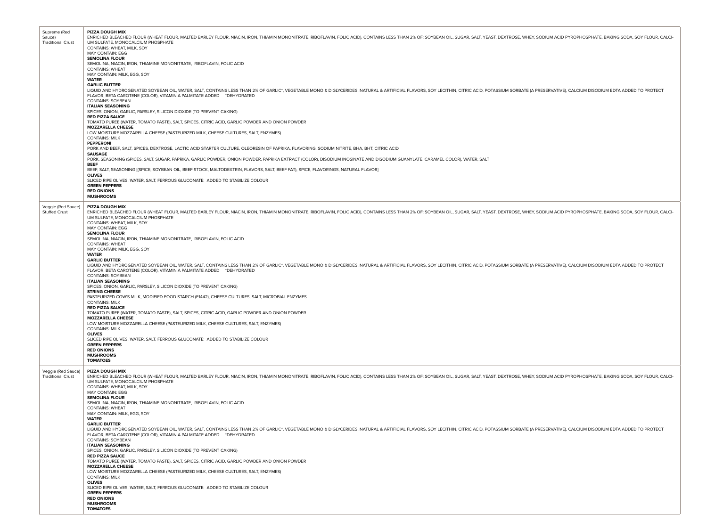| Supreme (Red<br>Sauce)<br><b>Traditional Crust</b> | <b>PIZZA DOUGH MIX</b><br>ENRICHED BLEACHED FLOUR (WHEAT FLOUR, MALTED BARLEY FLOUR, NIACIN, IRON, THIAMIN MONONITRATE, RIBOFLAVIN, FOLIC ACID), CONTAINS LESS THAN 2% OF: SOYBEAN OIL, SUGAR, SALT, YEAST, DEXTROSE, WHEY, SODIUM ACID PYROPHOSPHATE, B<br>UM SULFATE, MONOCALCIUM PHOSPHATE<br>CONTAINS: WHEAT, MILK, SOY<br>MAY CONTAIN: EGG<br><b>SEMOLINA FLOUR</b><br>SEMOLINA, NIACIN, IRON, THIAMINE MONONITRATE, RIBOFLAVIN, FOLIC ACID<br><b>CONTAINS: WHEAT</b><br>MAY CONTAIN: MILK, EGG, SOY |
|----------------------------------------------------|-----------------------------------------------------------------------------------------------------------------------------------------------------------------------------------------------------------------------------------------------------------------------------------------------------------------------------------------------------------------------------------------------------------------------------------------------------------------------------------------------------------|
|                                                    | <b>WATER</b><br><b>GARLIC BUTTER</b><br>LIQUID AND HYDROGENATED SOYBEAN OIL, WATER, SALT, CONTAINS LESS THAN 2% OF GARLIC*, VEGETABLE MONO & DIGLYCERIDES, NATURAL & ARTIFICIAL FLAVORS, SOY LECITHIN, CITRIC ACID, POTASSIUM SORBATE (A PRESERVATIVE), CALCIUM DISODI<br>FLAVOR, BETA CAROTENE (COLOR), VITAMIN A PALMITATE ADDED *DEHYDRATED<br><b>CONTAINS: SOYBEAN</b><br><b>ITALIAN SEASONING</b><br>SPICES, ONION, GARLIC, PARSLEY, SILICON DIOXIDE (TO PREVENT CAKING)                             |
|                                                    | <b>RED PIZZA SAUCE</b><br>TOMATO PUREE (WATER, TOMATO PASTE), SALT, SPICES, CITRIC ACID, GARLIC POWDER AND ONION POWDER<br><b>MOZZARELLA CHEESE</b><br>LOW MOISTURE MOZZARELLA CHEESE (PASTEURIZED MILK, CHEESE CULTURES, SALT, ENZYMES)                                                                                                                                                                                                                                                                  |
|                                                    | <b>CONTAINS: MILK</b><br>PEPPERONI<br>PORK AND BEEF, SALT, SPICES, DEXTROSE, LACTIC ACID STARTER CULTURE, OLEORESIN OF PAPRIKA, FLAVORING, SODIUM NITRITE, BHA, BHT, CITRIC ACID                                                                                                                                                                                                                                                                                                                          |
|                                                    | <b>SAUSAGE</b><br>PORK, SEASONING (SPICES, SALT, SUGAR, PAPRIKA, GARLIC POWDER, ONION POWDER, PAPRIKA EXTRACT (COLOR), DISODIUM INOSINATE AND DISODIUM GUANYLATE, CARAMEL COLOR), WATER, SALT                                                                                                                                                                                                                                                                                                             |
|                                                    | <b>BEEF</b><br>BEEF, SALT, SEASONING [(SPICE, SOYBEAN OIL, BEEF STOCK, MALTODEXTRIN, FLAVORS, SALT, BEEF FAT), SPICE, FLAVORINGS, NATURAL FLAVOR]                                                                                                                                                                                                                                                                                                                                                         |
|                                                    | <b>OLIVES</b><br>SLICED RIPE OLIVES, WATER, SALT, FERROUS GLUCONATE: ADDED TO STABILIZE COLOUR                                                                                                                                                                                                                                                                                                                                                                                                            |
|                                                    | <b>GREEN PEPPERS</b><br><b>RED ONIONS</b><br><b>MUSHROOMS</b>                                                                                                                                                                                                                                                                                                                                                                                                                                             |
| Veggie (Red Sauce)<br><b>Stuffed Crust</b>         | PIZZA DOUGH MIX<br>ENRICHED BLEACHED FLOUR (WHEAT FLOUR, MALTED BARLEY FLOUR, NIACIN, IRON, THIAMIN MONONITRATE, RIBOFLAVIN, FOLIC ACID), CONTAINS LESS THAN 2% OF: SOYBEAN OIL, SUGAR, SALT, YEAST, DEXTROSE, WHEY, SODIUM ACID PYROPHOSPHATE, B<br>UM SULFATE, MONOCALCIUM PHOSPHATE                                                                                                                                                                                                                    |
|                                                    | CONTAINS: WHEAT, MILK, SOY<br>MAY CONTAIN: EGG<br><b>SEMOLINA FLOUR</b><br>SEMOLINA, NIACIN, IRON, THIAMINE MONONITRATE, RIBOFLAVIN, FOLIC ACID                                                                                                                                                                                                                                                                                                                                                           |
|                                                    | <b>CONTAINS: WHEAT</b><br>MAY CONTAIN: MILK, EGG, SOY                                                                                                                                                                                                                                                                                                                                                                                                                                                     |
|                                                    | <b>WATER</b><br><b>GARLIC BUTTER</b><br>LIQUID AND HYDROGENATED SOYBEAN OIL, WATER, SALT, CONTAINS LESS THAN 2% OF GARLIC*, VEGETABLE MONO & DIGLYCERIDES, NATURAL & ARTIFICIAL FLAVORS, SOY LECITHIN, CITRIC ACID, POTASSIUM SORBATE (A PRESERVATIVE), CALCIUM DISODI<br>FLAVOR, BETA CAROTENE (COLOR), VITAMIN A PALMITATE ADDED *DEHYDRATED<br><b>CONTAINS: SOYBEAN</b>                                                                                                                                |
|                                                    | <b>ITALIAN SEASONING</b><br>SPICES, ONION, GARLIC, PARSLEY, SILICON DIOXIDE (TO PREVENT CAKING)<br><b>STRING CHEESE</b>                                                                                                                                                                                                                                                                                                                                                                                   |
|                                                    | PASTEURIZED COW'S MILK, MODIFIED FOOD STARCH (E1442), CHEESE CULTURES, SALT, MICROBIAL ENZYMES<br><b>CONTAINS: MILK</b><br><b>RED PIZZA SAUCE</b>                                                                                                                                                                                                                                                                                                                                                         |
|                                                    | TOMATO PUREE (WATER, TOMATO PASTE), SALT, SPICES, CITRIC ACID, GARLIC POWDER AND ONION POWDER<br><b>MOZZARELLA CHEESE</b>                                                                                                                                                                                                                                                                                                                                                                                 |
|                                                    | LOW MOISTURE MOZZARELLA CHEESE (PASTEURIZED MILK, CHEESE CULTURES, SALT, ENZYMES)<br><b>CONTAINS: MILK</b><br><b>OLIVES</b>                                                                                                                                                                                                                                                                                                                                                                               |
|                                                    | SLICED RIPE OLIVES, WATER, SALT, FERROUS GLUCONATE: ADDED TO STABILIZE COLOUR<br><b>GREEN PEPPERS</b>                                                                                                                                                                                                                                                                                                                                                                                                     |
|                                                    | <b>RED ONIONS</b><br><b>MUSHROOMS</b><br><b>TOMATOES</b>                                                                                                                                                                                                                                                                                                                                                                                                                                                  |
| Veggie (Red Sauce)<br><b>Traditional Crust</b>     | PIZZA DOUGH MIX<br>ENRICHED BLEACHED FLOUR (WHEAT FLOUR, MALTED BARLEY FLOUR, NIACIN, IRON, THIAMIN MONONITRATE, RIBOFLAVIN, FOLIC ACID), CONTAINS LESS THAN 2% OF: SOYBEAN OIL, SUGAR, SALT, YEAST, DEXTROSE, WHEY, SODIUM ACID PYROPHOSPHATE, B<br>UM SULFATE. MONOCALCIUM PHOSPHATE<br>CONTAINS: WHEAT, MILK, SOY<br>MAY CONTAIN: EGG                                                                                                                                                                  |
|                                                    | <b>SEMOLINA FLOUR</b><br>SEMOLINA, NIACIN, IRON, THIAMINE MONONITRATE, RIBOFLAVIN, FOLIC ACID<br><b>CONTAINS: WHEAT</b><br>MAY CONTAIN: MILK, EGG, SOY                                                                                                                                                                                                                                                                                                                                                    |
|                                                    | <b>WATER</b><br><b>GARLIC BUTTER</b><br>LIQUID AND HYDROGENATED SOYBEAN OIL, WATER, SALT, CONTAINS LESS THAN 2% OF GARLIC*, VEGETABLE MONO & DIGLYCERIDES, NATURAL & ARTIFICIAL FLAVORS, SOY LECITHIN, CITRIC ACID, POTASSIUM SORBATE (A PRESERVATIVE), CALCIUM DISODI                                                                                                                                                                                                                                    |
|                                                    | FLAVOR, BETA CAROTENE (COLOR), VITAMIN A PALMITATE ADDED *DEHYDRATED<br><b>CONTAINS: SOYBEAN</b><br><b>ITALIAN SEASONING</b><br>SPICES, ONION, GARLIC, PARSLEY, SILICON DIOXIDE (TO PREVENT CAKING)                                                                                                                                                                                                                                                                                                       |
|                                                    | <b>RED PIZZA SAUCE</b><br>TOMATO PUREE (WATER, TOMATO PASTE), SALT, SPICES, CITRIC ACID, GARLIC POWDER AND ONION POWDER                                                                                                                                                                                                                                                                                                                                                                                   |
|                                                    | <b>MOZZARELLA CHEESE</b><br>LOW MOISTURE MOZZARELLA CHEESE (PASTEURIZED MILK, CHEESE CULTURES, SALT, ENZYMES)                                                                                                                                                                                                                                                                                                                                                                                             |
|                                                    | <b>CONTAINS: MILK</b><br><b>OLIVES</b><br>SLICED RIPE OLIVES, WATER, SALT, FERROUS GLUCONATE: ADDED TO STABILIZE COLOUR                                                                                                                                                                                                                                                                                                                                                                                   |
|                                                    | <b>GREEN PEPPERS</b><br><b>RED ONIONS</b>                                                                                                                                                                                                                                                                                                                                                                                                                                                                 |
|                                                    | <b>MUSHROOMS</b><br><b>TOMATOES</b>                                                                                                                                                                                                                                                                                                                                                                                                                                                                       |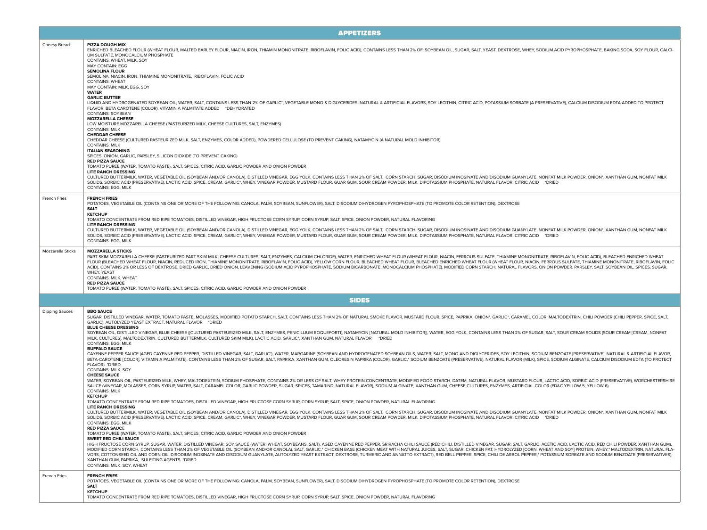|                       | <b>APPETIZERS</b>                                                                                                                                                                                                                                                                                                                                                                                                                                                                                                                                                                                                                                                                                                                                                                                                                                                                                                                                                                                                                                                                                                                                                                                                                                                                                                                                                                                                                                                                                                                                                                                                                                                                                                                                                                                                                                                                                                                                                                                                                                                                                                                                                                                                                                                                                                                                                                                                                                                                                                                                                                                                                                                                                                                                                                                                                                                                                                                                                                                                                                                                                                                                                                                                                                                                                                                                                                                                                  |
|-----------------------|------------------------------------------------------------------------------------------------------------------------------------------------------------------------------------------------------------------------------------------------------------------------------------------------------------------------------------------------------------------------------------------------------------------------------------------------------------------------------------------------------------------------------------------------------------------------------------------------------------------------------------------------------------------------------------------------------------------------------------------------------------------------------------------------------------------------------------------------------------------------------------------------------------------------------------------------------------------------------------------------------------------------------------------------------------------------------------------------------------------------------------------------------------------------------------------------------------------------------------------------------------------------------------------------------------------------------------------------------------------------------------------------------------------------------------------------------------------------------------------------------------------------------------------------------------------------------------------------------------------------------------------------------------------------------------------------------------------------------------------------------------------------------------------------------------------------------------------------------------------------------------------------------------------------------------------------------------------------------------------------------------------------------------------------------------------------------------------------------------------------------------------------------------------------------------------------------------------------------------------------------------------------------------------------------------------------------------------------------------------------------------------------------------------------------------------------------------------------------------------------------------------------------------------------------------------------------------------------------------------------------------------------------------------------------------------------------------------------------------------------------------------------------------------------------------------------------------------------------------------------------------------------------------------------------------------------------------------------------------------------------------------------------------------------------------------------------------------------------------------------------------------------------------------------------------------------------------------------------------------------------------------------------------------------------------------------------------------------------------------------------------------------------------------------------------|
| Cheesy Bread          | PIZZA DOUGH MIX<br>ENRICHED BLEACHED FLOUR (WHEAT FLOUR, MALTED BARLEY FLOUR, NIACIN, IRON, THIAMIN MONONITRATE, RIBOFLAVIN, FOLIC ACID), CONTAINS LESS THAN 2% OF: SOYBEAN OIL, SUGAR, SALT, YEAST, DEXTROSE, WHEY, SODIUM ACID PYROPHOSPHATE, B<br>UM SULFATE, MONOCALCIUM PHOSPHATE<br>CONTAINS: WHEAT, MILK, SOY<br><b>MAY CONTAIN: EGG</b><br><b>SEMOLINA FLOUR</b><br>SEMOLINA, NIACIN, IRON, THIAMINE MONONITRATE, RIBOFLAVIN, FOLIC ACID<br><b>CONTAINS: WHEAT</b><br>MAY CONTAIN: MILK, EGG, SOY<br><b>WATER</b><br><b>GARLIC BUTTER</b><br>LIQUID AND HYDROGENATED SOYBEAN OIL, WATER, SALT, CONTAINS LESS THAN 2% OF GARLIC*, VEGETABLE MONO & DIGLYCERIDES, NATURAL & ARTIFICIAL FLAVORS, SOY LECITHIN, CITRIC ACID, POTASSIUM SORBATE (A PRESERVATIVE), CALCIUM DISODI<br>FLAVOR, BETA CAROTENE (COLOR), VITAMIN A PALMITATE ADDED *DEHYDRATED<br><b>CONTAINS: SOYBEAN</b><br><b>MOZZARELLA CHEESE</b><br>LOW MOISTURE MOZZARELLA CHEESE (PASTEURIZED MILK, CHEESE CULTURES, SALT, ENZYMES)<br><b>CONTAINS: MILK</b><br><b>CHEDDAR CHEESE</b><br>CHEDDAR CHEESE (CULTURED PASTEURIZED MILK, SALT, ENZYMES, COLOR ADDED), POWDERED CELLULOSE (TO PREVENT CAKING), NATAMYCIN (A NATURAL MOLD INHIBITOR)<br><b>CONTAINS: MILK</b><br><b>ITALIAN SEASONING</b><br>SPICES, ONION, GARLIC, PARSLEY, SILICON DIOXIDE (TO PREVENT CAKING)<br><b>RED PIZZA SAUCE</b><br>TOMATO PUREE (WATER, TOMATO PASTE), SALT, SPICES, CITRIC ACID, GARLIC POWDER AND ONION POWDER<br><b>LITE RANCH DRESSING</b><br>CULTURED BUTTERMILK, WATER, VEGETABLE OIL (SOYBEAN AND/OR CANOLA), DISTILLED VINEGAR, EGG YOLK, CONTAINS LESS THAN 2% OF SALT, CORN STARCH, SUGAR, DISODIUM INOSINATE AND DISODIUM GUANYLATE, NONFAT MILK POWDER, ONION*, XANT<br>SOLIDS, SORBIC ACID (PRESERVATIVE), LACTIC ACID, SPICE, CREAM, GARLIC*, WHEY, VINEGAR POWDER, MUSTARD FLOUR, GUAR GUM, SOUR CREAM POWDER, MILK, DIPOTASSIUM PHOSPHATE, NATURAL FLAVOR, CITRIC ACID *DRIED<br><b>CONTAINS: EGG, MILK</b>                                                                                                                                                                                                                                                                                                                                                                                                                                                                                                                                                                                                                                                                                                                                                                                                                                                                                                                                                                                                                                                                                                                                                                                                                                                                                                                                                                                                                                               |
| <b>French Fries</b>   | <b>FRENCH FRIES</b><br>POTATOES, VEGETABLE OIL (CONTAINS ONE OR MORE OF THE FOLLOWING: CANOLA, PALM, SOYBEAN, SUNFLOWER), SALT, DISODIUM DIHYDROGEN PYROPHOSPHATE (TO PROMOTE COLOR RETENTION), DEXTROSE<br>SALT<br><b>KETCHUP</b><br>TOMATO CONCENTRATE FROM RED RIPE TOMATOES, DISTILLED VINEGAR, HIGH FRUCTOSE CORN SYRUP, CORN SYRUP, SALT, SPICE, ONION POWDER, NATURAL FLAVORING<br><b>LITE RANCH DRESSING</b><br>CULTURED BUTTERMILK, WATER, VEGETABLE OIL (SOYBEAN AND/OR CANOLA), DISTILLED VINEGAR, EGG YOLK, CONTAINS LESS THAN 2% OF SALT, CORN STARCH, SUGAR, DISODIUM INOSINATE AND DISODIUM GUANYLATE, NONFAT MILK POWDER, ONION*, XANT<br>SOLIDS, SORBIC ACID (PRESERVATIVE), LACTIC ACID, SPICE, CREAM, GARLIC*, WHEY, VINEGAR POWDER, MUSTARD FLOUR, GUAR GUM, SOUR CREAM POWDER, MILK, DIPOTASSIUM PHOSPHATE, NATURAL FLAVOR, CITRIC ACID *DRIED<br><b>CONTAINS: EGG, MILK</b>                                                                                                                                                                                                                                                                                                                                                                                                                                                                                                                                                                                                                                                                                                                                                                                                                                                                                                                                                                                                                                                                                                                                                                                                                                                                                                                                                                                                                                                                                                                                                                                                                                                                                                                                                                                                                                                                                                                                                                                                                                                                                                                                                                                                                                                                                                                                                                                                                                                                                                                                  |
| Mozzarella Sticks     | <b>MOZZARELLA STICKS</b><br>PART-SKIM MOZZARELLA CHEESE (PASTEURIZED PART-SKIM MILK, CHEESE CULTURES, SALT, ENZYMES, CALCIUM CHLORIDE), WATER, ENRICHED WHEAT FLOUR, WHEAT FLOUR, NIACIN, FERROUS SULFATE, THIAMINE MONONITRATE, RIBOFLAVIN, FOLIC ACID),<br>FLOUR (BLEACHED WHEAT FLOUR, NIACIN, REDUCED IRON, THIAMINE MONONITRATE, RIBOFLAVIN, FOLIC ACID), YELLOW CORN FLOUR, BLEACHED WHEAT FLOUR, BLEACHED WHEAT FLOUR WHEAT FLOUR, WHEAT FLOUR, NIACIN, FERROUS SULFATE, THIAMINE MO<br>ACID), CONTAINS 2% OR LESS OF DEXTROSE, DRIED GARLIC, DRIED ONION, LEAVENING (SODIUM ACID PYROPHOSPHATE, SODIUM BICARBONATE, MONOCALCIUM PHOSPHATE), MODIFIED CORN STARCH, NATURAL FLAVORS, ONION POWDER, PARSLEY, SALT, SOYBE<br>WHEY, YEAST<br>CONTAINS: MILK, WHEAT<br><b>RED PIZZA SAUCE</b><br>TOMATO PUREE (WATER, TOMATO PASTE), SALT, SPICES, CITRIC ACID, GARLIC POWDER AND ONION POWDER                                                                                                                                                                                                                                                                                                                                                                                                                                                                                                                                                                                                                                                                                                                                                                                                                                                                                                                                                                                                                                                                                                                                                                                                                                                                                                                                                                                                                                                                                                                                                                                                                                                                                                                                                                                                                                                                                                                                                                                                                                                                                                                                                                                                                                                                                                                                                                                                                                                                                                                                   |
|                       | <b>SIDES</b>                                                                                                                                                                                                                                                                                                                                                                                                                                                                                                                                                                                                                                                                                                                                                                                                                                                                                                                                                                                                                                                                                                                                                                                                                                                                                                                                                                                                                                                                                                                                                                                                                                                                                                                                                                                                                                                                                                                                                                                                                                                                                                                                                                                                                                                                                                                                                                                                                                                                                                                                                                                                                                                                                                                                                                                                                                                                                                                                                                                                                                                                                                                                                                                                                                                                                                                                                                                                                       |
| <b>Dipping Sauces</b> | <b>BBO SAUCE</b><br>SUGAR, DISTILLED VINEGAR, WATER, TOMATO PASTE, MOLASSES, MODIFIED POTATO STARCH, SALT, CONTAINS LESS THAN 2% OF NATURAL SMOKE FLAVOR, MUSTARD FLOUR, SPICE, PAPRIKA, ONION*, GARLIC*, CARAMEL COLOR, MALTODEXTRIN, CHILI POWDE<br>GARLIC), AUTOLYZED YEAST EXTRACT, NATURAL FLAVOR. * DRIED<br><b>BLUE CHEESE DRESSING</b><br>SOYBEAN OIL, DISTILLED VINEGAR, BLUE CHEESE ([CULTURED PASTEURIZED MILK, SALT, ENZYMES, PENICILLIUM ROQUEFORTI), NATAMYCIN [NATURAL MOLD INHIBITOR]), WATER, EGG YOLK, CONTAINS LESS THAN 2% OF SUGAR, SALT, SOUR CREAM SOLIDS<br>MILK, CULTURES], MALTODEXTRIN, CULTURED BUTTERMILK, CULTURED SKIM MILK), LACTIC ACID, GARLIC*, XANTHAN GUM, NATURAL FLAVOR *DRIED<br><b>CONTAINS: EGG, MILK</b><br><b>BUFFALO SAUCE</b><br>CAYENNE PEPPER SAUCE (AGED CAYENNE RED PEPPER, DISTILLED VINEGAR, SALT, GARLIC'), WATER, MARGARINE (SOYBEAN AND HYDROGENATED SOYBEAN OILS, WATER, SALT, MONO AND DIGLYCERIDES, SOY LECITHIN, SODIUM BENZOATE [PRESERVATIVE], N<br>BETA-CAROTENE [COLOR], VITAMIN A PALMITATE), CONTAINS LESS THAN 2% OF SUGAR, SALT, PAPRIKA, XANTHAN GUM, OLEORESIN PAPRIKA (COLOR), GARLIC,* SODIUM BENZOATE (PRESERVATIVE), NATURAL FLAVOR (MILK), SPICE, SODIUM ALGINATE, CA<br>FLAVOR). *DRIED.<br>CONTAINS: MILK, SOY<br><b>CHEESE SAUCE</b><br>WATER, SOYBEAN OIL, PASTEURIZED MILK, WHEY, MALTODEXTRIN, SODIUM PHOSPHATE, CONTAINS 2% OR LESS OF SALT, WHEY PROTEIN CONCENTRATE, MODIFIED FOOD STARCH, DATEM, NATURAL FLAVOR, MUSTARD FLOUR, LACTIC ACID, SORBIC ACID (PRESE<br>SAUCE (VINEGAR, MOLASSES, CORN SYRUP, WATER, SALT, CARAMEL COLOR, GARLIC POWDER, SUGAR, SPICES, TAMARIND, NATURAL FLAVOR), SODIUM ALGINATE, XANTHAN GUM, CHEESE CULTURES, ENZYMES, ARTIFICIAL COLOR (FD&C YELLOW 5), YELLOW 6)<br><b>CONTAINS: MILK</b><br><b>KETCHUP</b><br>TOMATO CONCENTRATE FROM RED RIPE TOMATOES, DISTILLED VINEGAR, HIGH FRUCTOSE CORN SYRUP, CORN SYRUP, SALT, SPICE, ONION POWDER, NATURAL FLAVORING<br><b>LITE RANCH DRESSING</b><br>CULTURED BUTTERMILK, WATER, VEGETABLE OIL (SOYBEAN AND/OR CANOLA), DISTILLED VINEGAR, EGG YOLK, CONTAINS LESS THAN 2% OF SALT, CORN STARCH, SUGAR, DISORIUM INOSINATE AND DISODIUM GUANYLATE, NONFAT MILK POWDER, ONION", XANT<br>SOLIDS, SORBIC ACID (PRESERVATIVE), LACTIC ACID, SPICE, CREAM, GARLIC*, WHEY, VINEGAR POWDER, MUSTARD FLOUR, GUAR GUM, SOUR CREAM POWDER, MILK, DIPOTASSIUM PHOSPHATE, NATURAL FLAVOR, CITRIC ACID *DRIED<br><b>CONTAINS: EGG, MILK</b><br>RED PIZZA SAUCE<br>TOMATO PUREE (WATER, TOMATO PASTE), SALT, SPICES, CITRIC ACID, GARLIC POWDER AND ONION POWDER<br>SWEET RED CHILI SAUCE<br>HIGH FRUCTOSE CORN SYRUP, SUGAR, WATER, DISTILLED VINEGAR, SOY SAUCE (WATER, WHEAT, SOYBEANS, SALT), AGED CAYENNE RED PEPPER, SRIRACHA CHILI SAUCE (RED CHILI, DISTILLED VINEGAR, SUGAR, SALT, GARLIC, ACETIC ACID, LACTIC ACI<br>MODIFIED CORN STARCH, CONTAINS LESS THAN 2% OF VEGETABLE OIL (SOYBEAN AND/OR CANOLA), SALT, GARLIC,* CHICKEN BASE (CHICKEN MEAT WITH NATURAL JUICES, SALT, SUGAR, CHICKEN FAT, HYDROLYZED [CORN, WHEAT AND SOY] PROTEIN, WHEY,<br>VORS, COTTONSEED OIL AND CORN OIL, DISODIUM INOSINATE AND DISODIUM GUANYLATE, AUTOLYZED YEAST EXTRACT, DEXTROSE, TURMERIC AND ANNATTO EXTRACT), RED BELL PEPPER, SPICE, CHILI DE ARBOL PEPPER,* POTASSIUM SORBATE AND SODIUM B<br>XANTHAN GUM, PAPRIKA, SULFITING AGENTS. *DRIED<br>CONTAINS: MILK, SOY, WHEAT |
| French Fries          | <b>FRENCH FRIES</b><br>POTATOES, VEGETABLE OIL (CONTAINS ONE OR MORE OF THE FOLLOWING: CANOLA, PALM, SOYBEAN, SUNFLOWER), SALT, DISODIUM DIHYDROGEN PYROPHOSPHATE (TO PROMOTE COLOR RETENTION), DEXTROSE<br><b>SALT</b><br><b>KETCHUP</b><br>TOMATO CONCENTRATE FROM RED RIPE TOMATOES, DISTILLED VINEGAR, HIGH FRUCTOSE CORN SYRUP, CORN SYRUP, SALT, SPICE, ONION POWDER, NATURAL FLAVORING                                                                                                                                                                                                                                                                                                                                                                                                                                                                                                                                                                                                                                                                                                                                                                                                                                                                                                                                                                                                                                                                                                                                                                                                                                                                                                                                                                                                                                                                                                                                                                                                                                                                                                                                                                                                                                                                                                                                                                                                                                                                                                                                                                                                                                                                                                                                                                                                                                                                                                                                                                                                                                                                                                                                                                                                                                                                                                                                                                                                                                      |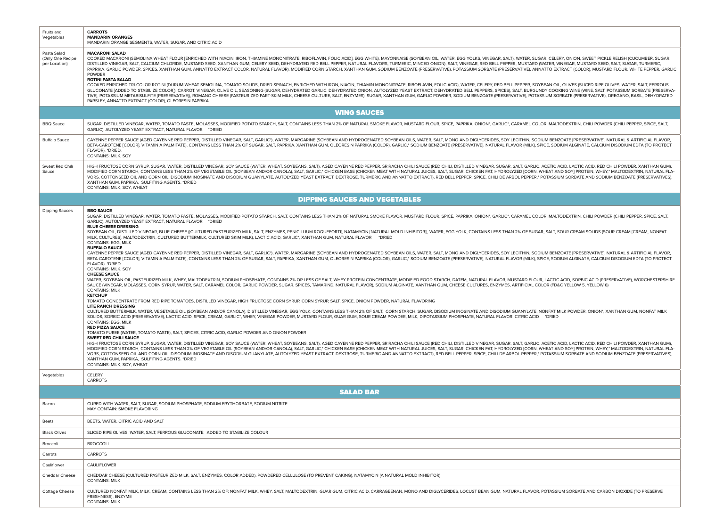| Fruits and<br>Vegetables                         | <b>CARROTS</b><br><b>MANDARIN ORANGES</b><br>MANDARIN ORANGE SEGMENTS, WATER, SUGAR, AND CITRIC ACID                                                                                                                                                                                                                                                                                                                                                                                                                                                                                                                                                                                                                                                                                                                                                                                                                                                                                                                                                                                                                                                                                                                                                                                                                                                                                                                                                                                                                                                                                                                                                                                                                                                                                                                                                                                                                                                                                                                                                                                                                                                                                                                                                                                                                                                                                                                                                                                                                                                                                                                                                                                                                                                                                                                                                                                                                                                                                                                                                                                                                                                                                                                                                                                                                                                                                                                          |
|--------------------------------------------------|-------------------------------------------------------------------------------------------------------------------------------------------------------------------------------------------------------------------------------------------------------------------------------------------------------------------------------------------------------------------------------------------------------------------------------------------------------------------------------------------------------------------------------------------------------------------------------------------------------------------------------------------------------------------------------------------------------------------------------------------------------------------------------------------------------------------------------------------------------------------------------------------------------------------------------------------------------------------------------------------------------------------------------------------------------------------------------------------------------------------------------------------------------------------------------------------------------------------------------------------------------------------------------------------------------------------------------------------------------------------------------------------------------------------------------------------------------------------------------------------------------------------------------------------------------------------------------------------------------------------------------------------------------------------------------------------------------------------------------------------------------------------------------------------------------------------------------------------------------------------------------------------------------------------------------------------------------------------------------------------------------------------------------------------------------------------------------------------------------------------------------------------------------------------------------------------------------------------------------------------------------------------------------------------------------------------------------------------------------------------------------------------------------------------------------------------------------------------------------------------------------------------------------------------------------------------------------------------------------------------------------------------------------------------------------------------------------------------------------------------------------------------------------------------------------------------------------------------------------------------------------------------------------------------------------------------------------------------------------------------------------------------------------------------------------------------------------------------------------------------------------------------------------------------------------------------------------------------------------------------------------------------------------------------------------------------------------------------------------------------------------------------------------------------------------|
| Pasta Salad<br>(Only One Recipe<br>per Location) | <b>MACARONI SALAD</b><br>COOKED MACARONI (SEMOLINA WHEAT FLOUR [ENRICHED WITH NIACIN, IRON, THIAMINE MONONITRATE, RIBOFLAVIN, FOLIC ACID], EGG WHITE), MAYONNAISE (SOYBEAN OIL, WATER, EGG YOLKS, VINEGAR, SALT), WATER, SUGAR, CELERY, ONION, SWEET PI<br>DISTILLED VINEGAR, SALT, CALCIUM CHLORIDE, MUSTARD SEED, XANTHAN GUM, CELERY SEED, DEHYDRATED RED BELL PEPPER, NATURAL FLAVORS, TURMERIC, MINCED ONION), SALT, VINEGAR, RED BELL PEPPER, MUSTARD (WATER, MUSTARD SEED, SALT, S<br>PAPRIKA, GARLIC POWDER, SPICES, XANTHAN GUM, ANNATTO EXTRACT COLOR, NATURAL FLAVOR), MODIFIED CORN STARCH, XANTHAN GUM, SODIUM BENZOATE (PRESERVATIVE), POTASSIUM SORBATE (PRESERVATIVE), ANNATTO EXTRACT (COLOR), MUSTARD FLO<br><b>POWDER</b><br><b>ROTINI PASTA SALAD</b><br>COOKED ENRICHED TRI-COLOR ROTINI (DURUM WHEAT SEMOLINA, TOMATO SOLIDS, DRIED SPINACH, ENRICHED WITH IRON, NIACIN, THIAMIN MONONITRATE, RIBOFLAVIN, FOLIC ACID), WATER, CELERY, RED BELL PEPPER, SOYBEAN OIL, OLIVES (SLICED RI<br>GLUCONATE [ADDED TO STABILIZE COLOR]), CARROT, VINEGAR, OLIVE OIL, SEASONING (SUGAR, DEHYDRATED GARLIC, DEHYDRATED ONION, AUTOLYZED YEAST EXTRACT, DEHYDRATED BELL PEPPERS, SPICES), SALT, BURGUNDY COOKING WINE (WINE, SALT,<br>TIVE), POTASSIUM METABISULFITE [PRESERVATIVE]), ROMANO CHEESE (PASTEURIZED PART-SKIM MILK, CHEESE CULTURE, SALT, ENZYMES), SUGAR, XANTHAN GUM, GARLIC POWDER, SODIUM BENZOATE (PRESERVATIVE), POTASSIUM SORBATE (PRESERVATIVE)<br>PARSLEY, ANNATTO EXTRACT (COLOR), OLEORESIN PAPRIKA                                                                                                                                                                                                                                                                                                                                                                                                                                                                                                                                                                                                                                                                                                                                                                                                                                                                                                                                                                                                                                                                                                                                                                                                                                                                                                                                                                                                                                                                                                                                                                                                                                                                                                                                                                                                                                                                                         |
|                                                  | <b>WING SAUCES</b>                                                                                                                                                                                                                                                                                                                                                                                                                                                                                                                                                                                                                                                                                                                                                                                                                                                                                                                                                                                                                                                                                                                                                                                                                                                                                                                                                                                                                                                                                                                                                                                                                                                                                                                                                                                                                                                                                                                                                                                                                                                                                                                                                                                                                                                                                                                                                                                                                                                                                                                                                                                                                                                                                                                                                                                                                                                                                                                                                                                                                                                                                                                                                                                                                                                                                                                                                                                                            |
| <b>BBQ</b> Sauce                                 | SUGAR, DISTILLED VINEGAR, WATER, TOMATO PASTE, MOLASSES, MODIFIED POTATO STARCH, SALT, CONTAINS LESS THAN 2% OF NATURAL SMOKE FLAVOR, MUSTARD FLOUR, SPICE, PAPRIKA, ONION*, GARLIC*, CARAMEL COLOR, MALTODEXTRIN, CHILI POWDE<br>GARLIC), AUTOLYZED YEAST EXTRACT, NATURAL FLAVOR, *DRIED                                                                                                                                                                                                                                                                                                                                                                                                                                                                                                                                                                                                                                                                                                                                                                                                                                                                                                                                                                                                                                                                                                                                                                                                                                                                                                                                                                                                                                                                                                                                                                                                                                                                                                                                                                                                                                                                                                                                                                                                                                                                                                                                                                                                                                                                                                                                                                                                                                                                                                                                                                                                                                                                                                                                                                                                                                                                                                                                                                                                                                                                                                                                    |
| <b>Buffalo Sauce</b>                             | CAYENNE PEPPER SAUCE (AGED CAYENNE RED PEPPER, DISTILLED VINEGAR, SALT, GARLIC*), WATER, MARGARINE (SOYBEAN AND HYDROGENATED SOYBEAN OILS, WATER, SALT, MONO AND DIGLYCERIDES, SOY LECITHIN, SODIUM BENZOATE [PRESERVATIVE], N<br>BETA-CAROTENE [COLOR], VITAMIN A PALMITATE), CONTAINS LESS THAN 2% OF SUGAR, SALT, PAPRIKA, XANTHAN GUM, OLEORESIN PAPRIKA (COLOR), GARLIC,* SODIUM BENZOATE (PRESERVATIVE), NATURAL FLAVOR (MILK), SPICE, SODIUM ALGINATE, CA<br>FLAVOR), *DRIED.<br>CONTAINS: MILK, SOY                                                                                                                                                                                                                                                                                                                                                                                                                                                                                                                                                                                                                                                                                                                                                                                                                                                                                                                                                                                                                                                                                                                                                                                                                                                                                                                                                                                                                                                                                                                                                                                                                                                                                                                                                                                                                                                                                                                                                                                                                                                                                                                                                                                                                                                                                                                                                                                                                                                                                                                                                                                                                                                                                                                                                                                                                                                                                                                   |
| Sweet Red Chili<br>Sauce                         | HIGH FRUCTOSE CORN SYRUP, SUGAR, WATER, DISTILLED VINEGAR, SOY SAUCE (WATER, WHEAT, SOYBEANS, SALT), AGED CAYENNE RED PEPPER, SRIRACHA CHILI SAUCE (RED CHILI, DISTILLED VINEGAR, SUGAR, SALT), GARLIC, ACETIC ACID, LACTIC AC<br>MODIFIED CORN STARCH, CONTAINS LESS THAN 2% OF VEGETABLE OIL (SOYBEAN AND/OR CANOLA), SALT, GARLIC,* CHICKEN BASE (CHICKEN MEAT WITH NATURAL JUICES, SALT, SUGAR, CHICKEN FAT, HYDROLYZED [CORN, WHEAT AND SOY] PROTEIN, WHEY,<br>VORS, COTTONSEED OIL AND CORN OIL, DISODIUM INOSINATE AND DISODIUM GUANYLATE, AUTOLYZED YEAST EXTRACT, DEXTROSE, TURMERIC AND ANNATTO EXTRACT), RED BELL PEPPER, SPICE, CHILI DE ARBOL PEPPER,* POTASSIUM SORBATE AND SODIUM B<br>XANTHAN GUM, PAPRIKA, SULFITING AGENTS. *DRIED<br>CONTAINS: MILK, SOY, WHEAT                                                                                                                                                                                                                                                                                                                                                                                                                                                                                                                                                                                                                                                                                                                                                                                                                                                                                                                                                                                                                                                                                                                                                                                                                                                                                                                                                                                                                                                                                                                                                                                                                                                                                                                                                                                                                                                                                                                                                                                                                                                                                                                                                                                                                                                                                                                                                                                                                                                                                                                                                                                                                                            |
|                                                  | <b>DIPPING SAUCES AND VEGETABLES</b>                                                                                                                                                                                                                                                                                                                                                                                                                                                                                                                                                                                                                                                                                                                                                                                                                                                                                                                                                                                                                                                                                                                                                                                                                                                                                                                                                                                                                                                                                                                                                                                                                                                                                                                                                                                                                                                                                                                                                                                                                                                                                                                                                                                                                                                                                                                                                                                                                                                                                                                                                                                                                                                                                                                                                                                                                                                                                                                                                                                                                                                                                                                                                                                                                                                                                                                                                                                          |
| Dipping Sauces                                   | <b>BBQ SAUCE</b><br>SUGAR, DISTILLED VINEGAR, WATER, TOMATO PASTE, MOLASSES, MODIFIED POTATO STARCH, SALT, CONTAINS LESS THAN 2% OF NATURAL SMOKE FLAVOR, MUSTARD FLOUR, SPICE, PAPRIKA, ONION*, GARLIC*, CARAMEL COLOR, MALTODEXTRIN, CHILI POWDE<br>GARLIC), AUTOLYZED YEAST EXTRACT, NATURAL FLAVOR. * DRIED<br><b>BLUE CHEESE DRESSING</b><br>SOYBEAN OIL, DISTILLED VINEGAR, BLUE CHEESE ([CULTURED PASTEURIZED MILK, SALT, ENZYMES, PENICILLIUM ROQUEFORTI), NATAMYCIN [NATURAL MOLD INHIBITOR]), WATER, EGG YOLK, CONTAINS LESS THAN 2% OF SUGAR, SALT, SOUR CREAM SOLIDS<br>MILK, CULTURES), MALTODEXTRIN, CULTURED BUTTERMILK, CULTURED SKIM MILK), LACTIC ACID, GARLIC*, XANTHAN GUM, NATURAL FLAVOR * DRIED<br>CONTAINS: EGG, MILK<br><b>BUFFALO SAUCE</b><br>CAYENNE PEPPER SAUCE (AGED CAYENNE RED PEPPER, DISTILLED VINEGAR, SALT, GARLIC"), WATER, MARGARINE (SOYBEAN AND HYDROGENATED SOYBEAN OILS, WATER, SALT, MONO AND DIGLYCERIDES, SOY LECITHIN, SODIUM BENZOATE [PRESERVATIVE], N<br>BETA-CAROTENE [COLOR], VITAMIN A PALMITATE), CONTAINS LESS THAN 2% OF SUGAR, SALT, PAPRIKA, XANTHAN GUM, OLEORESIN PAPRIKA (COLOR), GARLIC,* SODIUM BENZOATE (PRESERVATIVE), NATURAL FLAVOR (MILK), SPICE, SODIUM ALGINATE, CA<br>FLAVOR). *DRIED.<br>CONTAINS: MILK, SOY<br><b>CHEESE SAUCE</b><br>WATER, SOYBEAN OIL, PASTEURIZED MILK, WHEY, MALTODEXTRIN, SODIUM PHOSPHATE, CONTAINS 2% OR LESS OF SALT, WHEY PROTEIN CONCENTRATE, MODIFIED FOOD STARCH, DATEM, NATURAL FLAVOR, MUSTARD FLOUR, LACTIC ACID, SORBIC ACID (PRESE<br>SAUCE (VINEGAR, MOLASSES, CORN SYRUP, WATER, SALT, CARAMEL COLOR, GARLIC POWDER, SUGAR, SPICES, TAMARIND, NATURAL FLAVOR), SODIUM ALGINATE, XANTHAN GUM, CHEESE CULTURES, ENZYMES, ARTIFICIAL COLOR (FD&C YELLOW 5), YELLOW 6)<br><b>CONTAINS: MILK</b><br><b>KETCHUP</b><br>TOMATO CONCENTRATE FROM RED RIPE TOMATOES, DISTILLED VINEGAR, HIGH FRUCTOSE CORN SYRUP, CORN SYRUP, SALT, SPICE, ONION POWDER, NATURAL FLAVORING<br><b>LITE RANCH DRESSING</b><br>CULTURED BUTTERMILK, WATER, VEGETABLE OIL (SOYBEAN AND/OR CANOLA), DISTILLED VINEGAR, EGG YOLK, CONTAINS LESS THAN 2% OF SALT, CORN STARCH, SUGAR, DISORIUM INOSINATE AND DISODIUM GUANYLATE, NONFAT MILK POWDER, ONION", XANT<br>SOLIDS, SORBIC ACID (PRESERVATIVE), LACTIC ACID, SPICE, CREAM, GARLIC*, WHEY, VINEGAR POWDER, MUSTARD FLOUR, GUAR GUM, SOUR CREAM POWDER, MILK, DIPOTASSIUM PHOSPHATE, NATURAL FLAVOR, CITRIC ACID *DRIED<br>CONTAINS: EGG, MILK<br><b>RED PIZZA SAUCE</b><br>TOMATO PUREE (WATER, TOMATO PASTE), SALT, SPICES, CITRIC ACID, GARLIC POWDER AND ONION POWDER<br>SWEET RED CHILI SAUCE<br>HIGH FRUCTOSE CORN SYRUP, SUGAR, WATER, DISTILLED VINEGAR, SOY SAUCE (WATER, WHEAT, SOYBEANS, SALT), AGED CAYENNE RED PEPPER, SRIRACHA CHILI SAUCE (RED CHILI, DISTILLED VINEGAR, SUGAR, SALT, GARLIC, ACETIC ACID, LACTIC ACI<br>MODIFIED CORN STARCH, CONTAINS LESS THAN 2% OF VEGETABLE OIL (SOYBEAN AND/OR CANOLA), SALT, GARLIC,* CHICKEN BASE (CHICKEN MEAT WITH NATURAL JUICES, SALT, SUGAR, CHICKEN FAT, HYDROLYZED [CORN, WHEAT AND SOY] PROTEIN, WHEY,<br>VORS, COTTONSEED OIL AND CORN OIL, DISODIUM INOSINATE AND DISODIUM GUANYLATE, AUTOLYZED YEAST EXTRACT, DEXTROSE, TURMERIC AND ANNATTO EXTRACT), RED BELL PEPPER, SPICE, CHILI DE ARBOL PEPPER,* POTASSIUM SORBATE AND SODIUM B<br>XANTHAN GUM, PAPRIKA, SULFITING AGENTS. * DRIED<br>CONTAINS: MILK, SOY, WHEAT |
| Vegetables                                       | CELERY<br>CARROTS                                                                                                                                                                                                                                                                                                                                                                                                                                                                                                                                                                                                                                                                                                                                                                                                                                                                                                                                                                                                                                                                                                                                                                                                                                                                                                                                                                                                                                                                                                                                                                                                                                                                                                                                                                                                                                                                                                                                                                                                                                                                                                                                                                                                                                                                                                                                                                                                                                                                                                                                                                                                                                                                                                                                                                                                                                                                                                                                                                                                                                                                                                                                                                                                                                                                                                                                                                                                             |
|                                                  | <b>SALAD BAR</b>                                                                                                                                                                                                                                                                                                                                                                                                                                                                                                                                                                                                                                                                                                                                                                                                                                                                                                                                                                                                                                                                                                                                                                                                                                                                                                                                                                                                                                                                                                                                                                                                                                                                                                                                                                                                                                                                                                                                                                                                                                                                                                                                                                                                                                                                                                                                                                                                                                                                                                                                                                                                                                                                                                                                                                                                                                                                                                                                                                                                                                                                                                                                                                                                                                                                                                                                                                                                              |
| Bacon                                            | CURED WITH WATER, SALT, SUGAR, SODIUM PHOSPHATE, SODIUM ERYTHORBATE, SODIUM NITRITE<br>MAY CONTAIN: SMOKE FLAVORING                                                                                                                                                                                                                                                                                                                                                                                                                                                                                                                                                                                                                                                                                                                                                                                                                                                                                                                                                                                                                                                                                                                                                                                                                                                                                                                                                                                                                                                                                                                                                                                                                                                                                                                                                                                                                                                                                                                                                                                                                                                                                                                                                                                                                                                                                                                                                                                                                                                                                                                                                                                                                                                                                                                                                                                                                                                                                                                                                                                                                                                                                                                                                                                                                                                                                                           |
| <b>Beets</b>                                     | BEETS, WATER, CITRIC ACID AND SALT                                                                                                                                                                                                                                                                                                                                                                                                                                                                                                                                                                                                                                                                                                                                                                                                                                                                                                                                                                                                                                                                                                                                                                                                                                                                                                                                                                                                                                                                                                                                                                                                                                                                                                                                                                                                                                                                                                                                                                                                                                                                                                                                                                                                                                                                                                                                                                                                                                                                                                                                                                                                                                                                                                                                                                                                                                                                                                                                                                                                                                                                                                                                                                                                                                                                                                                                                                                            |
| <b>Black Olives</b>                              | SLICED RIPE OLIVES, WATER, SALT, FERROUS GLUCONATE: ADDED TO STABILIZE COLOUR                                                                                                                                                                                                                                                                                                                                                                                                                                                                                                                                                                                                                                                                                                                                                                                                                                                                                                                                                                                                                                                                                                                                                                                                                                                                                                                                                                                                                                                                                                                                                                                                                                                                                                                                                                                                                                                                                                                                                                                                                                                                                                                                                                                                                                                                                                                                                                                                                                                                                                                                                                                                                                                                                                                                                                                                                                                                                                                                                                                                                                                                                                                                                                                                                                                                                                                                                 |
| Broccoli                                         | <b>BROCCOLI</b>                                                                                                                                                                                                                                                                                                                                                                                                                                                                                                                                                                                                                                                                                                                                                                                                                                                                                                                                                                                                                                                                                                                                                                                                                                                                                                                                                                                                                                                                                                                                                                                                                                                                                                                                                                                                                                                                                                                                                                                                                                                                                                                                                                                                                                                                                                                                                                                                                                                                                                                                                                                                                                                                                                                                                                                                                                                                                                                                                                                                                                                                                                                                                                                                                                                                                                                                                                                                               |
| Carrots                                          | CARROTS                                                                                                                                                                                                                                                                                                                                                                                                                                                                                                                                                                                                                                                                                                                                                                                                                                                                                                                                                                                                                                                                                                                                                                                                                                                                                                                                                                                                                                                                                                                                                                                                                                                                                                                                                                                                                                                                                                                                                                                                                                                                                                                                                                                                                                                                                                                                                                                                                                                                                                                                                                                                                                                                                                                                                                                                                                                                                                                                                                                                                                                                                                                                                                                                                                                                                                                                                                                                                       |
| Cauliflower                                      | CAULIFLOWER                                                                                                                                                                                                                                                                                                                                                                                                                                                                                                                                                                                                                                                                                                                                                                                                                                                                                                                                                                                                                                                                                                                                                                                                                                                                                                                                                                                                                                                                                                                                                                                                                                                                                                                                                                                                                                                                                                                                                                                                                                                                                                                                                                                                                                                                                                                                                                                                                                                                                                                                                                                                                                                                                                                                                                                                                                                                                                                                                                                                                                                                                                                                                                                                                                                                                                                                                                                                                   |
| Cheddar Cheese                                   | CHEDDAR CHEESE (CULTURED PASTEURIZED MILK, SALT, ENZYMES, COLOR ADDED), POWDERED CELLULOSE (TO PREVENT CAKING), NATAMYCIN (A NATURAL MOLD INHIBITOR)<br><b>CONTAINS: MILK</b>                                                                                                                                                                                                                                                                                                                                                                                                                                                                                                                                                                                                                                                                                                                                                                                                                                                                                                                                                                                                                                                                                                                                                                                                                                                                                                                                                                                                                                                                                                                                                                                                                                                                                                                                                                                                                                                                                                                                                                                                                                                                                                                                                                                                                                                                                                                                                                                                                                                                                                                                                                                                                                                                                                                                                                                                                                                                                                                                                                                                                                                                                                                                                                                                                                                 |
| <b>Cottage Cheese</b>                            | CULTURED NONFAT MILK, MILK, CREAM, CONTAINS LESS THAN 2% OF: NONFAT MILK, WHEY, SALT, MALTODEXTRIN, GUAR GUM, CITRIC ACID, CARRAGEENAN, MONO AND DIGLYCERIDES, LOCUST BEAN GUM, NATURAL FLAVOR, POTASSIUM SORBATE AND CARBON D<br>FRESHNESS), ENZYME<br><b>CONTAINS: MILK</b>                                                                                                                                                                                                                                                                                                                                                                                                                                                                                                                                                                                                                                                                                                                                                                                                                                                                                                                                                                                                                                                                                                                                                                                                                                                                                                                                                                                                                                                                                                                                                                                                                                                                                                                                                                                                                                                                                                                                                                                                                                                                                                                                                                                                                                                                                                                                                                                                                                                                                                                                                                                                                                                                                                                                                                                                                                                                                                                                                                                                                                                                                                                                                 |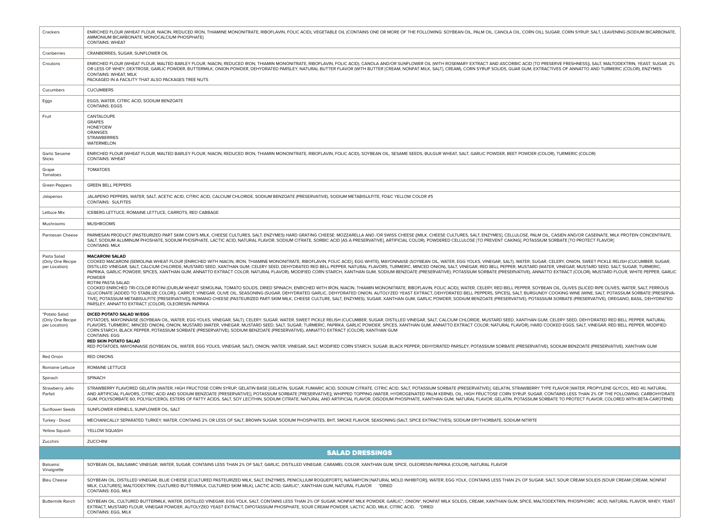| Crackers                                           | ENRICHED FLOUR (WHEAT FLOUR, NIACIN, REDUCED IRON, THIAMINE MONONITRATE, RIBOFLAVIN, FOLIC ACID), VEGETABLE OIL (CONTAINS ONE OR MORE OF THE FOLLOWING: SOYBEAN OIL, CANOLA OIL, CANOLA OIL, CORN OIL), SUGAR, CORN SYRUP, SAL<br>AMMONIUM BICARBONATE, MONOCALCIUM PHOSPHATE)<br><b>CONTAINS: WHEAT</b>                                                                                                                                                                                                                                                                                                                                                                                                                                                                                                                                                                                                                                                                                                                                                                                                                                                                                                                                                                                                                                                                                                                                                                                                                       |
|----------------------------------------------------|--------------------------------------------------------------------------------------------------------------------------------------------------------------------------------------------------------------------------------------------------------------------------------------------------------------------------------------------------------------------------------------------------------------------------------------------------------------------------------------------------------------------------------------------------------------------------------------------------------------------------------------------------------------------------------------------------------------------------------------------------------------------------------------------------------------------------------------------------------------------------------------------------------------------------------------------------------------------------------------------------------------------------------------------------------------------------------------------------------------------------------------------------------------------------------------------------------------------------------------------------------------------------------------------------------------------------------------------------------------------------------------------------------------------------------------------------------------------------------------------------------------------------------|
| Cranberries                                        | CRANBERRIES, SUGAR, SUNFLOWER OIL                                                                                                                                                                                                                                                                                                                                                                                                                                                                                                                                                                                                                                                                                                                                                                                                                                                                                                                                                                                                                                                                                                                                                                                                                                                                                                                                                                                                                                                                                              |
| Croutons                                           | ENRICHED FLOUR (WHEAT FLOUR, MALTED BARLEY FLOUR, NIACIN, REDUCED IRON, THIAMIN MONONITRATE, RIBOFLAVIN, FOLIC ACID), CANOLA AND/OR SUNFLOWER OIL (WITH ROSEMARY EXTRACT AND ASCORBIC ACID [TO PRESERVE FRESHNESS]), SALT, MAL<br>OR LESS OF WHEY, DEXTROSE, GARLIC POWDER, BUTTERMILK, ONION POWDER, DEHYDRATED PARSLEY, NATURAL BUTTER FLAVOR (WITH BUTTER [CREAM, NONFAT MILK, SALT], CREAM), CORN SYRUP SOLIDS, GUAR GUM, EXTRACTIVES OF ANNATTO AND TURMERI<br>CONTAINS: WHEAT, MILK<br>PACKAGED IN A FACILITY THAT ALSO PACKAGES TREE NUTS                                                                                                                                                                                                                                                                                                                                                                                                                                                                                                                                                                                                                                                                                                                                                                                                                                                                                                                                                                               |
| Cucumbers                                          | <b>CUCUMBERS</b>                                                                                                                                                                                                                                                                                                                                                                                                                                                                                                                                                                                                                                                                                                                                                                                                                                                                                                                                                                                                                                                                                                                                                                                                                                                                                                                                                                                                                                                                                                               |
| Eggs                                               | EGGS, WATER, CITRIC ACID, SODIUM BENZOATE<br><b>CONTAINS: EGGS</b>                                                                                                                                                                                                                                                                                                                                                                                                                                                                                                                                                                                                                                                                                                                                                                                                                                                                                                                                                                                                                                                                                                                                                                                                                                                                                                                                                                                                                                                             |
| Fruit                                              | CANTALOUPE<br><b>GRAPES</b><br><b>HONEYDEW</b><br>ORANGES<br><b>STRAWBERRIES</b><br>WATERMELON                                                                                                                                                                                                                                                                                                                                                                                                                                                                                                                                                                                                                                                                                                                                                                                                                                                                                                                                                                                                                                                                                                                                                                                                                                                                                                                                                                                                                                 |
| Garlic Sesame<br>Sticks                            | ENRICHED FLOUR (WHEAT FLOUR, MALTED BARLEY FLOUR, NIACIN, REDUCED IRON, THIAMIN MONONITRATE, RIBOFLAVIN, FOLIC ACID), SOYBEAN OIL, SESAME SEEDS, BULGUR WHEAT, SALT, GARLIC POWDER, BEET POWDER (COLOR), TURMERIC (COLOR)<br><b>CONTAINS: WHEAT</b>                                                                                                                                                                                                                                                                                                                                                                                                                                                                                                                                                                                                                                                                                                                                                                                                                                                                                                                                                                                                                                                                                                                                                                                                                                                                            |
| Grape<br>Tomatoes                                  | <b>TOMATOES</b>                                                                                                                                                                                                                                                                                                                                                                                                                                                                                                                                                                                                                                                                                                                                                                                                                                                                                                                                                                                                                                                                                                                                                                                                                                                                                                                                                                                                                                                                                                                |
| Green Peppers                                      | <b>GREEN BELL PEPPERS</b>                                                                                                                                                                                                                                                                                                                                                                                                                                                                                                                                                                                                                                                                                                                                                                                                                                                                                                                                                                                                                                                                                                                                                                                                                                                                                                                                                                                                                                                                                                      |
| Jalapenos                                          | JALAPENO PEPPERS, WATER, SALT, ACETIC ACID, CITRIC ACID, CALCIUM CHLORIDE, SODIUM BENZOATE (PRESERVATIVE), SODIUM METABISULFITE, FD&C YELLOW COLOR #5<br><b>CONTAINS: SULFITES</b>                                                                                                                                                                                                                                                                                                                                                                                                                                                                                                                                                                                                                                                                                                                                                                                                                                                                                                                                                                                                                                                                                                                                                                                                                                                                                                                                             |
| Lettuce Mix                                        | ICEBERG LETTUCE, ROMAINE LETTUCE, CARROTS, RED CABBAGE                                                                                                                                                                                                                                                                                                                                                                                                                                                                                                                                                                                                                                                                                                                                                                                                                                                                                                                                                                                                                                                                                                                                                                                                                                                                                                                                                                                                                                                                         |
| Mushrooms                                          | <b>MUSHROOMS</b>                                                                                                                                                                                                                                                                                                                                                                                                                                                                                                                                                                                                                                                                                                                                                                                                                                                                                                                                                                                                                                                                                                                                                                                                                                                                                                                                                                                                                                                                                                               |
| Parmesan Cheese                                    | PARMESAN PRODUCT (PASTEURIZED PART SKIM COW'S MILK, CHEESE CULTURES, SALT, ENZYMES) HARD GRATING CHEESE: MOZZARELLA AND /OR SWISS CHEESE ((MILK, CHEESE CULTURES, SALT, ENZYMES), CELLULOSE, PALM OIL, CASIEN AND/OR CASEINATE<br>SALT, SODIUM ALUMINUM PHOSHATE, SODIUM PHOSPHATE, LACTIC ACID, NATURAL FLAVOR, SODIUM CITRATE, SORBIC ACID [AS A PRESERVATIVE], ARTIFICIAL COLOR), POWDERED CELLULOSE [TO PREVENT CAKING], POTASSIUM SORBATE [TO PROTECT FLAVO<br><b>CONTAINS: MILK</b>                                                                                                                                                                                                                                                                                                                                                                                                                                                                                                                                                                                                                                                                                                                                                                                                                                                                                                                                                                                                                                      |
| Pasta Salad<br>(Only One Recipe<br>per Location)   | <b>MACARONI SALAD</b><br>COOKED MACARONI (SEMOLINA WHEAT FLOUR [ENRICHED WITH NIACIN, IRON, THIAMINE MONONITRATE, RIBOFLAVIN, FOLIC ACID], EGG WHITE), MAYONNAISE (SOYBEAN OIL, WATER, EGG YOLKS, VINEGAR, SALT), WATER, SUGAR, CELERY, ONION, SWEET PI<br>DISTILLED VINEGAR, SALT, CALCIUM CHLORIDE, MUSTARD SEED, XANTHAN GUM, CELERY SEED, DEHYDRATED RED BELL PEPPER, NATURAL FLAVORS, TURMERIC, MINCED ONION), SALT, VINEGAR, RED BELL PEPPER, MUSTARD (WATER, VINEGAR, NUSTARD SEED<br>PAPRIKA, GARLIC POWDER, SPICES, XANTHAN GUM, ANNATTO EXTRACT COLOR, NATURAL FLAVOR), MODIFIED CORN STARCH, XANTHAN GUM, SODIUM BENZOATE (PRESERVATIVE), POTASSIUM SORBATE (PRESERVATIVE), ANNATTO EXTRACT (COLOR), MUSTARD FLO<br><b>POWDER</b><br>ROTINI PASTA SALAD<br>COOKED ENRICHED TRI-COLOR ROTINI (DURUM WHEAT SEMOLINA, TOMATO SOLIDS, DRIED SPINACH, ENRICHED WITH IRON, NIACIN, THIAMIN MONONITRATE, RIBOFLAVIN, FOLIC ACID), WATER, CELERY, RED BELL PEPPER, SOYBEAN OIL, OLIVES (SLICED RI<br>GLUCONATE [ADDED TO STABILIZE COLOR]), CARROT, VINEGAR, OLIVE OIL, SEASONING (SUGAR, DEHYDRATED GARLIC, DEHYDRATED ONION, AUTOLYZED YEAST EXTRACT, DEHYDRATED BELL PEPPERS, SPICES), SALT, BURGUNDY COOKING WINE (WINE, SALT,<br>TIVE), POTASSIUM METABISULFITE [PRESERVATIVE]), ROMANO CHEESE (PASTEURIZED PART-SKIM MILK, CHEESE CULTURE, SALT, ENZYMES), SUGAR, XANTHAN GUM, GARLIC POWDER, SODIUM BENZOATE (PRESERVATIVE), POTASSIUM SORBATE (PRESERVATIVE)<br>PARSLEY, ANNATTO EXTRACT (COLOR), OLEORESIN PAPRIKA |
| "Potato Salad<br>(Only One Recipe<br>per Location) | DICED POTATO SALAD W/EGG<br>POTATOES, MAYONNAISE (SOYBEAN OIL, WATER, EGG YOLKS, VINEGAR, SALT), CELERY, SUGAR, WATER, SWEET PICKLE RELISH (CUCUMBER, SUGAR, DISTILLED VINEGAR, SALT, CALCIUM CHLORIDE, MUSTARD SEED, XANTHAN GUM, CELERY SEED, DEHYDRATED<br>FLAVORS, TURMERIC, MINCED ONION), ONION, MUSTARD (WATER, VINEGAR, MUSTARD SEED, SALT, SUGAR, TURMERIC, PAPRIKA, GARLIC POWDER, SPICES, XANTHAN GUM, ANNATTO EXTRACT COLOR, NATURAL FLAVOR), HARD COOKED EGGS, SALT, VINEGAR, R<br>CORN STARCH, BLACK PEPPER, POTASSIUM SORBATE (PRESERVATIVE), SODIUM BENZOATE (PRESERVATIVE), ANNATTO EXTRACT (COLOR), XANTHAN GUM<br><b>CONTAINS: EGG</b><br><b>RED SKIN POTATO SALAD</b><br>RED POTATOES, MAYONNAISE (SOYBEAN OIL, WATER, EGG YOLKS, VINEGAR, SALT), ONION, WATER, VINEGAR, SALT, MODIFIED CORN STARCH, SUGAR, BLACK PEPPER, DEHYDRATED PARSLEY, POTASSIUM SORBATE (PRESERVATIVE), SODIUM BENZOATE (PRESER                                                                                                                                                                                                                                                                                                                                                                                                                                                                                                                                                                                                    |
| <b>Red Onion</b>                                   | <b>RED ONIONS</b>                                                                                                                                                                                                                                                                                                                                                                                                                                                                                                                                                                                                                                                                                                                                                                                                                                                                                                                                                                                                                                                                                                                                                                                                                                                                                                                                                                                                                                                                                                              |
| Romaine Lettuce                                    | ROMAINE LETTUCE                                                                                                                                                                                                                                                                                                                                                                                                                                                                                                                                                                                                                                                                                                                                                                                                                                                                                                                                                                                                                                                                                                                                                                                                                                                                                                                                                                                                                                                                                                                |
| Spinach                                            | SPINACH                                                                                                                                                                                                                                                                                                                                                                                                                                                                                                                                                                                                                                                                                                                                                                                                                                                                                                                                                                                                                                                                                                                                                                                                                                                                                                                                                                                                                                                                                                                        |
| Strawberry Jello<br>Parfait                        | STRAWBERRY FLAVORED GELATIN (WATER, HIGH FRUCTOSE CORN SYRUP, GELATIN BASE [GELATIN, SUGAR, FUMARIC ACID, SODIUM CITRATE, CITRIC ACID, SALT, POTASSIUM SORBATE (PRESERVATIVE)], GELATIN, STRAWBERRY TYPE FLAVOR [WATER, PROPYL<br>AND ARTIFICIAL FLAVORS, CITRIC ACID AND SODIUM BENZOATE (PRESERVATIVE)], POTASSIUM SORBATE (PRESERVATIVE)), WHIPPED TOPPING (WATER, HYDROGENATED PALM KERNEL OIL, HIGH FRUCTOSE CORN SYRUP, SUGAR, CONTAINS LESS THAN 2% OF TH<br>GUM, POLYSORBATE 60, POLYGLYCEROL ESTERS OF FATTY ACIDS, SALT, SOY LECITHIN, SODIUM CITRATE, NATURAL AND ARTIFICIAL FLAVOR, DISODIUM PHOSPHATE, XANTHAN GUM, NATURAL FLAVOR, GELATIN, POTASSIUM SORBATE TO PROTECT FLAVOR, COL                                                                                                                                                                                                                                                                                                                                                                                                                                                                                                                                                                                                                                                                                                                                                                                                                             |
| <b>Sunflower Seeds</b>                             | SUNFLOWER KERNELS, SUNFLOWER OIL, SALT                                                                                                                                                                                                                                                                                                                                                                                                                                                                                                                                                                                                                                                                                                                                                                                                                                                                                                                                                                                                                                                                                                                                                                                                                                                                                                                                                                                                                                                                                         |
| Turkey - Diced                                     | MECHANICALLY SEPARATED TURKEY, WATER, CONTAINS 2% OR LESS OF SALT, BROWN SUGAR, SODIUM PHOSPHATES, BHT, SMOKE FLAVOR, SEASONING (SALT, SPICE EXTRACTIVES), SODIUM ERYTHORBATE, SODIUM NITRITE                                                                                                                                                                                                                                                                                                                                                                                                                                                                                                                                                                                                                                                                                                                                                                                                                                                                                                                                                                                                                                                                                                                                                                                                                                                                                                                                  |
| Yellow Squash                                      | YELLOW SQUASH                                                                                                                                                                                                                                                                                                                                                                                                                                                                                                                                                                                                                                                                                                                                                                                                                                                                                                                                                                                                                                                                                                                                                                                                                                                                                                                                                                                                                                                                                                                  |
| Zucchini                                           | ZUCCHINI                                                                                                                                                                                                                                                                                                                                                                                                                                                                                                                                                                                                                                                                                                                                                                                                                                                                                                                                                                                                                                                                                                                                                                                                                                                                                                                                                                                                                                                                                                                       |
|                                                    | <b>SALAD DRESSINGS</b>                                                                                                                                                                                                                                                                                                                                                                                                                                                                                                                                                                                                                                                                                                                                                                                                                                                                                                                                                                                                                                                                                                                                                                                                                                                                                                                                                                                                                                                                                                         |
| Balsamic<br>Vinaigrette                            | SOYBEAN OIL, BALSAMIC VINEGAR, WATER, SUGAR, CONTAINS LESS THAN 2% OF SALT, GARLIC, DISTILLED VINEGAR, CARAMEL COLOR, XANTHAN GUM, SPICE, OLEORESIN PAPRIKA (COLOR), NATURAL FLAVOR                                                                                                                                                                                                                                                                                                                                                                                                                                                                                                                                                                                                                                                                                                                                                                                                                                                                                                                                                                                                                                                                                                                                                                                                                                                                                                                                            |
| <b>Bleu Cheese</b>                                 | SOYBEAN OIL, DISTILLED VINEGAR, BLUE CHEESE ((CULTURED PASTEURIZED MILK, SALT, ENZYMES, PENICILLIUM ROQUEFORTI), NATAMYCIN INATURAL MOLD INHIBITOR), WATER, EGG YOLK, CONTAINS LESS THAN 2% OF SUGAR, SALT, SOUR CREAM SOLIDS<br>MILK, CULTURES), MALTODEXTRIN, CULTURED BUTTERMILK, CULTURED SKIM MILK), LACTIC ACID, GARLIC*, XANTHAN GUM, NATURAL FLAVOR *DRIED<br>CONTAINS: EGG, MILK                                                                                                                                                                                                                                                                                                                                                                                                                                                                                                                                                                                                                                                                                                                                                                                                                                                                                                                                                                                                                                                                                                                                      |
| <b>Buttermilk Ranch</b>                            | SOYBEAN OIL, CULTURED BUTTERMILK, WATER, DISTILLED VINEGAR, EGG YOLK, SALT, CONTAINS LESS THAN 2% OF SUGAR, NONFAT MILK POWDER, GARLIC*, ONION*, NONFAT MILK SOLIDS, CREAM, XANTHAN GUM, SPICE, MALTODEXTRIN, PHOSPHORIC ACID,<br>EXTRACT, MUSTARD FLOUR, VINEGAR POWDER, AUTOLYZED YEAST EXTRACT, DIPOTASSIUM PHOSPHATE, SOUR CREAM POWDER, LACTIC ACID, MILK, CITRIC ACID. * DRIED<br>CONTAINS: EGG, MILK                                                                                                                                                                                                                                                                                                                                                                                                                                                                                                                                                                                                                                                                                                                                                                                                                                                                                                                                                                                                                                                                                                                    |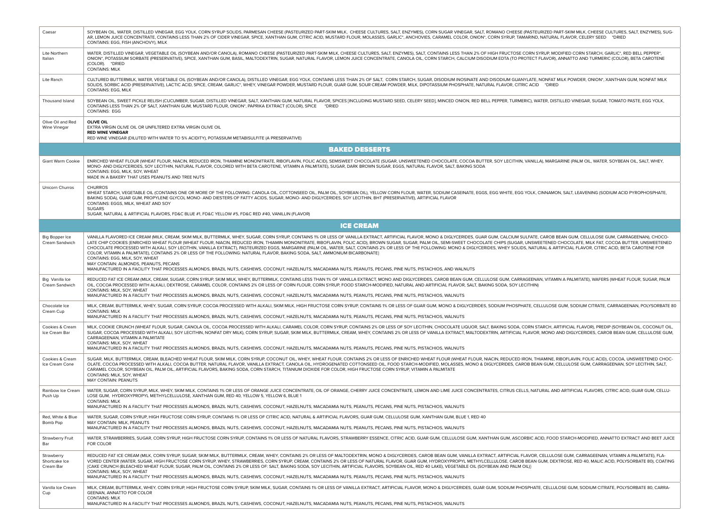| Caesar                                   | SOYBEAN OIL, WATER, DISTILLED VINEGAR, EGG YOLK, CORN SYRUP SOLIDS, PARMESAN CHEESE (PASTEURIZED PART-SKIM MILK, CHEESE CULTURES, SALT, ENZYMES), CORN SUGAR VINEGAR, SALT, ROMANO CHEESE (PASTEURIZED PART-SKIM MILK, CHEESE<br>AR, LEMON JUICE CONCENTRATE, CONTAINS LESS THAN 2% OF CIDER VINEGAR, SPICE, XANTHAN GUM, CITRIC ACID, MUSTARD FLOUR, MOLASSES, GARLIC*, ANCHOVIES, CARAMEL COLOR, ONION*, CORN SYRUP, TAMARIND, NATURAL FLAVOR, CELERY SEED *D<br>CONTAINS: EGG, FISH (ANCHOVY), MILK                                                                                                                                                                                                                                                                                                                                                                                                                                                                                                                                                                           |
|------------------------------------------|----------------------------------------------------------------------------------------------------------------------------------------------------------------------------------------------------------------------------------------------------------------------------------------------------------------------------------------------------------------------------------------------------------------------------------------------------------------------------------------------------------------------------------------------------------------------------------------------------------------------------------------------------------------------------------------------------------------------------------------------------------------------------------------------------------------------------------------------------------------------------------------------------------------------------------------------------------------------------------------------------------------------------------------------------------------------------------|
| Lite Northern<br>Italian                 | WATER, DISTILLED VINEGAR, VEGETABLE OIL (SOYBEAN AND/OR CANOLA), ROMANO CHEESE (PASTEURIZED PART-SKIM MILK, CHEESE CULTURES, SALT, ENZYMES), SALT, CONTAINS LESS THAN 2% OF HIGH FRUCTOSE CORN SYRUP, MODIFIED CORN STARCH, GA<br>ONION", POTASSIUM SORBATE (PRESERVATIVE), SPICE, XANTHAN GUM, BASIL, MALTODEXTRIN, SUGAR, NATURAL FLAVOR, LEMON JUICE CONCENTRATE, CANOLA OIL, CORN STARCH, CALCIUM DISODIUM EDTA (TO PROTECT FLAVOR), ANNATTO AND TURMERIC (C<br>(COLOR). *DRIED<br><b>CONTAINS: MILK</b>                                                                                                                                                                                                                                                                                                                                                                                                                                                                                                                                                                     |
| Lite Ranch                               | CULTURED BUTTERMILK, WATER, VEGETABLE OIL (SOYBEAN AND/OR CANOLA), DISTILLED VINEGAR, EGG YOLK, CONTAINS LESS THAN 2% OF SALT, CORN STARCH, SUGAR, DISODIUM INOSINATE AND DISODIUM GUANYLATE, NONFAT MILK POWDER, ONION*, XANT<br>SOLIDS, SORBIC ACID (PRESERVATIVE), LACTIC ACID, SPICE, CREAM, GARLIC*, WHEY, VINEGAR POWDER, MUSTARD FLOUR, GUAR GUM, SOUR CREAM POWDER, MILK, DIPOTASSIUM PHOSPHATE, NATURAL FLAVOR, CITRIC ACID<br>*DRIFD<br>CONTAINS: EGG, MILK                                                                                                                                                                                                                                                                                                                                                                                                                                                                                                                                                                                                            |
| Thousand Island                          | SOYBEAN OIL, SWEET PICKLE RELISH (CUCUMBER, SUGAR, DISTILLED VINEGAR, SALT, XANTHAN GUM, NATURAL FLAVOR, SPICES [INCLUDING MUSTARD SEED, CELERY SEED], MINCED ONION, RED BELL PEPPER, TURMERIC), WATER, DISTILLED VINEGAR, SUG<br>CONTAINS LESS THAN 2% OF SALT, XANTHAN GUM, MUSTARD FLOUR, ONION*, PAPRIKA EXTRACT (COLOR), SPICE<br>*DRIED<br><b>CONTAINS: EGG</b>                                                                                                                                                                                                                                                                                                                                                                                                                                                                                                                                                                                                                                                                                                            |
| Olive Oil and Red<br>Wine Vinegar        | <b>OLIVE OIL</b><br>EXTRA VIRGIN OLIVE OIL OR UNFILTERED EXTRA VIRGIN OLIVE OIL<br><b>RED WINE VINEGAR</b><br>RED WINE VINEGAR (DILUTED WITH WATER TO 5% ACIDITY), POTASSIUM METABISULFITE (A PRESERVATIVE)                                                                                                                                                                                                                                                                                                                                                                                                                                                                                                                                                                                                                                                                                                                                                                                                                                                                      |
|                                          | <b>BAKED DESSERTS</b>                                                                                                                                                                                                                                                                                                                                                                                                                                                                                                                                                                                                                                                                                                                                                                                                                                                                                                                                                                                                                                                            |
| Giant Warm Cookie                        | ENRICHED WHEAT FLOUR (WHEAT FLOUR, NIACIN, REDUCED IRON, THIAMINE MONONITRATE, RIBOFLAVIN, FOLIC ACID), SEMISWEET CHOCOLATE (SUGAR, UNSWEETENED CHOCOLATE, COCOA BUTTER, SOY LECITHIN, VANILLA), MARGARINE (PALM OIL, WATER, S<br>MONO- AND DIGLYCERIDES, SOY LECITHIN, NATURAL FLAVOR, COLORED WITH BETA CAROTENE, VITAMIN A PALMITATE), SUGAR, DARK BROWN SUGAR, EGGS, NATURAL FLAVOR, SALT, BAKING SODA<br>CONTAINS: EGG, MILK, SOY, WHEAT<br>MADE IN A BAKERY THAT USES PEANUTS AND TREE NUTS                                                                                                                                                                                                                                                                                                                                                                                                                                                                                                                                                                                |
| Unicorn Churros                          | <b>CHURROS</b><br>WHEAT STARCH, VEGETABLE OIL (CONTAINS ONE OR MORE OF THE FOLLOWING: CANOLA OIL, COTTONSEED OIL, PALM OIL, SOYBEAN OIL), YELLOW CORN FLOUR, WATER, SODIUM CASEINATE, EGGS, EGG WHITE, EGG YOLK, CINNAMON, SALT, LEAVENING (SODI<br>BAKING SODA), GUAR GUM, PROPYLENE GLYCOL MONO- AND DIESTERS OF FATTY ACIDS, SUGAR, MONO- AND DIGLYCERIDES, SOY LECITHIN, BHT (PRESERVATIVE), ARTIFICIAL FLAVOR<br>CONTAINS: EGGS, MILK, WHEAT AND SOY<br><b>SUGARS</b><br>SUGAR, NATURAL & ARTIFICIAL FLAVORS, FD&C BLUE #1, FD&C YELLOW #5, FD&C RED #40, VANILLIN (FLAVOR)                                                                                                                                                                                                                                                                                                                                                                                                                                                                                                 |
|                                          | <b>ICE CREAM</b>                                                                                                                                                                                                                                                                                                                                                                                                                                                                                                                                                                                                                                                                                                                                                                                                                                                                                                                                                                                                                                                                 |
|                                          |                                                                                                                                                                                                                                                                                                                                                                                                                                                                                                                                                                                                                                                                                                                                                                                                                                                                                                                                                                                                                                                                                  |
| <b>Big Bopper Ice</b><br>Cream Sandwich  | VANILLA FLAVORED ICE CREAM (MILK, CREAM, SKIM MILK, BUTTERMILK, WHEY, SUGAR, CORN SYRUP, CONTAINS 1% OR LESS OF VANILLA EXTRACT, ARTIFICIAL FLAVOR, MONO & DIGLYCERIDES, GUAR GUM, CALCIUM SULFATE, CAROB BEAN GUM, CELLULOSE<br>LATE CHIP COOKIES (ENRICHED WHEAT FLOUR WHEAT FLOUR, NIACIN, REDUCED IRON, THIAMIN MONONITRATE, RIBOFLAVIN, FOLIC ACID), BROWN SUGAR, SUGAR, PALM OIL, SEMI-SWEET CHOCOLATE CHIPS (SUGAR, UNSWEETENED CHOCOLATE, MILK FAT, COC<br>CHOCOLATE PROCESSED WITH ALKALI, SOY LECITHIN, VANILLA EXTRACT), PASTEURIZED EGGS, MARGARINE (PALM OIL, WATER, SALT, CONTAINS 2% OR LESS OF THE FOLLOWING: MONO & DIGLYCERIDES, WHEY SOLIDS, NATURAL & ARTIFICIAL FLAVOR, CITR<br>COLOR, VITAMIN A PALMITATE), CONTAINS 2% OR LESS OF THE FOLLOWING: NATURAL FLAVOR, BAKING SODA, SALT, AMMONIUM BICARBONATE}<br>CONTAINS: EGG, MILK, SOY, WHEAT<br>MAY CONTAIN: ALMONDS, PEANUTS, PECANS<br>MANUFACTURED IN A FACILITY THAT PROCESSES ALMONDS, BRAZIL NUTS, CASHEWS, COCONUT, HAZELNUTS, MACADAMIA NUTS, PEANUTS, PECANS, PINE NUTS, PISTACHIOS, AND WALNUTS |
| Big Vanilla Ice<br>Cream Sandwich        | REDUCED FAT ICE CREAM (MILK, CREAM, SUGAR, CORN SYRUP, SKIM MILK, WHEY, BUTTERMILK, CONTAINS LESS THAN 1% OF VANILLA EXTRACT, MONO AND DIGLYCERIDES, CAROB BEAN GUM, CELLULOSE GUM, CARRAGEENAN, VITAMIN A PALMITATE), WAFERS<br>OIL, COCOA PROCESSED WITH ALKALI, DEXTROSE, CARAMEL COLOR, CONTAINS 2% OR LESS OF CORN FLOUR, CORN SYRUP, FOOD STARCH-MODIFIED, NATURAL AND ARTIFICIAL FLAVOR, SALT, BAKING SODA, SOY LECITHIN)<br>CONTAINS: MILK, SOY, WHEAT<br>MANUFACTURED IN A FACILITY THAT PROCESSES ALMONDS, BRAZIL NUTS, CASHEWS, COCONUT, HAZELNUTS, MACADAMIA NUTS, PEANUTS, PECANS, PINE NUTS, PISTACHIOS, WALNUTS                                                                                                                                                                                                                                                                                                                                                                                                                                                   |
| Chocolate Ice<br>Cream Cup               | MILK, CREAM, BUTTERMILK, WHEY, SUGAR, CORN SYRUP, COCOA PROCESSED WITH ALKALI, SKIM MILK, HIGH FRUCTOSE CORN SYRUP, CONTAINS 1% OR LESS OF GUAR GUM, MONO & DIGLYCERIDES, SODIUM PHOSPHATE, CELLULOSE GUM, SODIUM CITRATE, CAR<br><b>CONTAINS: MILK</b><br>MANUFACTURED IN A FACILITY THAT PROCESSES ALMONDS, BRAZIL NUTS, CASHEWS, COCONUT, HAZELNUTS, MACADAMIA NUTS, PEANUTS, PECANS, PINE NUTS, PISTACHIOS, WALNUTS                                                                                                                                                                                                                                                                                                                                                                                                                                                                                                                                                                                                                                                          |
| Cookies & Cream<br>Ice Cream Bar         | MILK, COOKIE CRUNCH (WHEAT FLOUR, SUGAR, CANOLA OIL, COCOA PROCESSED WITH ALKALI, CARAMEL COLOR, CORN SYRUP, CONTAINS 2% OR LESS OF SOY LECITHIN, CHOCOLATE LIQUOR, SALT, BAKING SODA, CORN STARCH, ARTIFICIAL FLAVOR), PREDIP<br>SUGAR, COCOA PROCESSED WITH ALKALI, SOY LECITHIN, NONFAT DRY MILK), CORN SYRUP, SUGAR, SKIM MILK, BUTTERMILK, CREAM, WHEY, CONTAINS 2% OR LESS OF VANILLA EXTRACT, MALTODEXTRIN, ARTIFICIAL FLAVOR, MONO AND DIGLYCERIDES, CAR<br>CARRAGEENAN, VITAMIN A PALMITATE<br>CONTAINS: MILK, SOY, WHEAT<br>MANUFACTURED IN A FACILITY THAT PROCESSES ALMONDS, BRAZIL NUTS, CASHEWS, COCONUT, HAZELNUTS, MACADAMIA NUTS, PEANUTS, PECANS, PINE NUTS, PISTACHIOS, WALNUTS                                                                                                                                                                                                                                                                                                                                                                               |
| Cookies & Cream<br>Ice Cream Cone        | SUGAR, MILK, BUTTERMILK, CREAM, BLEACHED WHEAT FLOUR, SKIM MILK, CORN SYRUP, COCONUT OIL, WHEY, WHEAT FLOUR, CONTAINS 2% OR LESS OF ENRICHED WHEAT FLOUR, WHEAT FLOUR, NIACIN, REDUCED IRON, THIAMINE, RIBOFLAVIN, FOLIC ACID)<br>OLATE, COCOA PROCESSED WITH ALKALI, COCOA BUTTER, NATURAL FLAVOR, VANILLA EXTRACT, CANOLA OIL, HYDROGENATED COTTONSEED OIL, FOOD STARCH-MODIFIED, MOLASSES, MONO & DIGLYCERIDES, CAROB BEAN GUM, CELLULOSE GUM, CARRAGEENAN, S<br>CARAMEL COLOR, SOYBEAN OIL, PALM OIL, ARTIFICIAL FLAVORS, BAKING SODA, CORN STARCH, TITANIUM DIOXIDE FOR COLOR, HIGH FRUCTOSE CORN SYRUP, VITAMIN A PALMITATE<br>CONTAINS: MILK, SOY, WHEAT<br>MAY CONTAIN: PEANUTS                                                                                                                                                                                                                                                                                                                                                                                          |
| Rainbow Ice Cream<br>Push Up             | WATER, SUGAR, CORN SYRUP, MILK, WHEY, SKIM MILK, CONTAINS 1% OR LESS OF ORANGE JUICE CONCENTRATE, OIL OF ORANGE, CHERRY JUICE CONCENTRATE, LEMON AND LIME JUICE CONCENTRATES, CITRUS CELLS, NATURAL AND ARTIFICIAL FLAVORS, CI<br>LOSE GUM, HYDROXYPROPYL METHYLCELLULOSE, XANTHAN GUM, RED 40, YELLOW 5, YELLOW 6, BLUE 1<br><b>CONTAINS: MILK</b><br>MANUFACTURED IN A FACILITY THAT PROCESSES ALMONDS, BRAZIL NUTS, CASHEWS, COCONUT, HAZELNUTS, MACADAMIA NUTS, PEANUTS, PECANS, PINE NUTS, PISTACHIOS, WALNUTS                                                                                                                                                                                                                                                                                                                                                                                                                                                                                                                                                              |
| Red. White & Blue<br>Bomb Pop            | WATER, SUGAR, CORN SYRUP, HIGH FRUCTOSE CORN SYRUP, CONTAINS 1% OR LESS OF CITRIC ACID, NATURAL & ARTIFICIAL FLAVORS, GUAR GUM, CELLULOSE GUM, XANTHAN GUM, BLUE 1, RED 40<br>MAY CONTAIN: MILK, PEANUTS<br>MANUFACTURED IN A FACILITY THAT PROCESSES ALMONDS, BRAZIL NUTS, CASHEWS, COCONUT, HAZELNUTS, MACADAMIA NUTS, PEANUTS, PECANS, PINE NUTS, PISTACHIOS, WALNUTS                                                                                                                                                                                                                                                                                                                                                                                                                                                                                                                                                                                                                                                                                                         |
| Strawberry Fruit<br>Bar                  | WATER, STRAWBERRIES, SUGAR, CORN SYRUP, HIGH FRUCTOSE CORN SYRUP, CONTAINS 1% OR LESS OF NATURAL FLAVORS, STRAWBERRY ESSENCE, CITRIC ACID, GUAR GUM, CELLULOSE GUM, XANTHAN GUM, ASCORBIC ACID, FOOD STARCH-MODIFIED, ANNATTO<br>FOR COLOR                                                                                                                                                                                                                                                                                                                                                                                                                                                                                                                                                                                                                                                                                                                                                                                                                                       |
| Strawberry<br>Shortcake Ice<br>Cream Bar | REDUCED FAT ICE CREAM (MILK, CORN SYRUP, SUGAR, SKIM MILK, BUTTERMILK, CREAM, WHEY, CONTAINS 2% OR LESS OF MALTODEXTRIN, MONO & DIGLYCERIDES, CAROB BEAN GUM, VANILLA EXTRACT, ARTIFICIAL FLAVOR, CELLULOSE GUM, CARRAGEENAN,<br>VORED CENTER (WATER, SUGAR, HIGH FRUCTOSE CORN SYRUP, WHEY, STRAWBERRIES, CORN SYRUP, CREAM, CONTAINS 2% OR LESS OF NATURAL FLAVOR, GUAR GUM, HYDROXYPROPYL METHYLCELLULOSE, CAROB BEAN GUM, DEXTROSE, RED 40, MALIC ACID, POL<br>(CAKE CRUNCH (BLEACHED WHEAT FLOUR, SUGAR, PALM OIL, CONTAINS 2% OR LESS OF: SALT, BAKING SODA, SOY LECITHIN, ARTIFICIAL FLAVORS, SOYBEAN OIL, RED 40 LAKE), VEGETABLE OIL (SOYBEAN AND PALM OIL))<br>CONTAINS: MILK, SOY, WHEAT<br>MANUFACTURED IN A FACILITY THAT PROCESSES ALMONDS, BRAZIL NUTS, CASHEWS, COCONUT, HAZELNUTS, MACADAMIA NUTS, PEANUTS, PECANS, PINE NUTS, PISTACHIOS, WALNUTS                                                                                                                                                                                                              |
| Vanilla Ice Cream<br>Cup                 | MILK, CREAM, BUTTERMILK, WHEY, CORN SYRUP, HIGH FRUCTOSE CORN SYRUP, SKIM MILK, SUGAR, CONTAINS 1% OR LESS OF VANILLA EXTRACT, ARTIFICIAL FLAVOR, MONO & DIGLYCERIDES, GUAR GUM, SODIUM PHOSPHATE, CELLULOSE GUM, SODIUM CITRA<br>GEENAN, ANNATTO FOR COLOR<br><b>CONTAINS: MILK</b><br>MANUFACTURED IN A FACILITY THAT PROCESSES ALMONDS, BRAZIL NUTS, CASHEWS, COCONUT, HAZELNUTS, MACADAMIA NUTS, PEANUTS, PECANS, PINE NUTS, PISTACHIOS, WALNUTS                                                                                                                                                                                                                                                                                                                                                                                                                                                                                                                                                                                                                             |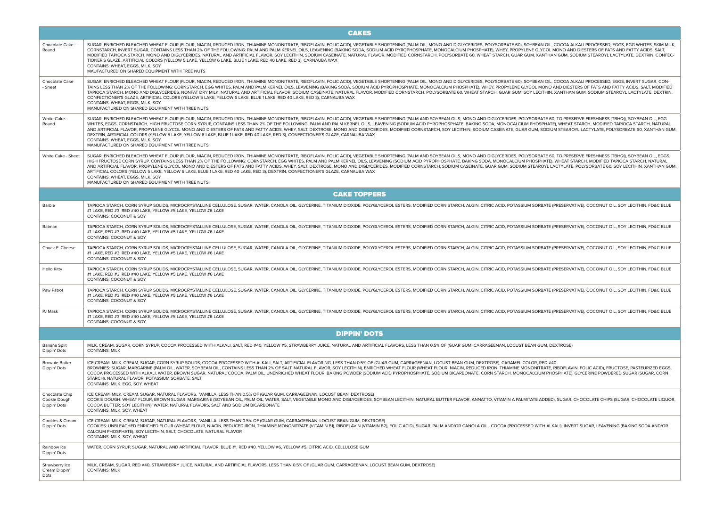|                                                | <b>CAKES</b>                                                                                                                                                                                                                                                                                                                                                                                                                                                                                                                                                                                                                                                                                                                                                                                                                                                                                                                |
|------------------------------------------------|-----------------------------------------------------------------------------------------------------------------------------------------------------------------------------------------------------------------------------------------------------------------------------------------------------------------------------------------------------------------------------------------------------------------------------------------------------------------------------------------------------------------------------------------------------------------------------------------------------------------------------------------------------------------------------------------------------------------------------------------------------------------------------------------------------------------------------------------------------------------------------------------------------------------------------|
| Chocolate Cake<br>Round                        | SUGAR, ENRICHED BLEACHED WHEAT FLOUR (FLOUR, NIACIN, REDUCED IRON, THIAMINE MONONITRATE, RIBOFLAVIN, FOLIC ACID), VEGETABLE SHORTENING (PALM OIL, MONO AND DIGLYCERIDES, POLYSORBATE 60), SOYBEAN OIL, COCOA ALKALI PROCESSED,<br>CORNSTARCH, INVERT SUGAR, CONTAINS LESS THAN 2% OF THE FOLLOWING: PALM AND PALM KERNEL OILS, LEAVENING (BAKING SODA, SODIUM ACID PYROPHOSPHATE, MONOCALCIUM PHOSPHATE), WHEY, PROPYLENE GLYCOL MONO AND DIESTERS OF FATS AND F<br>MODIFIED TAPIOCA STARCH, MONO AND DIGLYCERIDES, NATURAL AND ARTIFICIAL FLAVOR, SOY LECITHIN, SODIUM CASEINATE, NATURAL FLAVOR, MODIFIED CORNSTARCH, POLYSORBATE 60, WHEAT STARCH, GUAR GUM, XANTHAN GUM, SODIUM STEAROYL LACTY<br>TIONER'S GLAZE, ARTIFICIAL COLORS (YELLOW 5 LAKE, YELLOW 6 LAKE, BLUE 1 LAKE, RED 40 LAKE, RED 3), CARNAUBA WAX<br>CONTAINS: WHEAT, EGGS, MILK, SOY<br>MAUFACTURED ON SHARED EQUIPMENT WITH TREE NUTS                 |
| Chocolate Cake<br>- Sheet                      | SUGAR, ENRICHED BLEACHED WHEAT FLOUR (FLOUR, NIACIN, REDUCED IRON, THIAMINE MONONITRATE, RIBOFLAVIN, FOLIC ACID), VEGETABLE SHORTENING (PALM OIL, MONO AND DIGLYCERIDES, POLYSORBATE 60), SOYBEAN OIL, COCOA ALKALI PROCESSED,<br>TAINS LESS THAN 2% OF THE FOLLOWING: CORNSTARCH, EGG WHITES, PALM AND PALM KERNEL OILS, LEAVENING (BAKING SODA, SODIUM ACID PYROPHOSPHATE, MONOCALCIUM PHOSPHATE), WHEY, PROPYLENE GLYCOL MONO AND DIESTERS OF FATS AND FATTY<br>TAPIOCA STARCH, MONO AND DIGLYCERIDES, NONFAT DRY MILK, NATURAL AND ARTIFICIAL FLAVOR, SODIUM CASEINATE, NATURAL FLAVOR, MODIFIED CORNSTARCH, POLYSORBATE 60, WHEAT STARCH, GUAR GUM, SOY LECITHIN, XANTHAN GUM, SODIUM STEARO<br>CONFECTIONER'S GLAZE, ARTIFICIAL COLORS (YELLOW 5 LAKE, YELLOW 6 LAKE, BLUE 1 LAKE, RED 40 LAKE, RED 3), CARNAUBA WAX<br>CONTAINS: WHEAT, EGGS, MILK, SOY<br>MANUFACTURED ON SHARED EQUIPMENT WITH TREE NUTS           |
| White Cake -<br>Round                          | SUGAR, ENRICHED BLEACHED WHEAT FLOUR (FLOUR, NIACIN, REDUCED IRON, THIAMINE MONONITRATE, RIBOFLAVIN, FOLIC ACID), VEGETABLE SHORTENING (PALM AND SOYBEAN OILS, MONO AND DIGLYCERIDES, POLYSORBATE 60, TO PRESERVE FRESHNESS (T<br>WHITES, EGGS, CORNSTARCH, HIGH FRUCTOSE CORN SYRUP, CONTAINS LESS THAN 2% OF THE FOLLOWING: PALM AND PALM KERNEL OILS, LEAVENING (SODIUM ACID PYROPHOSPHATE, BAKING SODA, MONOCALCIUM PHOSPHATE), WHEAT STARCH, MODIFIED TAPIO<br>AND ARTIFICIAL FLAVOR, PROPYLENE GLYCOL MONO AND DIESTERS OF FATS AND FATTY ACIDS, WHEY, SALT, DEXTROSE, MONO AND DIGLYCERIDES, MODIFIED CORNSTARCH, SOY LECITHIN, SODIUM CASEINATE, GUAR GUM, SODIUM STEAROYL LACTYLATE, POLY<br>DEXTRIN, ARTIFICIAL COLORS (YELLOW 5 LAKE, YELLOW 6 LAKE, BLUE 1 LAKE, RED 40 LAKE, RED 3), CONFECTIONER'S GLAZE, CARNAUBA WAX<br>CONTAINS: WHEAT, EGGS, MILK, SOY<br>MANUFACTURED ON SHARED EQUIPMENT WITH TREE NUTS |
| White Cake - Sheet                             | SUGAR, ENRICHED BLEACHED WHEAT FLOUR (FLOUR, NIACIN, REDUCED IRON, THIAMINE MONONITRATE, RIBOFLAVIN, FOLIC ACID), VEGETABLE SHORTENING (PALM AND SOYBEAN OILS, MONO AND DIGLYCERIDES, POLYSORBATE 60, TO PRESERVE FRESHNESS (T<br>HIGH FRUCTOSE CORN SYRUP, CONTAINS LESS THAN 2% OF THE FOLLOWING: CORNSTARCH, EGG WHITES, PALM AND PALM KERNEL OILS, LEAVENING (SODIUM ACID PYROPHOSPHATE, BAKING SODA, MONOCALCIUM PHOSPHATE), WHEAT STARCH, MODIFIED TAPIOCA<br>AND ARTIFICIAL FLAVOR, PROPYLENE GLYCOL MONO AND DIESTERS OF FATS AND FATTY ACIDS, WHEY, SALT, DEXTROSE, MONO AND DIGLYCERIDES, MODIFIED CORNSTARCH, SODIUM CASEINATE, GUAR GUM, SODIUM STEAROYL LACTYLATE, POLYSORBATE 60, SO<br>ARTIFICIAL COLORS (YELLOW 5 LAKE, YELLOW 6 LAKE, BLUE 1 LAKE, RED 40 LAKE, RED 3), DEXTRIN, CONFECTIONER'S GLAZE, CARNAUBA WAX<br>CONTAINS: WHEAT, EGGS, MILK, SOY<br>MANUFACTURED ON SHARED EQUIPMENT WITH TREE NUTS |
|                                                | <b>CAKE TOPPERS</b>                                                                                                                                                                                                                                                                                                                                                                                                                                                                                                                                                                                                                                                                                                                                                                                                                                                                                                         |
| Barbie                                         | TAPIOCA STARCH, CORN SYRUP SOLIDS, MICROCRYSTALLINE CELLULOSE, SUGAR, WATER, CANOLA OIL, GLYCERINE, TITANIUM DIOXIDE, POLYGLYCEROL ESTERS, MODIFIED CORN STARCH, ALGIN, CITRIC ACID, POTASSIUM SORBATE (PRESERVATIVE), COCONUT<br>#1 LAKE, RED #3, RED #40 LAKE, YELLOW #5 LAKE, YELLOW #6 LAKE<br>CONTAINS: COCONUT & SOY                                                                                                                                                                                                                                                                                                                                                                                                                                                                                                                                                                                                  |
| Batman                                         | TAPIOCA STARCH, CORN SYRUP SOLIDS, MICROCRYSTALLINE CELLULOSE, SUGAR, WATER, CANOLA OIL, GLYCERINE, TITANIUM DIOXIDE, POLYGLYCEROL ESTERS, MODIFIED CORN STARCH, ALGIN, CITRIC ACID, POTASSIUM SORBATE (PRESERVATIVE), COCONUT<br>#1 LAKE, RED #3, RED #40 LAKE, YELLOW #5 LAKE, YELLOW #6 LAKE<br>CONTAINS: COCONUT & SOY                                                                                                                                                                                                                                                                                                                                                                                                                                                                                                                                                                                                  |
| Chuck E. Cheese                                | TAPIOCA STARCH, CORN SYRUP SOLIDS, MICROCRYSTALLINE CELLULOSE, SUGAR, WATER, CANOLA OIL, GLYCERINE, TITANIUM DIOXIDE, POLYGLYCEROL ESTERS, MODIFIED CORN STARCH, ALGIN, CITRIC ACID, POTASSIUM SORBATE (PRESERVATIVE), COCONUT<br>#1 LAKE, RED #3, RED #40 LAKE, YELLOW #5 LAKE, YELLOW #6 LAKE<br>CONTAINS: COCONUT & SOY                                                                                                                                                                                                                                                                                                                                                                                                                                                                                                                                                                                                  |
| <b>Hello Kitty</b>                             | TAPIOCA STARCH, CORN SYRUP SOLIDS, MICROCRYSTALLINE CELLULOSE, SUGAR, WATER, CANOLA OIL, GLYCERINE, TITANIUM DIOXIDE, POLYGLYCEROL ESTERS, MODIFIED CORN STARCH, ALGIN, CITRIC ACID, POTASSIUM SORBATE (PRESERVATIVE), COCONUT<br>#1 LAKE, RED #3, RED #40 LAKE, YELLOW #5 LAKE, YELLOW #6 LAKE<br>CONTAINS: COCONUT & SOY                                                                                                                                                                                                                                                                                                                                                                                                                                                                                                                                                                                                  |
| Paw Patrol                                     | TAPIOCA STARCH, CORN SYRUP SOLIDS, MICROCRYSTALLINE CELLULOSE, SUGAR, WATER, CANOLA OIL, GLYCERINE, TITANIUM DIOXIDE, POLYGLYCEROL ESTERS, MODIFIED CORN STARCH, ALGIN, CITRIC ACID, POTASSIUM SORBATE (PRESERVATIVE), COCONUT<br>#1 LAKE, RED #3, RED #40 LAKE, YELLOW #5 LAKE, YELLOW #6 LAKE<br>CONTAINS: COCONUT & SOY                                                                                                                                                                                                                                                                                                                                                                                                                                                                                                                                                                                                  |
| PJ Mask                                        | TAPIOCA STARCH, CORN SYRUP SOLIDS, MICROCRYSTALLINE CELLULOSE, SUGAR, WATER, CANOLA OIL, GLYCERINE, TITANIUM DIOXIDE, POLYGLYCEROL ESTERS, MODIFIED CORN STARCH, ALGIN, CITRIC ACID, POTASSIUM SORBATE (PRESERVATIVE), COCONUT<br>#1 LAKE, RED #3, RED #40 LAKE, YELLOW #5 LAKE, YELLOW #6 LAKE<br>CONTAINS: COCONUT & SOY                                                                                                                                                                                                                                                                                                                                                                                                                                                                                                                                                                                                  |
|                                                | <b>DIPPIN' DOTS</b>                                                                                                                                                                                                                                                                                                                                                                                                                                                                                                                                                                                                                                                                                                                                                                                                                                                                                                         |
| Banana Split<br>Dippin' Dots                   | MILK, CREAM, SUGAR, CORN SYRUP, COCOA PROCESSED WIITH ALKALI, SALT, RED #40, YELLOW #5, STRAWBERRY JUICE, NATURAL AND ARTIFICIAL FLAVORS, LESS THAN 0.5% OF (GUAR GUM, CARRAGEENAN, LOCUST BEAN GUM, DEXTROSE)<br><b>CONTAINS: MILK</b>                                                                                                                                                                                                                                                                                                                                                                                                                                                                                                                                                                                                                                                                                     |
| <b>Brownie Batter</b><br>Dippin' Dots          | ICE CREAM: MILK, CREAM, SUGAR, CORN SYRUP SOLIDS, COCOA PROCESSED WITH ALKALI, SALT, ARTIFICIAL FLAVORING, LESS THAN 0.5% OF (GUAR GUM, CARRAGEENAN, LOCUST BEAN GUM, DEXTROSE), CARAMEL COLOR, RED #40<br>BROWNIES: SUGAR, MARGARINE (PALM OIL, WATER, SOYBEAN OIL, CONTAINS LESS THAN 2% OF SALT, NATURAL FLAVOR, SOY LECITHIN), ENRICHED WHEAT FLOUR (WHEAT FLOUR, NIACIN, REDUCED IRON, THIAMINE MONONITRATE, RIBOFLAVIN, FOLIC ACID)<br>COCOA PROCESSED WITH ALKALI, WATER, BROWN SUGAR, NATURAL COCOA, PALM OIL, UNENRICHED WHEAT FLOUR, BAKING POWDER (SODIUM ACID PYROPHOSPHATE, SODIUM BICARBONATE, CORN STARCH, MONOCALCIUM PHOSPHATE), GLYCERINE POWDERED SUGAR<br>STARCH), NATURAL FLAVOR, POTASSIUM SORBATE, SALT<br>CONTAINS: MILK, EGG, SOY, WHEAT                                                                                                                                                           |
| Chocolate Chip<br>Cookie Dough<br>Dippin' Dots | ICE CREAM: MILK, CREAM, SUGAR, NATURAL FLAVORS, VANILLA, LESS THAN 0.5% OF (GUAR GUM, CARRAGEENAN, LOCUST BEAN, DEXTROSE)<br>COOKIE DOUGH: WHEAT FLOUR, BROWN SUGAR, MARGARINE (SOYBEAN OIL, PALM OIL, WATER, SALT, VEGETABLE MONO AND DIGLYCERIDES, SOYBEAN LECITHIN, NATURAL BUTTER FLAVOR, ANNATTO, VITAMIN A PALMITATE ADDED), SUGAR, CHOCOLATE CHIPS (<br>COCOA BUTTER, SOY LECITHIN), WATER, NATURAL FLAVORS, SALT AND SODIUM BICARBONATE<br>CONTAINS: MILK, SOY, WHEAT                                                                                                                                                                                                                                                                                                                                                                                                                                               |
| Cookies & Cream<br>Dippin' Dots                | ICE CREAM: MILK, CREAM, SUGAR, NATURAL FLAVORS, VANILLA, LESS THAN 0.5% OF (GUAR GUM, CARRAGEENAN, LOCUST BEAN GUM, DEXTROSE)<br>COOKIES: UNBLEACHED ENRICHED FLOUR (WHEAT FLOUR, NIACIN, REDUCED IRON, THIAMINE MONONITRATE (VITAMIN B1), RIBOFLAVIN (VITAMIN B2), FOLIC ACID), SUGAR, PALM AND/OR CANOLA OIL, COCOA (PROCESSED WITH ALKALI), INVERT SUGAR, LE<br>CALCIUM PHOSPHATE), SOY LECITHIN, SALT, CHOCOLATE, NATURAL FLAVOR<br>CONTAINS: MILK, SOY, WHEAT                                                                                                                                                                                                                                                                                                                                                                                                                                                          |
| Rainbow Ice<br>Dippin' Dots                    | WATER, CORN SYRUP, SUGAR, NATURAL AND ARTIFICIAL FLAVOR, BLUE #1, RED #40, YELLOW #6, YELLOW #5, CITRIC ACID, CELLULOSE GUM                                                                                                                                                                                                                                                                                                                                                                                                                                                                                                                                                                                                                                                                                                                                                                                                 |
| Strawberry Ice<br>Cream Dippin'<br>Dots        | MILK, CREAM, SUGAR, RED #40, STRAWBERRY JUICE, NATURAL AND ARTIFICIAL FLAVORS, LESS THAN 0.5% OF (GUAR GUM, CARRAGEENAN, LOCUST BEAN GUM, DEXTROSE)<br><b>CONTAINS: MILK</b>                                                                                                                                                                                                                                                                                                                                                                                                                                                                                                                                                                                                                                                                                                                                                |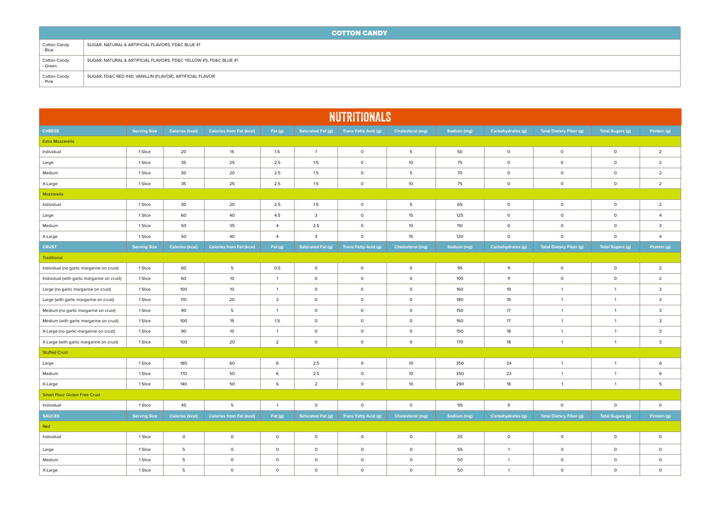|                         | <b>COTTON CANDY</b>                                               |  |  |  |  |  |  |  |  |
|-------------------------|-------------------------------------------------------------------|--|--|--|--|--|--|--|--|
| Cotton Candy<br>- Blue  | SUGAR, NATURAL & ARTIFICIAL FLAVORS, FD&C BLUE #1                 |  |  |  |  |  |  |  |  |
| Cotton Candy<br>- Green | SUGAR, NATURAL & ARTIFICIAL FLAVORS, FD&C YELLOW #5, FD&C BLUE #1 |  |  |  |  |  |  |  |  |
| Cotton Candy<br>- Pink  | SUGAR, FD&C RED #40, VANILLIN (FLAVOR), ARTIFICIAL FLAVOR         |  |  |  |  |  |  |  |  |

| <b>NUTRITIONALS</b>                         |                     |                        |                                 |                |                          |                             |                         |             |                          |                                |                         |                         |
|---------------------------------------------|---------------------|------------------------|---------------------------------|----------------|--------------------------|-----------------------------|-------------------------|-------------|--------------------------|--------------------------------|-------------------------|-------------------------|
| <b>CHEESE</b>                               | <b>Serving Size</b> | <b>Calories (kcal)</b> | <b>Calories from Fat (kcal)</b> | Fat (g)        | Saturated Fat (g)        | <b>Trans Fatty Acid (g)</b> | Cholesterol (mg)        | Sodium (mg) | <b>Carbohydrates (g)</b> | <b>Total Dietary Fiber (g)</b> | <b>Total Sugars (g)</b> | Protein (g)             |
| Extra Mozzarella                            |                     |                        |                                 |                |                          |                             |                         |             |                          |                                |                         |                         |
| Individual                                  | 1 Slice             | 20                     | 15                              | 1.5            | $\mathbf{1}$             | $\circ$                     | 5                       | 50          | $\circ$                  | $\circ$                        | $\circ$                 | $\overline{2}$          |
| Large                                       | 1 Slice             | 35                     | 25                              | 2.5            | 1.5                      | $\circ$                     | 10                      | 75          | $\circ$                  | $\circ$                        | $\circ$                 | $\overline{2}$          |
| Medium                                      | 1 Slice             | 30                     | 20                              | 2.5            | 1.5                      | $\circ$                     | 5                       | 70          | $\circ$                  | $\circ$                        | $\circ$                 | $\overline{2}$          |
| X-Large                                     | 1 Slice             | 35                     | 25                              | 2.5            | 1.5                      | $\mathsf{O}\xspace$         | 10                      | 75          | $\circ$                  | $\circ$                        | $\circ$                 | $\overline{2}$          |
| Mozzarella                                  |                     |                        |                                 |                |                          |                             |                         |             |                          |                                |                         |                         |
| Individual                                  | 1 Slice             | 30                     | 20                              | 2.5            | 1.5                      | $\circ$                     | 5                       | 65          | $\circ$                  | $\circ$                        | $\circ$                 | $\overline{2}$          |
| Large                                       | 1 Slice             | 60                     | 40                              | 4.5            | $\overline{3}$           | $\mathsf{O}$                | 15                      | 125         | $\circ$                  | $\circ$                        | $\circ$                 | $\overline{4}$          |
| Medium                                      | 1 Slice             | 50                     | 35                              | $\overline{4}$ | 2.5                      | $\circ$                     | 10                      | 110         | $\circ$                  | $\circ$                        | $\circ$                 | $\overline{3}$          |
| X-Large                                     | 1 Slice             | 50                     | 40                              | $\overline{4}$ | $\overline{\mathbf{3}}$  | $\mathsf{O}\xspace$         | 15                      | 120         | $\circ$                  | $\circ$                        | $\circ$                 | $\overline{4}$          |
| <b>CRUST</b>                                | <b>Serving Size</b> | <b>Calories (kcal)</b> | <b>Calories from Fat (kcal)</b> | Fat (g)        | <b>Saturated Fat (g)</b> | <b>Trans Fatty Acid (g)</b> | <b>Cholesterol (mg)</b> | Sodium (mg) | Carbohydrates (g)        | <b>Total Dietary Fiber (g)</b> | <b>Total Sugars (g)</b> | Protein (g)             |
| Traditional                                 |                     |                        |                                 |                |                          |                             |                         |             |                          |                                |                         |                         |
| Individual (no garlic margarine on crust)   | 1 Slice             | 60                     | 5                               | 0.5            | $\circ$                  | $\mathsf{O}\xspace$         | $\circ$                 | 95          | 11                       | $\circ$                        | $\circ$                 | $\overline{2}$          |
| Individual (with garlic margarine on crust) | 1 Slice             | 60                     | 10 <sup>°</sup>                 | $\overline{1}$ | $\circ$                  | $\mathsf{o}$                | $\circ$                 | 105         | 11                       | $\circ$                        | $\circ$                 | $\overline{2}$          |
| Large (no garlic margarine on crust)        | 1 Slice             | 100                    | 10 <sup>°</sup>                 | $\overline{1}$ | $\circ$                  | $\circ$                     | $\circ$                 | 160         | 19                       | $\overline{1}$                 | $\mathbf{1}$            | $\mathbf{3}$            |
| Large (with garlic margarine on crust)      | 1 Slice             | 110                    | 20                              | $\overline{2}$ | $\circ$                  | $\circ$                     | $\circ$                 | 180         | 19                       | $\mathbf{1}$                   | $\overline{1}$          | $\mathbf{3}$            |
| Medium (no garlic margarine on crust)       | 1 Slice             | 90                     | 5                               | $\overline{1}$ | $\circ$                  | $\mathsf{O}\xspace$         | $\circ$                 | 150         | 17                       | $\mathbf{1}$                   | $\overline{1}$          | $\mathbf{3}$            |
| Medium (with garlic margarine on crust)     | 1 Slice             | 100                    | 15                              | 1.5            | $\circ$                  | $\circ$                     | $\circ$                 | 160         | 17                       | $\overline{1}$                 | $\overline{1}$          | $\mathbf{3}$            |
| X-Large (no garlic margarine on crust)      | 1 Slice             | 90                     | 10                              | $\overline{1}$ | $\circ$                  | $\circ$                     | $\circ$                 | 150         | 18                       | $\mathbf{1}$                   | $\mathbf{1}$            | $\overline{\mathbf{3}}$ |
| X-Large (with garlic margarine on crust)    | 1 Slice             | 100                    | 20                              | $\overline{2}$ | $\circ$                  | $\circ$                     | $\circ$                 | 170         | 18                       | $\overline{1}$                 | $\mathbf{1}$            | $\overline{\mathbf{3}}$ |
| <b>Stuffed Crust</b>                        |                     |                        |                                 |                |                          |                             |                         |             |                          |                                |                         |                         |
| Large                                       | 1 Slice             | 180                    | 60                              | $\,$ 6         | 2.5                      | $\circ$                     | 10                      | 350         | 24                       | $\overline{1}$                 | $\overline{1}$          | 6                       |
| Medium                                      | 1 Slice             | 170                    | 50                              | 6              | 2.5                      | $\circ$                     | 10 <sup>°</sup>         | 350         | 23                       | $\mathbf{1}$                   | $\overline{1}$          | 6                       |
| X-Large                                     | 1 Slice             | 140                    | 50                              | 6              | $\overline{2}$           | $\circ$                     | 10 <sup>°</sup>         | 290         | 18                       | $\overline{1}$                 | $\overline{1}$          | 5                       |
| <b>Smart Flour Gluten Free Crust</b>        |                     |                        |                                 |                |                          |                             |                         |             |                          |                                |                         |                         |
| Individual                                  | 1 Slice             | 45                     | 5                               | $\overline{1}$ | $\circ$                  | $\circ$                     | $\circ$                 | 95          | 9                        | $\circ$                        | $\circ$                 | $\circ$                 |
| <b>SAUCES</b>                               | <b>Serving Size</b> | <b>Calories (kcal)</b> | <b>Calories from Fat (kcal)</b> | Fat (g)        | <b>Saturated Fat (g)</b> | <b>Trans Fatty Acid (g)</b> | Cholesterol (mg)        | Sodium (mg) | Carbohydrates (g)        | <b>Total Dietary Fiber (g)</b> | <b>Total Sugars (g)</b> | Protein (g)             |
| Red                                         |                     |                        |                                 |                |                          |                             |                         |             |                          |                                |                         |                         |
| Individual                                  | 1 Slice             | $\circ$                | $\circ$                         | $\circ$        | $\circ$                  | $\circ$                     | $\circ$                 | 25          | $\circ$                  | $\circ$                        | $\circ$                 | $\circ$                 |
| Large                                       | 1 Slice             | 5                      | $\circ$                         | $\circ$        | $\circ$                  | $\circ$                     | $\circ$                 | 55          | $\overline{1}$           | $\circ$                        | $\circ$                 | $\circ$                 |
| Medium                                      | 1 Slice             | 5                      | $\circ$                         | $\circ$        | $\circ$                  | $\circ$                     | $\circ$                 | 50          | $\overline{1}$           | $\circ$                        | $\circ$                 | $\circ$                 |
| X-Large                                     | 1 Slice             | 5                      | $\circ$                         | $\Omega$       | $\circ$                  | $\circ$                     | $\circ$                 | 50          | $\overline{1}$           | $\circ$                        | $\Omega$                | $\circ$                 |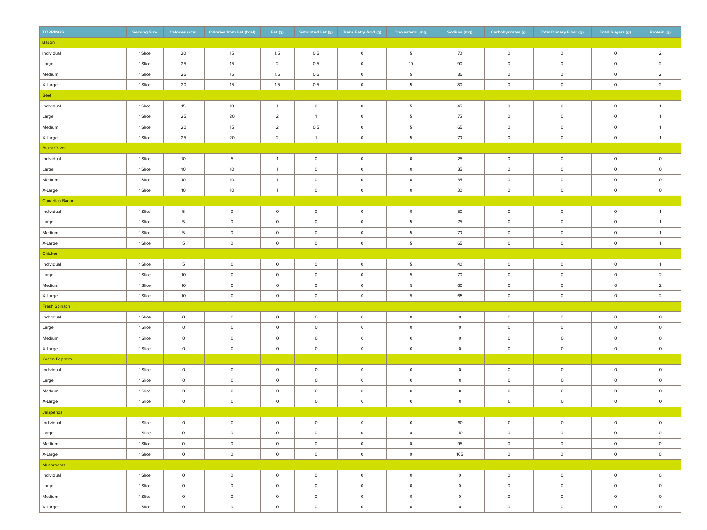| <b>TOPPINGS</b>      | <b>Serving Size</b> | <b>Calories (kcal)</b> | <b>Calories from Fat (kcal)</b> | Fat (g)        | <b>Saturated Fat (g)</b> | <b>Trans Fatty Acid (g)</b> | Cholesterol (mg)    | Sodium (mg) | Carbohydrates (g) | <b>Total Dietary Fiber (g)</b> | <b>Total Sugars (g)</b> | Protein (g)         |
|----------------------|---------------------|------------------------|---------------------------------|----------------|--------------------------|-----------------------------|---------------------|-------------|-------------------|--------------------------------|-------------------------|---------------------|
| Bacon                |                     |                        |                                 |                |                          |                             |                     |             |                   |                                |                         |                     |
| Individual           | 1 Slice             | 20                     | 15                              | 1.5            | 0.5                      | $\circ$                     | 5                   | 70          | $\circ$           | $\mathsf{O}$                   | $\circ$                 | $\overline{2}$      |
| Large                | 1 Slice             | 25                     | 15                              | $\overline{2}$ | 0.5                      | $\circ$                     | 10                  | 90          | $\circ$           | $\mathsf{O}$                   | $\circ$                 | $\overline{2}$      |
| Medium               | 1 Slice             | 25                     | 15                              | 1.5            | 0.5                      | $\circ$                     | 5                   | 85          | $\circ$           | $\mathsf{O}$                   | $\circ$                 | $\overline{2}$      |
| X-Large              | 1 Slice             | 20                     | 15                              | 1.5            | 0.5                      | $\circ$                     | 5                   | 80          | $\circ$           | $\mathsf{O}$                   | $\circ$                 | $\overline{2}$      |
| Beef                 |                     |                        |                                 |                |                          |                             |                     |             |                   |                                |                         |                     |
| Individual           | 1 Slice             | 15                     | 10                              | $\overline{1}$ | $\circ$                  | $\circ$                     | 5                   | 45          | $\circ$           | $\mathsf{O}$                   | $\circ$                 | $\mathbf{1}$        |
| Large                | 1 Slice             | 25                     | 20                              | $\overline{2}$ | $\overline{1}$           | $\circ$                     | 5                   | 75          | $\circ$           | $\mathsf{O}$                   | $\circ$                 | $\mathbf{1}$        |
| Medium               | 1 Slice             | 20                     | 15                              | $\overline{2}$ | 0.5                      | $\circ$                     | 5                   | 65          | $\circ$           | $\circ$                        | $\circ$                 | $\mathbf{1}$        |
| X-Large              | 1 Slice             | 25                     | 20                              | $\overline{2}$ | $\overline{1}$           | $\circ$                     | 5                   | 70          | $\circ$           | $\mathsf{O}$                   | $\circ$                 | $\mathbf{1}$        |
| <b>Black Olives</b>  |                     |                        |                                 |                |                          |                             |                     |             |                   |                                |                         |                     |
| Individual           | 1 Slice             | 10                     | 5                               | $\overline{1}$ | $\circ$                  | $\circ$                     | $\circ$             | 25          | $\circ$           | $\circ$                        | $\circ$                 | $\mathsf{O}\xspace$ |
| Large                | 1 Slice             | 10                     | 10 <sup>°</sup>                 | $\overline{1}$ | $\circ$                  | $\circ$                     | $\circ$             | 35          | $\circ$           | $\circ$                        | $\circ$                 | $\mathsf{O}\xspace$ |
| Medium               | 1 Slice             | 10                     | 10 <sup>°</sup>                 | $\overline{1}$ | $\circ$                  | $\circ$                     | $\circ$             | 35          | $\circ$           | $\circ$                        | $\circ$                 | $\mathsf{O}\xspace$ |
| X-Large              | 1 Slice             | 10                     | 10 <sup>10</sup>                | $\overline{1}$ | $\circ$                  | $\circ$                     | $\circ$             | 30          | $\circ$           | $\circ$                        | $\circ$                 | $\circ$             |
| Canadian Bacon       |                     |                        |                                 |                |                          |                             |                     |             |                   |                                |                         |                     |
| Individual           | 1 Slice             | 5                      | $\circ$                         | $\circ$        | $\circ$                  | $\mathsf{O}$                | $\circ$             | 50          | $\circ$           | $\circ$                        | $\circ$                 | $\mathbf{1}$        |
| Large                | 1 Slice             | 5                      | $\circ$                         | $\circ$        | $\circ$                  | $\mathsf{O}$                | 5                   | 75          | $\circ$           | $\circ$                        | $\circ$                 | $\mathbf{1}$        |
| Medium               | 1 Slice             | $\overline{5}$         | $\circ$                         | $\circ$        | $\circ$                  | $\circ$                     | 5                   | 70          | $\circ$           | $\circ$                        | $\circ$                 | $\mathbf{1}$        |
| X-Large              | 1 Slice             | 5                      | $\circ$                         | $\circ$        | $\circ$                  | $\mathsf{O}$                | 5                   | 65          | $\circ$           | $\circ$                        | $\circ$                 | $\mathbf{1}$        |
| Chicken              |                     |                        |                                 |                |                          |                             |                     |             |                   |                                |                         |                     |
| Individual           | 1 Slice             | 5                      | $\circ$                         | $\circ$        | $\circ$                  | $\mathsf{O}$                | 5                   | 40          | $\circ$           | $\circ$                        | $\mathsf{o}$            | $\mathbf{1}$        |
| Large                | 1 Slice             | 10                     | $\circ$                         | $\circ$        | $\circ$                  | $\circ$                     | 5                   | 70          | $\circ$           | $\circ$                        | $\circ$                 | $\overline{2}$      |
| Medium               | 1 Slice             | 10                     | $\circ$                         | $\circ$        | $\circ$                  | $\circ$                     | 5                   | 60          | $\circ$           | $\circ$                        | $\circ$                 | $\overline{2}$      |
| X-Large              | 1 Slice             | 10                     | $\circ$                         | $\mathsf{O}$   | $\circ$                  | $\circ$                     | 5                   | 65          | $\mathsf 0$       | $\circ$                        | $\mathsf{o}$            | $\overline{2}$      |
| Fresh Spinach        |                     |                        |                                 |                |                          |                             |                     |             |                   |                                |                         |                     |
| Individual           | 1 Slice             | $\circ$                | $\circ$                         | $\circ$        | $\circ$                  | $\circ$                     | $\circ$             | $\circ$     | $\mathsf 0$       | $\circ$                        | $\circ$                 | $\circ$             |
| Large                | 1 Slice             | $\circ$                | $\circ$                         | $\circ$        | $\circ$                  | $\circ$                     | $\circ$             | $\circ$     | $\mathsf 0$       | $\circ$                        | $\circ$                 | $\circ$             |
| Medium               | 1 Slice             | $\circ$                | $\circ$                         | $\circ$        | $\circ$                  | $\circ$                     | $\circ$             | $\circ$     | $\circ$           | $\circ$                        | $\circ$                 | $\circ$             |
| X-Large              | 1 Slice             | $\circ$                | $\circ$                         | $\circ$        | $\circ$                  | $\circ$                     | $\mathsf{O}\xspace$ | $\circ$     | $\mathsf 0$       | $\circ$                        | $\mathsf{o}$            | $\mathsf{O}\xspace$ |
| <b>Green Peppers</b> |                     |                        |                                 |                |                          |                             |                     |             |                   |                                |                         |                     |
| Individual           | 1 Slice             | $\circ$                | $\circ$                         | $\circ$        | $\circ$                  | $\circ$                     | $\circ$             | $\circ$     | $\circ$           | $\circ$                        | $\circ$                 | $\circ$             |
| Large                | 1 Slice             | $\circ$                | $\circ$                         | $\circ$        | $\circ$                  | $\circ$                     | $\circ$             | $\circ$     | $\circ$           | $\circ$                        | $\circ$                 | $\circ$             |
| Medium               | 1 Slice             | $\circ$                | $\circ$                         | $\circ$        | $\circ$                  | $\circ$                     | $\circ$             | $\circ$     | $\circ$           | $\circ$                        | $\mathsf{O}$            | $\circ$             |
| X-Large              | 1 Slice             | $\circ$                | $\circ$                         | $\circ$        | $\circ$                  | $\circ$                     | $\circ$             | $\circ$     | $\circ$           | $\circ$                        | $\mathsf{O}$            | $\circ$             |
| Jalapenos            |                     |                        |                                 |                |                          |                             |                     |             |                   |                                |                         |                     |
| Individual           | 1 Slice             | $\circ$                | - 0                             | $\circ$        | 0                        | <b>U</b>                    | $\cup$              | 60          | $\circ$           | U                              | U                       | $\circ$             |
| Large                | 1 Slice             | $\circ$                | $\circ$                         | $\circ$        | $\circ$                  | $\circ$                     | $\circ$             | 110         | $\circ$           | $\circ$                        | $\circ$                 | $\mathsf{O}$        |
| Medium               | 1 Slice             | $\circ$                | $\circ$                         | $\circ$        | $\circ$                  | $\circ$                     | $\circ$             | 95          | $\circ$           | $\circ$                        | $\circ$                 | $\mathsf{O}$        |
| X-Large              | 1 Slice             | $\circ$                | $\circ$                         | $\circ$        | $\circ$                  | $\circ$                     | $\circ$             | 105         | $\circ$           | $\circ$                        | $\circ$                 | $\mathsf{O}$        |
| Mushrooms            |                     |                        |                                 |                |                          |                             |                     |             |                   |                                |                         |                     |
| Individual           | 1 Slice             | $\circ$                | $\circ$                         | $\circ$        | $\circ$                  | $\circ$                     | $\circ$             | $\circ$     | $\circ$           | $\circ$                        | $\circ$                 | $\circ$             |
| Large                | 1 Slice             | $\circ$                | $\circ$                         | $\circ$        | $\circ$                  | $\circ$                     | $\circ$             | $\circ$     | $\circ$           | $\circ$                        | $\circ$                 | $\circ$             |
| Medium               | 1 Slice             | $\circ$                | $\circ$                         | $\circ$        | $\circ$                  | $\circ$                     | $\circ$             | $\circ$     | $\circ$           | $\circ$                        | $\circ$                 | $\circ$             |
| X-Large              | 1 Slice             | $\circ$                | $\circ$                         | $\circ$        | $\circ$                  | $\circ$                     | $\circ$             | $\circ$     | $\circ$           | $\circ$                        | $\bullet$               | $\circ$             |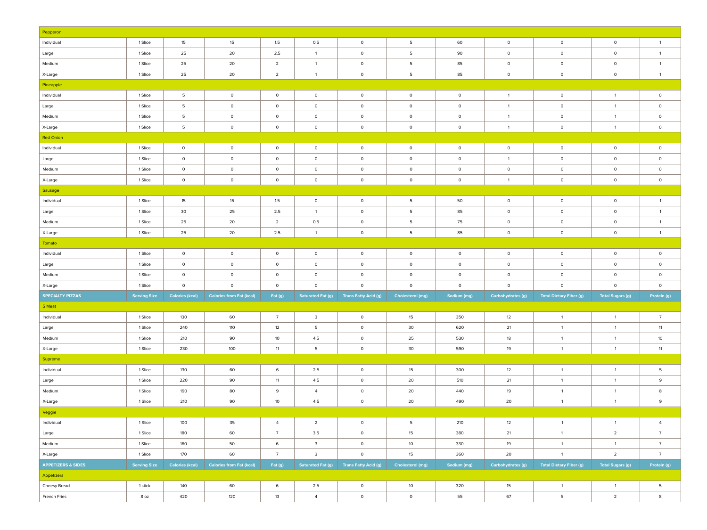| Pepperoni                     |                     |                        |                                 |                 |                          |                             |                         |              |                          |                                |                         |                 |
|-------------------------------|---------------------|------------------------|---------------------------------|-----------------|--------------------------|-----------------------------|-------------------------|--------------|--------------------------|--------------------------------|-------------------------|-----------------|
| Individual                    | 1 Slice             | 15                     | 15                              | $1.5\,$         | 0.5                      | $\circ$                     | $5\phantom{.0}$         | 60           | $\circ$                  | $\circ$                        | $\circ$                 | $\overline{1}$  |
| Large                         | 1 Slice             | 25                     | 20                              | 2.5             | $\overline{1}$           | $\circ$                     | 5                       | 90           | $\circ$                  | $\circ$                        | $\circ$                 | $\overline{1}$  |
| Medium                        | 1 Slice             | 25                     | 20                              | $\overline{2}$  | $\overline{1}$           | $\circ$                     | 5                       | 85           | $\circ$                  | $\circ$                        | $\circ$                 | $\overline{1}$  |
| X-Large                       | 1 Slice             | 25                     | 20                              | $\overline{2}$  | $\overline{1}$           | $\circ$                     | 5                       | 85           | $\circ$                  | $\circ$                        | $\circ$                 | $\overline{1}$  |
| Pineapple                     |                     |                        |                                 |                 |                          |                             |                         |              |                          |                                |                         |                 |
| Individual                    | 1 Slice             | $5\phantom{.0}$        | $\circ$                         | $\circ$         | $\circ$                  | $\circ$                     | $\circ$                 | $\circ$      | $\overline{1}$           | $\circ$                        | $\mathbf{1}$            | $\circ$         |
| Large                         | 1 Slice             | 5                      | $\circ$                         | $\circ$         | $\circ$                  | $\circ$                     | $\circ$                 | $\mathsf{O}$ | $\overline{1}$           | 0                              | $\mathbf{1}$            | $\circ$         |
| Medium                        | 1 Slice             | $\overline{5}$         | $\circ$                         | $\circ$         | $\mathsf{O}$             | $\mathsf{O}$                | $\circ$                 | $\circ$      | $\overline{1}$           | $\circ$                        | $\mathbf{1}$            | $\circ$         |
| X-Large                       | 1 Slice             | $\overline{5}$         | $\circ$                         | $\circ$         | $\mathsf{O}$             | $\mathsf{O}\xspace$         | $\circ$                 | $\circ$      | $\overline{1}$           | $\circ$                        | $\mathbf{1}$            | $\circ$         |
| <b>Red Onion</b>              |                     |                        |                                 |                 |                          |                             |                         |              |                          |                                |                         |                 |
| Individual                    | 1 Slice             | $\circ$                | $\circ$                         | $\circ$         | $\circ$                  | $\mathsf{O}$                | $\circ$                 | $\circ$      | $\circ$                  | $\circ$                        | $\mathsf{o}\,$          | $\circ$         |
| Large                         | 1 Slice             | $\circ$                | $\circ$                         | $\circ$         | $\mathsf{O}$             | $\mathsf{O}$                | $\circ$                 | $\circ$      | $\overline{1}$           | $\circ$                        | $\circ$                 | $\circ$         |
| Medium                        | 1 Slice             | $\circ$                | $\circ$                         | $\circ$         | $\mathsf{O}$             | $\mathsf{O}$                | $\circ$                 | $\circ$      | $\circ$                  | $\circ$                        | $\circ$                 | $\circ$         |
| X-Large                       | 1 Slice             | $\circ$                | $\circ$                         | $\circ$         | $\mathsf{O}$             | $\mathsf{O}\xspace$         | $\circ$                 | $\circ$      | $\overline{1}$           | $\circ$                        | $\mathsf{o}\,$          | $\circ$         |
| Sausage                       |                     |                        |                                 |                 |                          |                             |                         |              |                          |                                |                         |                 |
| Individual                    | 1 Slice             | 15                     | 15                              | 1.5             | $\mathsf{O}$             | $\mathsf{O}$                | 5                       | 50           | $\circ$                  | $\mathsf{O}$                   | $\mathsf{o}\,$          | $\mathbf{1}$    |
| Large                         | 1 Slice             | 30                     | 25                              | 2.5             | $\overline{1}$           | $\circ$                     | 5                       | 85           | $\circ$                  | $\circ$                        | $\circ$                 | $\blacksquare$  |
| Medium                        | 1 Slice             | 25                     | 20                              | $\overline{2}$  | 0.5                      | $\mathsf{O}$                | 5                       | 75           | $\circ$                  | $\circ$                        | $\circ$                 | $\overline{1}$  |
| X-Large                       | 1 Slice             | 25                     | 20                              | 2.5             | $\overline{1}$           | $\mathsf{O}\xspace$         | 5                       | 85           | $\circ$                  | $\circ$                        | $\circ$                 | $\blacksquare$  |
| Tomato                        |                     |                        |                                 |                 |                          |                             |                         |              |                          |                                |                         |                 |
| Individual                    | 1 Slice             | $\circ$                | $\circ$                         | $\circ$         | $\circ$                  | $\mathsf{O}$                | $\circ$                 | $\circ$      | $\circ$                  | $\mathsf{O}$                   | $\mathsf{o}\,$          | $\circ$         |
| Large                         | 1 Slice             | $\circ$                | $\circ$                         | $\circ$         | $\circ$                  | $\mathsf{O}\xspace$         | $\circ$                 | $\circ$      | $\circ$                  | $\mathsf{O}\xspace$            | $\mathsf{O}$            | $\circ$         |
| Medium                        | 1 Slice             | $\circ$                | $\circ$                         | $\circ$         | $\mathsf{O}$             | $\mathsf{O}$                | $\circ$                 | $\circ$      | $\circ$                  | $\mathsf{O}\xspace$            | $\circ$                 | $\circ$         |
| X-Large                       | 1 Slice             | $\circ$                | $\circ$                         | $\circ$         | $\circ$                  | $\mathsf{o}$                | $\circ$                 | $\circ$      | $\circ$                  | $\circ$                        | $\circ$                 | $\circ$         |
| <b>SPECIALTY PIZZAS</b>       | <b>Serving Size</b> | <b>Calories (kcal)</b> | <b>Calories from Fat (kcal)</b> | Fat (g)         | <b>Saturated Fat (g)</b> | <b>Trans Fatty Acid (g)</b> | <b>Cholesterol (mg)</b> | Sodium (mg)  | <b>Carbohydrates (g)</b> | <b>Total Dietary Fiber (g)</b> | <b>Total Sugars (g)</b> | Protein (g)     |
| 5 Meat                        |                     |                        |                                 |                 |                          |                             |                         |              |                          |                                |                         |                 |
| Individual                    | 1 Slice             | 130                    | 60                              | $\overline{7}$  | $\overline{\mathbf{3}}$  | $\circ$                     | 15                      | 350          | 12                       | $\overline{1}$                 | $\mathbf{1}$            | $7\overline{ }$ |
| Large                         | 1 Slice             | 240                    | 110                             | 12              | 5                        | $\circ$                     | 30                      | 620          | 21                       | $\overline{1}$                 | $\mathbf{1}$            | 11              |
| Medium                        | 1 Slice             | 210                    | 90                              | 10              | 4.5                      | $\circ$                     | 25                      | 530          | 18                       | $\overline{1}$                 | $\mathbf{1}$            | 10              |
| X-Large                       | 1 Slice             | 230                    | 100                             | 11              | 5                        | $\circ$                     | 30                      | 590          | 19                       | $\mathbf{1}$                   | $\overline{1}$          | 11              |
| Supreme                       |                     |                        |                                 |                 |                          |                             |                         |              |                          |                                |                         |                 |
| Individual                    | 1 Slice             | 130                    | 60                              | 6               | 2.5                      | $\circ$                     | 15                      | 300          | 12                       | $\mathbf{1}$                   | $\mathbf{1}$            | 5               |
| Large                         | 1 Slice             | 220                    | 90                              | 11              | 4.5                      | $\circ$                     | 20                      | 510          | 21                       | $\mathbf{1}$                   | $\mathbf{1}$            | 9               |
| Medium                        | 1 Slice             | 190                    | 80                              | 9               | $\overline{4}$           | $\circ$                     | 20                      | 440          | 19                       | $\mathbf{1}$                   | $\mathbf{1}$            | 8               |
| X-Large                       | 1 Slice             | 210                    | 90                              | 10              | 4.5                      | $\circ$                     | 20                      | 490          | 20                       | $\mathbf{1}$                   | $\overline{1}$          | 9               |
| Veggie                        |                     |                        |                                 |                 |                          |                             |                         |              |                          |                                |                         |                 |
| Individual                    | 1 Slice             | 100                    | 35                              | $\overline{4}$  | $\overline{2}$           | $\circ$                     | - 5                     | 210          | 12                       | $\overline{1}$                 | $\overline{1}$          | 4               |
| Large                         | 1 Slice             | 180                    | 60                              | $7\overline{ }$ | 3.5                      | $\mathsf{O}$                | 15                      | 380          | 21                       | $\overline{1}$                 | $\overline{2}$          | $7\overline{ }$ |
| Medium                        | 1 Slice             | 160                    | 50                              | 6               | $\overline{\mathbf{3}}$  | $\mathsf{O}$                | 10                      | 330          | 19                       | $\overline{1}$                 | $\mathbf{1}$            | 7               |
| X-Large                       | 1 Slice             | 170                    | 60                              | $7\overline{ }$ | $\overline{\mathbf{3}}$  | $\mathsf{O}\xspace$         | 15                      | 360          | 20                       | $\overline{1}$                 | $\overline{2}$          | 7 <sup>7</sup>  |
| <b>APPETIZERS &amp; SIDES</b> | <b>Serving Size</b> | <b>Calories (kcal)</b> | <b>Calories from Fat (kcal)</b> | Fat (g)         | Saturated Fat (g)        | <b>Trans Fatty Acid (g)</b> | <b>Cholesterol</b> (mg) | Sodium (mg)  | Carbohydrates (g)        | <b>Total Dietary Fiber (g)</b> | <b>Total Sugars (g)</b> | Protein (g)     |
|                               |                     |                        |                                 |                 |                          |                             |                         |              |                          |                                |                         |                 |
|                               |                     |                        |                                 |                 |                          |                             |                         |              |                          |                                |                         |                 |
| Appetizers                    | 1 stick             | 140                    | 60                              | 6               | 2.5                      | $\circ$                     | 10                      | 320          | 15                       | $\overline{1}$                 | $\mathbf{1}$            | $5\phantom{.0}$ |
| Cheesy Bread<br>French Fries  | 8 oz                | 420                    | 120                             | 13              | $\overline{4}$           | $\mathsf{O}$                | $\circ$                 | 55           | 67                       | $5^{\circ}$                    | $\overline{2}$          | 8               |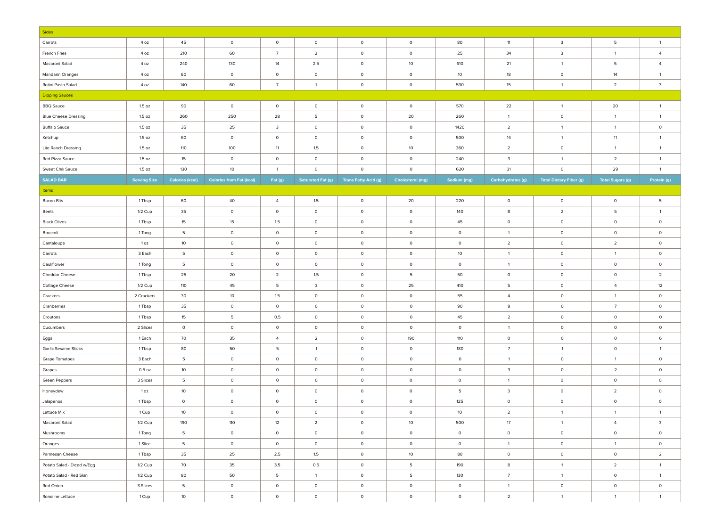| Sides                       |                     |                        |                                 |                         |                          |                             |                  |             |                         |                                |                         |                         |
|-----------------------------|---------------------|------------------------|---------------------------------|-------------------------|--------------------------|-----------------------------|------------------|-------------|-------------------------|--------------------------------|-------------------------|-------------------------|
| Carrots                     | 4 oz                | 45                     | $\circ$                         | $\circ$                 | $\circ$                  | $\circ$                     | $\circ$          | 80          | $11$                    | $\mathbf{3}$                   | $5\phantom{.0}$         | $\overline{1}$          |
| French Fries                | 4 oz                | 210                    | 60                              | $\overline{7}$          | $\overline{2}$           | $\mathsf{O}$                | $\circ$          | 25          | 34                      | $\mathbf{3}$                   | $\mathbf{1}$            | $\overline{4}$          |
| Macaroni Salad              | 4 oz                | 240                    | 130                             | 14                      | 2.5                      | $\mathsf{O}$                | 10               | 610         | 21                      | $\overline{1}$                 | 5                       | $\overline{4}$          |
| <b>Mandarin Oranges</b>     | 4 oz                | 60                     | $\circ$                         | $\circ$                 | $\circ$                  | $\mathsf{O}$                | $\circ$          | 10          | 18                      | $\circ$                        | 14                      | $\mathbf{1}$            |
| Rotini Pasta Salad          | 4 oz                | 140                    | 60                              | $\overline{7}$          | $\overline{1}$           | $\mathsf{O}$                | $\circ$          | 530         | 15                      | $\overline{1}$                 | $\overline{2}$          | $\overline{\mathbf{3}}$ |
| <b>Dipping Sauces</b>       |                     |                        |                                 |                         |                          |                             |                  |             |                         |                                |                         |                         |
| <b>BBQ Sauce</b>            | 1.5 oz              | 90                     | $\circ$                         | $\circ$                 | $\circ$                  | $\circ$                     | $\circ$          | 570         | 22                      | $\overline{1}$                 | 20                      | $\mathbf{1}$            |
| <b>Blue Cheese Dressing</b> | 1.5 oz              | 260                    | 250                             | 28                      | 5                        | $\mathsf{O}$                | 20               | 260         | $\overline{1}$          | $\circ$                        | $\mathbf{1}$            | $\mathbf{1}$            |
| <b>Buffalo Sauce</b>        | 1.5 oz              | 35                     | 25                              | $\overline{\mathbf{3}}$ | $\circ$                  | $\mathsf{O}$                | $\circ$          | 1420        | $\overline{2}$          | $\overline{1}$                 | $\mathbf{1}$            | $\circ$                 |
| Ketchup                     | 1.5 oz              | 60                     | $\circ$                         | $\circ$                 | $\circ$                  | $\circ$                     | $\circ$          | 500         | 14                      | $\overline{1}$                 | 11                      | $\mathbf{1}$            |
| Lite Ranch Dressing         | 1.5 oz              | 110                    | 100                             | 11                      | 1.5                      | $\mathsf{O}$                | 10               | 360         | $\overline{2}$          | $\circ$                        | $\mathbf{1}$            | $\mathbf{1}$            |
| Red Pizza Sauce             | 1.5 oz              | 15                     | $\circ$                         | $\circ$                 | $\circ$                  | $\mathsf{O}$                | $\circ$          | 240         | $\overline{\mathbf{3}}$ | $\overline{1}$                 | $\overline{2}$          | $\mathbf{1}$            |
| Sweet Chili Sauce           | 1.5 oz              | 130                    | $10$                            | $\overline{1}$          | $\mathsf{o}$             | $\circ$                     | $\circ$          | 620         | 31                      | $\circ$                        | 29                      | $\mathbf{1}$            |
| <b>SALAD BAR</b>            | <b>Serving Size</b> | <b>Calories (kcal)</b> | <b>Calories from Fat (kcal)</b> | Fat (g)                 | <b>Saturated Fat (g)</b> | <b>Trans Fatty Acid (g)</b> | Cholesterol (mg) | Sodium (mg) | Carbohydrates (g)       | <b>Total Dietary Fiber (g)</b> | <b>Total Sugars (g)</b> | Protein (g)             |
| Items                       |                     |                        |                                 |                         |                          |                             |                  |             |                         |                                |                         |                         |
| <b>Bacon Bits</b>           | 1 Tbsp              | 60                     | 40                              | $\overline{4}$          | 1.5                      | $\circ$                     | 20               | 220         | $\circ$                 | $\circ$                        | $\mathsf{O}\xspace$     | 5                       |
| Beets                       | $1/2$ Cup           | 35                     | $\circ$                         | $\circ$                 | $\circ$                  | $\circ$                     | $\circ$          | 140         | 8                       | $\overline{2}$                 | 5                       | $\mathbf{1}$            |
| <b>Black Olives</b>         | 1 Tbsp              | 15                     | 15                              | 1.5                     | $\circ$                  | $\circ$                     | $\circ$          | 45          | $\circ$                 | $\circ$                        | $\mathsf{O}\xspace$     | $\circ$                 |
| Broccoli                    | 1 Tong              | 5                      | $\circ$                         | $\circ$                 | $\circ$                  | $\circ$                     | $\circ$          | $\circ$     | $\overline{1}$          | $\circ$                        | $\mathsf{O}\xspace$     | $\circ$                 |
| Cantaloupe                  | 1 <sub>oz</sub>     | 10                     | $\circ$                         | $\circ$                 | $\circ$                  | $\circ$                     | $\circ$          | $\circ$     | $\overline{2}$          | $\circ$                        | $\overline{2}$          | $\circ$                 |
| Carrots                     | 3 Each              | 5                      | $\circ$                         | $\circ$                 | $\circ$                  | $\circ$                     | $\circ$          | 10          | $\overline{1}$          | $\circ$                        | $\mathbf{1}$            | $\circ$                 |
| Cauliflower                 | 1 Tong              | 5                      | $\circ$                         | $\circ$                 | $\circ$                  | $\circ$                     | $\circ$          | $\circ$     | $\overline{1}$          | $\circ$                        | $\mathsf{O}\xspace$     | $\circ$                 |
| Cheddar Cheese              | 1 Tbsp              | 25                     | 20                              | $\overline{2}$          | 1.5                      | $\circ$                     | 5                | 50          | $\circ$                 | $\circ$                        | $\circ$                 | $\overline{2}$          |
| Cottage Cheese              | 1/2 Cup             | 110                    | 45                              | 5                       | $\mathbf{3}$             | $\circ$                     | 25               | 410         | 5                       | $\circ$                        | $\overline{4}$          | 12                      |
| Crackers                    | 2 Crackers          | 30                     | 10                              | 1.5                     | $\circ$                  | $\circ$                     | $\circ$          | 55          | $\overline{4}$          | $\circ$                        | $\mathbf{1}$            | $\circ$                 |
| Cranberries                 | 1 Tbsp              | 35                     | $\circ$                         | $\circ$                 | $\circ$                  | $\circ$                     | $\circ$          | 90          | 9                       | $\circ$                        | $\overline{7}$          | $\circ$                 |
| Croutons                    | 1 Tbsp              | 15                     | 5                               | 0.5                     | $\circ$                  | $\circ$                     | $\circ$          | 45          | $\overline{2}$          | $\circ$                        | $\circ$                 | $\circ$                 |
| Cucumbers                   | 2 Slices            | $\circ$                | $\circ$                         | $\mathsf{O}$            | $\circ$                  | $\circ$                     | $\circ$          | $\circ$     | $\overline{1}$          | $\circ$                        | $\mathsf{O}\xspace$     | $\circ$                 |
| Eggs                        | 1 Each              | 70                     | 35                              | $\overline{4}$          | $\overline{2}$           | $\circ$                     | 190              | 110         | $\circ$                 | $\circ$                        | $\circ$                 | 6                       |
| <b>Garlic Sesame Sticks</b> | 1 Tbsp              | 80                     | 50                              | 5                       | $\mathbf{1}$             | $\circ$                     | $\circ$          | 180         | $7\overline{ }$         | $\overline{1}$                 | $\circ$                 | $\mathbf{1}$            |
| Grape Tomatoes              | 3 Each              | 5                      | $\circ$                         | $\circ$                 | $\circ$                  | $\circ$                     | $\circ$          | $\circ$     | $\overline{1}$          | $\circ$                        | $\mathbf{1}$            | $\circ$                 |
| Grapes                      | 0.5 oz              | $10$                   | $\circ$                         | $\circ$                 | $\circ$                  | $\circ$                     | $\circ$          | $\circ$     | $\overline{\mathbf{3}}$ | $\circ$                        | $\overline{2}$          | $\circ$                 |
| Green Peppers               | 3 Slices            | 5                      | $\circ$                         | $\circ$                 | $\circ$                  | $\circ$                     | $\circ$          | $\circ$     | $\overline{1}$          | $\circ$                        | $\mathsf{O}\xspace$     | $\circ$                 |
| Honeydew                    | 1 oz                | 10                     | $\circ$                         | $\circ$                 | $\circ$                  | $\circ$                     | $\circ$          | 5           | $\overline{\mathbf{3}}$ | $\circ$                        | $\overline{2}$          | $\circ$                 |
| Jalapenos                   | 1 Tbsp              | $\circ$                | $\circ$                         | $\circ$                 | $\circ$                  | $\circ$                     | $\circ$          | 125         | $\circ$                 | $\circ$                        | $\mathsf{O}\xspace$     | $\circ$                 |
| Lettuce Mix                 | 1 Cup               | 10                     | $\circ$                         | $\circ$                 | $\circ$                  | $\circ$                     | $\circ$          | 10          | $\overline{2}$          | $\overline{1}$                 | $\mathbf{1}$            | $\mathbf{1}$            |
| Macaroni Salad              | $1/2$ Cup           | 190                    | 110                             | 12                      | 2                        | $\circ$                     | 10               | 500         | 17                      | $\mathbf{1}$                   | 4                       | 3                       |
| Mushrooms                   | 1 Tong              | 5                      | $\circ$                         | $\circ$                 | $\circ$                  | $\circ$                     | $\circ$          | $\circ$     | $\circ$                 | $\circ$                        | $\circ$                 | $\circ$                 |
| Oranges                     | 1 Slice             | 5                      | $\circ$                         | $\circ$                 | $\circ$                  | $\circ$                     | $\circ$          | $\circ$     | $\overline{1}$          | $\circ$                        | $\mathbf{1}$            | $\circ$                 |
| Parmesan Cheese             | 1 Tbsp              | 35                     | 25                              | 2.5                     | 1.5                      | $\circ$                     | 10 <sup>°</sup>  | 80          | $\circ$                 | $\circ$                        | $\circ$                 | $\overline{2}$          |
| Potato Salad - Diced w/Egg  | $1/2$ Cup           | 70                     | 35                              | 3.5                     | 0.5                      | $\circ$                     | 5                | 190         | $\boldsymbol{8}$        | $\overline{1}$                 | $\overline{2}$          | $\mathbf{1}$            |
| Potato Salad - Red Skin     | $1/2$ Cup           | 80                     | 50                              | 5                       | $\overline{1}$           | $\circ$                     | 5                | 130         | $7\overline{ }$         | $\overline{1}$                 | $\circ$                 | 1                       |
| Red Onion                   | 3 Slices            | 5                      | $\circ$                         | $\circ$                 | $\circ$                  | $\circ$                     | $\circ$          | $\circ$     | $\overline{1}$          | $\circ$                        | $\circ$                 | $\circ$                 |
| Romaine Lettuce             | 1 Cup               | 10                     | $\circ$                         | $\circ$                 | $\circ$                  | $\circ$                     | $\circ$          | $\circ$     | $\overline{2}$          | $\overline{1}$                 | $\mathbf{1}$            | 1                       |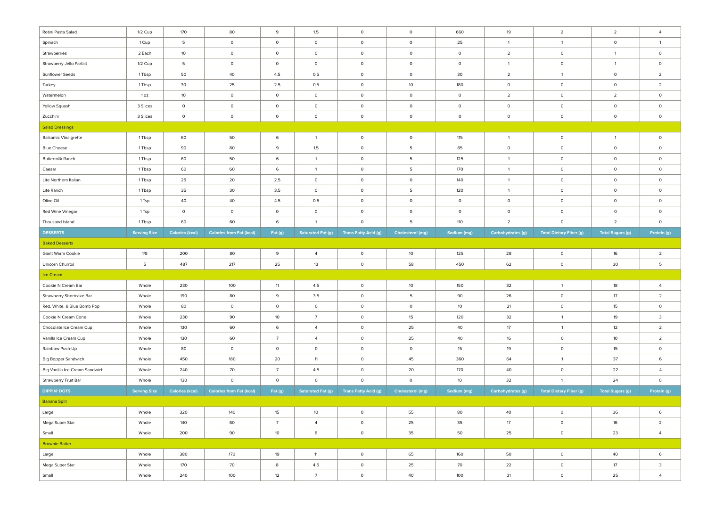| Rotini Pasta Salad             | 1/2 Cup             | 170                    | 80                              | 9                   | 1.5                      | $\circ$                     | $\circ$          | 660            | 19                | $\overline{2}$                 | $\overline{2}$          | $\overline{4}$ |
|--------------------------------|---------------------|------------------------|---------------------------------|---------------------|--------------------------|-----------------------------|------------------|----------------|-------------------|--------------------------------|-------------------------|----------------|
| Spinach                        | 1 Cup               | 5                      | $\circ$                         | $\circ$             | $\circ$                  | $\circ$                     | $\mathsf{O}$     | 25             | $\overline{1}$    | $\overline{1}$                 | $\circ$                 | $\overline{1}$ |
| Strawberries                   | 2 Each              | 10                     | $\circ$                         | $\circ$             | $\circ$                  | $\mathsf{O}$                | $\circ$          | $\circ$        | $\overline{2}$    | $\circ$                        | $\overline{1}$          | $\circ$        |
| Strawberry Jello Parfait       | $1/2$ Cup           | -5                     | $\circ$                         | $\mathsf{O}\xspace$ | $\circ$                  | $\mathsf{O}$                | $\circ$          | $\circ$        | $\overline{1}$    | $\mathsf{O}$                   | $\overline{1}$          | $\mathsf{O}$   |
| Sunflower Seeds                | 1 Tbsp              | 50                     | 40                              | 4.5                 | 0.5                      | $\mathsf 0$                 | $\circ$          | 30             | $\overline{2}$    | $\overline{1}$                 | $\circ$                 | $\overline{2}$ |
| Turkey                         | 1 Tbsp              | 30                     | 25                              | 2.5                 | $0.5\,$                  | $\mathsf 0$                 | 10               | 180            | $\circ$           | $\circ$                        | $\circ$                 | $\overline{2}$ |
| Watermelon                     | 1 oz                | 10                     | $\circ$                         | $\circ$             | $\circ$                  | $\mathsf 0$                 | $\circ$          | $\mathsf{o}\,$ | $\overline{2}$    | $\circ$                        | $\overline{2}$          | $\circ$        |
| Yellow Squash                  | 3 Slices            | $\mathsf{O}$           | $\circ$                         | $\circ$             | $\circ$                  | $\circ$                     | $\circ$          | $\mathsf{o}\,$ | $\circ$           | $\circ$                        | $\circ$                 | $\circ$        |
| Zucchini                       | 3 Slices            | $\mathsf{O}$           | $\circ$                         | $\circ$             | $\circ$                  | $\circ$                     | $\circ$          | $\mathsf{o}\,$ | $\circ$           | $\circ$                        | $\circ$                 | $\circ$        |
| <b>Salad Dressings</b>         |                     |                        |                                 |                     |                          |                             |                  |                |                   |                                |                         |                |
| <b>Balsamic Vinaigrette</b>    | 1 Tbsp              | 60                     | 50                              | 6                   | $\mathbf{1}$             | $\mathsf{O}$                | $\circ$          | 115            | $\overline{1}$    | $\circ$                        | $\overline{1}$          | $\circ$        |
| <b>Blue Cheese</b>             | 1 Tbsp              | 90                     | 80                              | 9                   | 1.5                      | $\mathsf{O}$                | 5                | 85             | $\circ$           | $\circ$                        | $\circ$                 | $\circ$        |
| <b>Buttermilk Ranch</b>        | 1 Tbsp              | 60                     | 50                              | 6                   | $\mathbf{1}$             | $\mathsf{O}$                | 5                | 125            | $\overline{1}$    | $\circ$                        | $\circ$                 | $\circ$        |
| Caesar                         | 1 Tbsp              | 60                     | 60                              | 6                   | $\overline{1}$           | $\circ$                     | 5                | 170            | $\overline{1}$    | $\circ$                        | $\circ$                 | $\circ$        |
| Lite Northern Italian          | 1 Tbsp              | 25                     | 20                              | $2.5\,$             | $\circ$                  | $\mathsf{O}$                | $\circ$          | 140            | $\overline{1}$    | $\circ$                        | $\circ$                 | $\circ$        |
| Lite Ranch                     | 1 Tbsp              | 35                     | 30                              | 3.5                 | $\circ$                  | $\circ$                     | 5                | 120            | $\overline{1}$    | $\circ$                        | $\circ$                 | $\circ$        |
| Olive Oil                      | 1 Tsp               | 40                     | 40                              | 4.5                 | 0.5                      | $\mathsf{O}$                | $\mathsf{O}$     | $\circ$        | $\circ$           | $\circ$                        | $\circ$                 | $\circ$        |
| Red Wine Vinegar               | 1 Tsp               | $\mathsf{O}$           | $\circ$                         | $\circ$             | $\circ$                  | $\mathsf{O}$                | $\circ$          | $\circ$        | $\circ$           | $\circ$                        | $\circ$                 | $\circ$        |
| Thousand Island                | 1 Tbsp              | 60                     | 60                              | 6                   | $\overline{1}$           | $\Omega$                    | -5               | 110            | $\overline{2}$    | $\circ$                        | $\overline{2}$          | $\circ$        |
| <b>DESSERTS</b>                | <b>Serving Size</b> | <b>Calories (kcal)</b> | <b>Calories from Fat (kcal)</b> | Fat (g)             | <b>Saturated Fat (g)</b> | <b>Trans Fatty Acid (g)</b> | Cholesterol (mg) | Sodium (mg)    | Carbohydrates (g) | <b>Total Dietary Fiber (g)</b> | <b>Total Sugars (g)</b> | Protein (g)    |
| <b>Baked Desserts</b>          |                     |                        |                                 |                     |                          |                             |                  |                |                   |                                |                         |                |
| Giant Warm Cookie              | 1/8                 | 200                    | 80                              | 9                   | $\overline{4}$           | $\circ$                     | 10               | 125            | 28                | $\circ$                        | $16\,$                  | $\overline{2}$ |
| Unicorn Churros                | 5                   | 487                    | 217                             | 25                  | 13                       | $\circ$                     | 58               | 450            | 62                | $\circ$                        | 30                      | 5              |
| Ice Cream                      |                     |                        |                                 |                     |                          |                             |                  |                |                   |                                |                         |                |
| Cookie N Cream Bar             | Whole               | 230                    | 100                             | 11                  | 4.5                      | $\circ$                     | $10$             | 150            | 32                | $\overline{1}$                 | 18                      | $\overline{4}$ |
| Strawberry Shortcake Bar       | Whole               | 190                    | 80                              | 9                   | 3.5                      | $\circ$                     | 5                | 90             | 26                | $\circ$                        | $17\,$                  | $\overline{2}$ |
| Red, White, & Blue Bomb Pop    | Whole               | 80                     | $\circ$                         | $\circ$             | $\circ$                  | $\circ$                     | $\circ$          | 10             | 21                | $\circ$                        | 15                      | $\circ$        |
| Cookie N Cream Cone            | Whole               | 230                    | 90                              | 10                  | $\overline{7}$           | $\circ$                     | 15               | 120            | 32                | $\overline{1}$                 | 19                      | 3              |
| Chocolate Ice Cream Cup        | Whole               | 130                    | 60                              | 6                   | $\overline{4}$           | $\circ$                     | 25               | 40             | 17                | $\overline{1}$                 | 12                      | $\overline{2}$ |
| Vanilla Ice Cream Cup          | Whole               | 130                    | 60                              | $7\overline{ }$     | $\overline{4}$           | $\circ$                     | 25               | 40             | 16                | $\circ$                        | $10$                    | $\overline{2}$ |
| Rainbow Push-Up                | Whole               | 80                     | $\circ$                         | $\circ$             | $\circ$                  | $\circ$                     | $\circ$          | 15             | 19                | $\circ$                        | 15                      | $\circ$        |
| <b>Big Bopper Sandwich</b>     | Whole               | 450                    | 180                             | 20                  | 11                       | $\circ$                     | 45               | 360            | 64                | $\overline{1}$                 | 37                      | 6              |
| Big Vanilla Ice Cream Sandwich | Whole               | 240                    | 70                              | $\overline{7}$      | 4.5                      | $\circ$                     | 20               | 170            | 40                | $\circ$                        | 22                      | $\overline{a}$ |
| Strawberry Fruit Bar           | Whole               | 130                    | $\circ$                         | $\circ$             | $\circ$                  | $\circ$                     | $\circ$          | 10             | 32                | $\overline{1}$                 | 24                      | $\circ$        |
| <b>DIPPIN' DOTS</b>            | <b>Serving Size</b> | <b>Calories (kcal)</b> | <b>Calories from Fat (kcal)</b> | Fat (g)             | <b>Saturated Fat (g)</b> | <b>Trans Fatty Acid (g)</b> | Cholesterol (mg) | Sodium (mg)    | Carbohydrates (g) | <b>Total Dietary Fiber (g)</b> | <b>Total Sugars (g)</b> | Protein (g)    |
| <b>Banana Split</b>            |                     |                        |                                 |                     |                          |                             |                  |                |                   |                                |                         |                |
| Large                          | Whole               | 320                    | 140                             | 15                  | 10 <sup>°</sup>          | $\circ$                     | 55               | 80             | 40                | $\circ$                        | 36                      | 6              |
| Mega Super Star                | Whole               | 140                    | 60                              | $\overline{7}$      | $\overline{4}$           | $\mathsf 0$                 | 25               | 35             | 17                | $\circ$                        | 16                      | $\overline{2}$ |
| Small                          | Whole               | 200                    | 90                              | 10 <sup>°</sup>     | 6                        | $\mathsf{O}$                | 35               | 50             | 25                | $\circ$                        | 23                      | $\overline{4}$ |
| <b>Brownie Batter</b>          |                     |                        |                                 |                     |                          |                             |                  |                |                   |                                |                         |                |
| Large                          | Whole               | 380                    | 170                             | 19                  | 11                       | $\mathsf{O}$                | 65               | 160            | 50                | $\circ$                        | 40                      | 6              |
| Mega Super Star                | Whole               | 170                    | 70                              | 8                   | 4.5                      | $\mathsf{O}$                | 25               | 70             | 22                | $\mathsf{O}$                   | $17\,$                  | 3              |
| Small                          | Whole               | 240                    | 100                             | 12                  | $\overline{7}$           | $\circ$                     | 40               | 100            | 31                | $\mathsf{O}$                   | 25                      | $\overline{4}$ |
|                                |                     |                        |                                 |                     |                          |                             |                  |                |                   |                                |                         |                |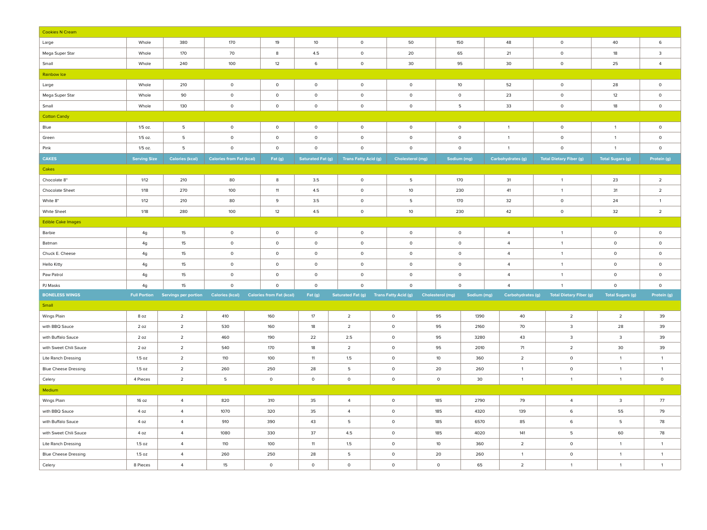| <b>Cookies N Cream</b>      |                     |                                                   |                                 |                                 |                          |                             |                                        |                         |             |                          |                                |                         |                |
|-----------------------------|---------------------|---------------------------------------------------|---------------------------------|---------------------------------|--------------------------|-----------------------------|----------------------------------------|-------------------------|-------------|--------------------------|--------------------------------|-------------------------|----------------|
| Large                       | Whole               | 380                                               | 170                             | 19                              | 10                       | $\circ$                     | 50                                     | 150                     |             | 48                       | $\circ$                        | 40                      | 6              |
| Mega Super Star             | Whole               | 170                                               | 70                              | $\bf 8$                         | 4.5                      | $\circ$                     | 20                                     | 65                      |             | 21                       | $\circ$                        | 18                      | $\mathbf{3}$   |
| Small                       | Whole               | 240                                               | 100                             | 12                              | 6                        | $\circ$                     | 30                                     | 95                      |             | 30                       | $\circ$                        | 25                      | $\overline{4}$ |
| Rainbow Ice                 |                     |                                                   |                                 |                                 |                          |                             |                                        |                         |             |                          |                                |                         |                |
| Large                       | Whole               | 210                                               | $\circ$                         | $\circ$                         | $\circ$                  | $\circ$                     | $\circ$                                | 10 <sup>°</sup>         |             | 52                       | $\circ$                        | 28                      | $\circ$        |
| Mega Super Star             | Whole               | 90                                                | $\circ$                         | $\circ$                         | $\circ$                  | $\circ$                     | $\circ$                                | $\circ$                 |             | 23                       | $\circ$                        | 12                      | $\circ$        |
| Small                       | Whole               | 130                                               | $\circ$                         | $\circ$                         | $\circ$                  | $\circ$                     | $\circ$                                | 5                       |             | 33                       | $\circ$                        | 18                      | $\circ$        |
| <b>Cotton Candy</b>         |                     |                                                   |                                 |                                 |                          |                             |                                        |                         |             |                          |                                |                         |                |
| Blue                        | $1/5$ oz.           | 5                                                 | $\circ$                         | $\circ$                         | $\circ$                  | $\circ$                     | $\circ$                                | $\circ$                 |             | $\overline{1}$           | $\circ$                        | $\overline{1}$          | $\circ$        |
| Green                       | $1/5$ oz.           | $5\phantom{.0}$                                   | $\circ$                         | $\circ$                         | $\circ$                  | $\mathsf 0$                 | $\circ$                                | $\circ$                 |             | $\overline{1}$           | $\circ$                        | $\overline{1}$          | $\circ$        |
| Pink                        | $1/5$ oz.           | 5                                                 | $\circ$                         | $\circ$                         | $\circ$                  | $\circ$                     | $\circ$                                | $\circ$                 |             | $\overline{1}$           | $\circ$                        | $\overline{1}$          | $\circ$        |
| <b>CAKES</b>                | <b>Serving Size</b> | <b>Calories (kcal)</b>                            | <b>Calories from Fat (kcal)</b> | Fat (g)                         | <b>Saturated Fat (g)</b> | <b>Trans Fatty Acid (g)</b> | <b>Cholesterol (mg)</b>                | Sodium (mg)             |             | <b>Carbohydrates (g)</b> | <b>Total Dietary Fiber (g)</b> | <b>Total Sugars (g)</b> | Protein (g)    |
| Cakes                       |                     |                                                   |                                 |                                 |                          |                             |                                        |                         |             |                          |                                |                         |                |
| Chocolate 8"                | 1/12                | 210                                               | 80                              | 8                               | 3.5                      | $\circ$                     | 5                                      | 170                     |             | 31                       | $\overline{1}$                 | 23                      | $\overline{2}$ |
| Chocolate Sheet             | 1/18                | 270                                               | 100                             | 11                              | 4.5                      | $\circ$                     | 10                                     | 230                     |             | 41                       | $\overline{1}$                 | 31                      | $\overline{2}$ |
| White 8"                    | 1/12                | 210                                               | 80                              | 9                               | 3.5                      | $\circ$                     | 5                                      | 170                     |             | 32                       | $\circ$                        | 24                      | $\overline{1}$ |
| White Sheet                 | 1/18                | 280                                               | 100                             | 12                              | 4.5                      | $\circ$                     | 10                                     | 230                     |             | 42                       | $\circ$                        | 32                      | $\overline{2}$ |
| <b>Edible Cake Images</b>   |                     |                                                   |                                 |                                 |                          |                             |                                        |                         |             |                          |                                |                         |                |
| Barbie                      | 4g                  | 15                                                | $\circ$                         | $\mathsf{o}\,$                  | $\mathsf{o}\,$           | $\circ$                     | $\mathsf{O}$                           | $\mathsf{o}\,$          |             | $\overline{4}$           | $\mathbf{1}$                   | $\circ$                 | $\circ$        |
| Batman                      | 4g                  | 15                                                | $\circ$                         | $\circ$                         | $\circ$                  | $\circ$                     | $\circ$                                | $\circ$                 |             | $\overline{4}$           | $\overline{1}$                 | $\circ$                 | $\circ$        |
| Chuck E. Cheese             | 4g                  | 15                                                | $\circ$                         | $\circ$                         | $\circ$                  | $\circ$                     | $\circ$                                | $\circ$                 |             | $\overline{4}$           | $\mathbf{1}$                   | $\circ$                 | $\circ$        |
| <b>Hello Kitty</b>          | 4g                  | 15                                                | $\mathsf{O}\xspace$             | $\mathsf{O}$                    | $\mathsf{O}\xspace$      | $\circ$                     | $\circ$                                | $\mathsf{O}\xspace$     |             | $\overline{4}$           | $\overline{1}$                 | $\circ$                 | $\circ$        |
| Paw Patrol                  | 4g                  | 15 <sub>15</sub>                                  | $\mathsf{o}\,$                  | $\mathsf{O}\xspace$             | $\mathsf{O}\xspace$      | $\circ$                     | $\circ$                                | $\mathsf{o}\,$          |             | $\overline{4}$           | $\overline{1}$                 | $\mathsf{O}$            | $\circ$        |
| PJ Masks                    | 4g                  | 15                                                | $\circ$                         | $\Omega$                        | $\circ$                  | $\circ$                     | $\Omega$                               | $\circ$                 |             | $\overline{4}$           | $\overline{1}$                 | $\circ$                 | $\circ$        |
| <b>BONELESS WINGS</b>       |                     | Full Portion Servings per portion Calories (kcal) |                                 | <b>Calories from Fat (kcal)</b> | Fat (g)                  |                             | Saturated Fat (g) Trans Fatty Acid (g) | <b>Cholesterol (mg)</b> | Sodium (mg) | Carbohydrates (g)        | <b>Total Dietary Fiber (g)</b> | <b>Total Sugars (g)</b> | Protein (g)    |
| Small                       |                     |                                                   |                                 |                                 |                          |                             |                                        |                         |             |                          |                                |                         |                |
| Wings Plain                 | 8 oz                | $\overline{2}$                                    | 410                             | 160                             | 17                       | $\overline{2}$              | $\circ$                                | 95                      | 1390        | 40                       | $\overline{2}$                 | $\overline{2}$          | 39             |
| with BBQ Sauce              | 20z                 | $\overline{2}$                                    | 530                             | 160                             | 18                       | $\overline{2}$              | $\circ$                                | 95                      | 2160        | 70                       | $\mathbf{3}$                   | 28                      | 39             |
| with Buffalo Sauce          | 2 oz                | $\overline{2}$                                    | 460                             | 190                             | 22                       | 2.5                         | $\mathsf{O}$                           | 95                      | 3280        | 43                       | $\mathbf{3}$                   | $\mathsf 3$             | 39             |
| with Sweet Chili Sauce      | 2 oz                | $\overline{2}$                                    | 540                             | 170                             | 18                       | $\overline{2}$              | $\circ$                                | 95                      | 2010        | 71                       | $\overline{2}$                 | 30                      | 39             |
| Lite Ranch Dressing         | 1.5 oz              | $\overline{2}$                                    | 110                             | 100                             | 11                       | 1.5                         | $\circ$                                | 10                      | 360         | $\overline{2}$           | $\circ$                        | $\overline{1}$          | $\overline{1}$ |
| <b>Blue Cheese Dressing</b> | 1.5 oz              | $\overline{\mathbf{2}}$                           | 260                             | 250                             | 28                       | 5                           | $\circ$                                | 20                      | 260         | $\overline{1}$           | $\mathsf{O}$                   | $\overline{1}$          | $\overline{1}$ |
| Celery                      | 4 Pieces            | $\overline{2}$                                    | 5                               | $\circ$                         | $\circ$                  | $\circ$                     | $\circ$                                | $\circ$                 | 30          | $\overline{1}$           | $\mathbf{1}$                   | $\overline{1}$          | $\circ$        |
| Medium                      |                     |                                                   |                                 |                                 |                          |                             |                                        |                         |             |                          |                                |                         |                |
| Wings Plain                 | 16 oz               | $\overline{4}$                                    | 820                             | 310                             | 35                       | $\overline{4}$              | $\circ$                                | 185                     | 2790        | 79                       | $\overline{4}$                 | $\mathbf{3}$            | 77             |
| with BBQ Sauce              | 4 oz                | $\overline{4}$                                    | 1070                            | 320                             | 35                       | $\overline{4}$              | $\circ$                                | 185                     | 4320        | 139                      | 6                              | 55                      | 79             |
| with Buffalo Sauce          | 4 oz                | $\overline{4}$                                    | 910                             | 390                             | 43                       | 5                           | $\circ$                                | 185                     | 6570        | 85                       | 6                              | 5                       | 78             |
| with Sweet Chili Sauce      | 4 oz                | $\overline{4}$                                    | 1080                            | 330                             | 37                       | 4.5                         | $\circ$                                | 185                     | 4020        | 141                      | 5                              | 60                      | 78             |
| Lite Ranch Dressing         | 1.5 oz              | $\overline{4}$                                    | 110                             | 100                             | 11                       | 1.5                         | $\circ$                                | 10                      | 360         | $\overline{2}$           | $\circ$                        | $\overline{1}$          | $\overline{1}$ |
| <b>Blue Cheese Dressing</b> | 1.5 oz              | $\overline{4}$                                    | 260                             | 250                             | 28                       | $\overline{5}$              | $\circ$                                | 20                      | 260         | $\overline{1}$           | $\mathsf{O}\xspace$            | $\overline{1}$          | $\overline{1}$ |
| Celery                      | 8 Pieces            | $\overline{4}$                                    | 15                              | $\circ$                         | $\circ$                  | $\circ$                     | $\circ$                                | $\circ$                 | 65          | $\overline{2}$           | $\overline{1}$                 | $\overline{1}$          | $\overline{1}$ |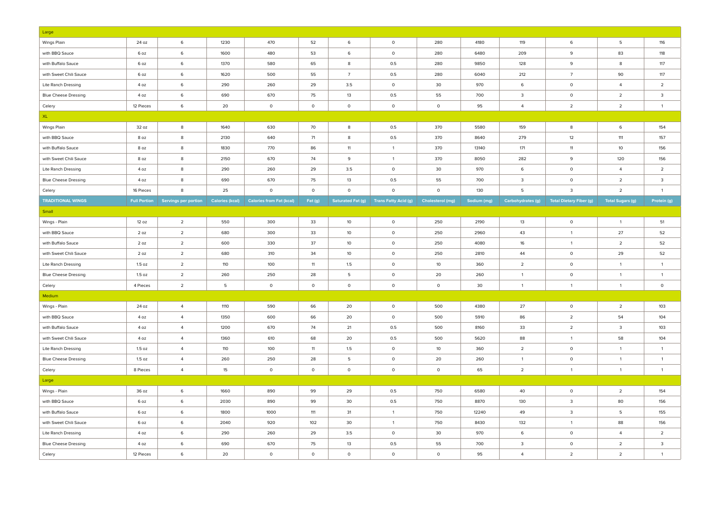| Large                       |                     |                      |                        |                                 |                     |                          |                             |                         |             |                          |                                |                         |                         |
|-----------------------------|---------------------|----------------------|------------------------|---------------------------------|---------------------|--------------------------|-----------------------------|-------------------------|-------------|--------------------------|--------------------------------|-------------------------|-------------------------|
| Wings Plain                 | 24 oz               | $\,6\,$              | 1230                   | 470                             | 52                  | $\,6\,$                  | $\mathsf{O}\xspace$         | 280                     | 4180        | 119                      | 6                              | 5                       | 116                     |
| with BBQ Sauce              | 6 oz                | 6                    | 1600                   | 480                             | 53                  | 6                        | $\mathsf{o}$                | 280                     | 6480        | 209                      | 9                              | 83                      | 118                     |
| with Buffalo Sauce          | 6 oz                | 6                    | 1370                   | 580                             | 65                  | 8                        | 0.5                         | 280                     | 9850        | 128                      | 9                              | 8                       | 117                     |
| with Sweet Chili Sauce      | 6 oz                | 6                    | 1620                   | 500                             | 55                  | $\overline{7}$           | 0.5                         | 280                     | 6040        | 212                      | $7\overline{ }$                | 90                      | 117                     |
| Lite Ranch Dressing         | 4 oz                | 6                    | 290                    | 260                             | 29                  | 3.5                      | $\mathsf{o}\,$              | 30                      | 970         | 6                        | $\mathsf{o}$                   | $\overline{4}$          | $\overline{2}$          |
| <b>Blue Cheese Dressing</b> | 4 oz                | 6                    | 690                    | 670                             | 75                  | $13$                     | 0.5                         | 55                      | 700         | $\mathbf{3}$             | $\mathsf{O}$                   | $\overline{2}$          | $\overline{\mathbf{3}}$ |
| Celery                      | 12 Pieces           | $\,6\,$              | 20                     | $\circ$                         | $\circ$             | $\circ$                  | $\circ$                     | $\circ$                 | 95          | $\overline{4}$           | $\overline{2}$                 | $\overline{2}$          | $\overline{1}$          |
| XL.                         |                     |                      |                        |                                 |                     |                          |                             |                         |             |                          |                                |                         |                         |
| Wings Plain                 | 32 oz               | $\boldsymbol{8}$     | 1640                   | 630                             | 70                  | $\boldsymbol{8}$         | 0.5                         | 370                     | 5580        | 159                      | $\bf 8$                        | $\mathbf 6$             | 154                     |
| with BBQ Sauce              | 8 oz                | 8                    | 2130                   | 640                             | 71                  | 8                        | 0.5                         | 370                     | 8640        | 279                      | 12                             | 111                     | 157                     |
| with Buffalo Sauce          | 8 oz                | 8                    | 1830                   | 770                             | 86                  | 11                       | $\mathbf{1}$                | 370                     | 13140       | 171                      | 11                             | 10                      | 156                     |
| with Sweet Chili Sauce      | 8 oz                | 8                    | 2150                   | 670                             | 74                  | 9                        | $\overline{1}$              | 370                     | 8050        | 282                      | 9                              | 120                     | 156                     |
| Lite Ranch Dressing         | 4 oz                | $\boldsymbol{8}$     | 290                    | 260                             | 29                  | 3.5                      | $\circ$                     | 30                      | 970         | 6                        | $\circ$                        | $\overline{4}$          | $\overline{2}$          |
| <b>Blue Cheese Dressing</b> | 4 oz                | 8                    | 690                    | 670                             | 75                  | 13                       | 0.5                         | 55                      | 700         | $\overline{\mathbf{3}}$  | $\circ$                        | $\overline{2}$          | $\overline{3}$          |
| Celery                      | 16 Pieces           | 8                    | 25                     | $\circ$                         | $\circ$             | $\circ$                  | $\circ$                     | $\circ$                 | 130         | -5                       | $\overline{3}$                 | $\overline{2}$          | $\overline{1}$          |
| <b>TRADITIONAL WINGS</b>    | <b>Full Portion</b> | Servings per portion | <b>Calories (kcal)</b> | <b>Calories from Fat (kcal)</b> | Fat (g)             | <b>Saturated Fat (g)</b> | <b>Trans Fatty Acid (g)</b> | <b>Cholesterol (mg)</b> | Sodium (mg) | <b>Carbohydrates (g)</b> | <b>Total Dietary Fiber (g)</b> | <b>Total Sugars (g)</b> | Protein (g)             |
| Small                       |                     |                      |                        |                                 |                     |                          |                             |                         |             |                          |                                |                         |                         |
| Wings - Plain               | 12 oz               | $\overline{2}$       | 550                    | 300                             | 33                  | 10                       | $\circ$                     | 250                     | 2190        | 13                       | $\circ$                        | $\overline{1}$          | 51                      |
| with BBQ Sauce              | 2 oz                | $\overline{2}$       | 680                    | 300                             | 33                  | 10                       | $\circ$                     | 250                     | 2960        | 43                       | $\overline{1}$                 | 27                      | 52                      |
| with Buffalo Sauce          | 2oz                 | $\overline{2}$       | 600                    | 330                             | 37                  | 10 <sup>°</sup>          | $\circ$                     | 250                     | 4080        | 16                       | $\mathbf{1}$                   | $\overline{2}$          | 52                      |
| with Sweet Chili Sauce      | 2 oz                | $\overline{2}$       | 680                    | 310                             | 34                  | 10 <sup>°</sup>          | $\circ$                     | 250                     | 2810        | 44                       | $\mathsf{O}\xspace$            | 29                      | 52                      |
| Lite Ranch Dressing         | 1.5 oz              | $\overline{2}$       | 110                    | 100                             | 11                  | 1.5                      | $\circ$                     | 10                      | 360         | $\overline{2}$           | $\circ$                        | $\overline{1}$          | $\overline{1}$          |
| <b>Blue Cheese Dressing</b> | 1.5 oz              | $\overline{2}$       | 260                    | 250                             | 28                  | 5                        | $\circ$                     | 20                      | 260         | $\overline{1}$           | $\circ$                        | $\overline{1}$          | $\overline{1}$          |
| Celery                      | 4 Pieces            | $\overline{2}$       | 5                      | $\circ$                         | $\circ$             | $\circ$                  | $\circ$                     | $\mathsf{O}\xspace$     | 30          | $\overline{1}$           | $\overline{1}$                 | $\overline{1}$          | $\circ$                 |
| Medium                      |                     |                      |                        |                                 |                     |                          |                             |                         |             |                          |                                |                         |                         |
| Wings - Plain               | 24 oz               | $\overline{4}$       | 1110                   | 590                             | 66                  | 20                       | $\circ$                     | 500                     | 4380        | 27                       | $\circ$                        | $\overline{2}$          | 103                     |
| with BBQ Sauce              | 4 oz                | $\overline{a}$       | 1350                   | 600                             | 66                  | 20                       | $\circ$                     | 500                     | 5910        | 86                       | $\overline{2}$                 | 54                      | 104                     |
| with Buffalo Sauce          | 4 oz                | $\overline{4}$       | 1200                   | 670                             | 74                  | 21                       | 0.5                         | 500                     | 8160        | 33                       | $\overline{2}$                 | 3                       | 103                     |
| with Sweet Chili Sauce      | 4 oz                | $\overline{4}$       | 1360                   | 610                             | 68                  | 20                       | 0.5                         | 500                     | 5620        | 88                       | $\overline{1}$                 | 58                      | 104                     |
| Lite Ranch Dressing         | 1.5 <sub>oz</sub>   | $\overline{a}$       | 110                    | 100                             | 11                  | 1.5                      | $\circ$                     | $10$                    | 360         | $\overline{2}$           | $\circ$                        | $\overline{1}$          | $\overline{1}$          |
| <b>Blue Cheese Dressing</b> | 1.5 oz              | $\overline{a}$       | 260                    | 250                             | 28                  | 5                        | $\circ$                     | 20                      | 260         | $\overline{1}$           | $\circ$                        | $\overline{1}$          | $\overline{1}$          |
| Celery                      | 8 Pieces            | $\overline{4}$       | 15                     | $\circ$                         | $\mathsf{O}\xspace$ | $\mathsf{O}$             | $\mathsf{O}$                | $\mathsf{O}\xspace$     | 65          | $\overline{2}$           | $\mathbf{1}$                   | $\overline{1}$          | $\overline{1}$          |
| Large                       |                     |                      |                        |                                 |                     |                          |                             |                         |             |                          |                                |                         |                         |
| Wings - Plain               | 36 oz               | 6                    | 1660                   | 890                             | 99                  | 29                       | 0.5                         | 750                     | 6580        | 40                       | $\mathsf{O}\xspace$            | $\overline{2}$          | 154                     |
| with BBQ Sauce              | 6 oz                | 6                    | 2030                   | 890                             | 99                  | 30                       | 0.5                         | 750                     | 8870        | 130                      | 3                              | 80                      | 156                     |
| with Buffalo Sauce          | 6 oz                | 6                    | 1800                   | 1000                            | 111                 | 31                       | $\mathbf{1}$                | 750                     | 12240       | 49                       | $\overline{3}$                 | 5                       | 155                     |
| with Sweet Chili Sauce      | 6 oz                | $\,$ 6               | 2040                   | 920                             | 102                 | 30                       | $\mathbf{1}$                | 750                     | 8430        | 132                      | $\mathbf{1}$                   | 88                      | 156                     |
| <b>Lite Ranch Dressing</b>  | 4 oz                | 6                    | 290                    | 260                             | 29                  | 3.5                      | $\circ$                     | 30                      | 970         | 6                        | $\circ$                        | $\overline{4}$          | $\overline{2}$          |
| <b>Blue Cheese Dressing</b> | 4 oz                | 6                    | 690                    | 670                             | 75                  | 13                       | 0.5                         | 55                      | 700         | 3                        | $\circ$                        | $\overline{2}$          | $\overline{\mathbf{3}}$ |
| Celery                      | 12 Pieces           | $\,$ 6               | 20                     | $\circ$                         | $\circ$             | $\mathsf{o}$             | $\mathsf{o}$                | $\circ$                 | 95          | $\overline{4}$           | $\overline{2}$                 | $\overline{2}$          | $\overline{1}$          |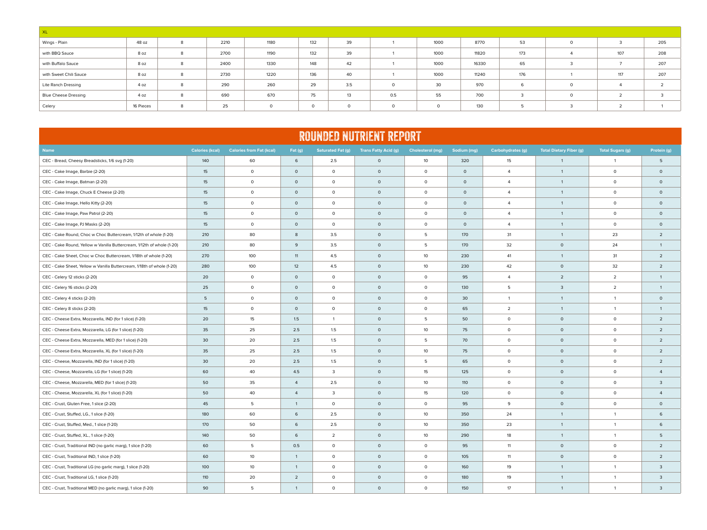| $\mathsf{X}$                |           |   |      |          |     |          |         |         |       |     |          |               |     |
|-----------------------------|-----------|---|------|----------|-----|----------|---------|---------|-------|-----|----------|---------------|-----|
| Wings - Plain               | 48 oz     | 8 | 2210 | 1180     | 132 | 39       |         | 1000    | 8770  | 53  | $\Omega$ |               | 205 |
| with BBQ Sauce              | 8 oz      | 8 | 2700 | 1190     | 132 | 39       |         | 1000    | 11820 | 173 |          | 107           | 208 |
| with Buffalo Sauce          | 8 oz      | 8 | 2400 | 1330     | 148 | 42       |         | 1000    | 16330 | 65  | $\sim$   |               | 207 |
| with Sweet Chili Sauce      | 8 oz      | 8 | 2730 | 1220     | 136 | 40       |         | 1000    | 11240 | 176 |          | 117           | 207 |
| Lite Ranch Dressing         | 4 oz      | 8 | 290  | 260      | 29  | 3.5      | $\circ$ | 30      | 970   | 6   | $\circ$  |               |     |
| <b>Blue Cheese Dressing</b> | 4 oz      | 8 | 690  | 670      | 75  | 13       | 0.5     | 55      | 700   | 3   | $\circ$  | $\mathcal{L}$ |     |
| Celery                      | 16 Pieces | 8 | 25   | $\Omega$ |     | $\Omega$ | $\circ$ | $\circ$ | 130   |     |          |               |     |

## ROUNDED NUTRIENT REPORT

| <b>Name</b>                                                            | <b>Calories (kcal)</b> | <b>Calories from Fat (kcal)</b> | Fat (g)        | <b>Saturated Fat (g)</b> | <b>Trans Fatty Acid (g)</b> | <b>Cholesterol (mg)</b> | Sodium (mg)         | Carbohydrates (g) | <b>Total Dietary Fiber (g)</b> | <b>Total Sugars (g)</b> | Protein (g)             |
|------------------------------------------------------------------------|------------------------|---------------------------------|----------------|--------------------------|-----------------------------|-------------------------|---------------------|-------------------|--------------------------------|-------------------------|-------------------------|
| CEC - Bread, Cheesy Breadsticks, 1/6 svg (1-20)                        | 140                    | 60                              | 6              | 2.5                      | $\circ$                     | 10                      | 320                 | 15                | $\overline{1}$                 | $\overline{1}$          | 5                       |
| CEC - Cake Image, Barbie (2-20)                                        | 15                     | $\circ$                         | $\circ$        | $\circ$                  | $\circ$                     | $\circ$                 | $\mathsf{O}\xspace$ | $\overline{4}$    | $\mathbf{1}$                   | $\circ$                 | $\circ$                 |
| CEC - Cake Image, Batman (2-20)                                        | 15                     | $\circ$                         | $\circ$        | $\circ$                  | $\circ$                     | $\circ$                 | $\mathsf{O}\xspace$ | $\overline{4}$    | $\mathbf{1}$                   | $\circ$                 | $\circ$                 |
| CEC - Cake Image, Chuck E Cheese (2-20)                                | 15                     | $\circ$                         | $\circ$        | $\circ$                  | $\circ$                     | $\circ$                 | $\mathsf{O}\xspace$ | $\overline{4}$    | $\mathbf{1}$                   | $\circ$                 | $\circ$                 |
| CEC - Cake Image, Hello Kitty (2-20)                                   | 15                     | $\circ$                         | $\circ$        | $\circ$                  | $\circ$                     | $\circ$                 | $\mathsf{O}\xspace$ | $\overline{4}$    | $\overline{1}$                 | $\circ$                 | $\circ$                 |
| CEC - Cake Image, Paw Patrol (2-20)                                    | 15                     | $\circ$                         | $\circ$        | $\circ$                  | $\circ$                     | $\circ$                 | $\mathsf{O}\xspace$ | $\overline{4}$    | $\overline{1}$                 | $\circ$                 | $\circ$                 |
| CEC - Cake Image, PJ Masks (2-20)                                      | 15                     | $\circ$                         | $\circ$        | $\circ$                  | $\circ$                     | $\circ$                 | $\mathsf{O}\xspace$ | $\overline{4}$    | $\overline{1}$                 | $\circ$                 | $\circ$                 |
| CEC - Cake Round, Choc w Choc Buttercream, 1/12th of whole (1-20)      | 210                    | 80                              | 8              | 3.5                      | $\circ$                     | 5                       | 170                 | 31                | $\mathbf{1}$                   | 23                      | $\overline{2}$          |
| CEC - Cake Round, Yellow w Vanilla Buttercream, 1/12th of whole (1-20) | 210                    | 80                              | 9              | 3.5                      | $\circ$                     | 5                       | 170                 | 32                | $\circ$                        | 24                      | 1                       |
| CEC - Cake Sheet, Choc w Choc Buttercream, 1/18th of whole (1-20)      | 270                    | 100                             | 11             | 4.5                      | $\circ$                     | 10 <sup>°</sup>         | 230                 | 41                | $\mathbf{1}$                   | 31                      | $\overline{2}$          |
| CEC - Cake Sheet, Yellow w Vanilla Buttercream, 1/18th of whole (1-20) | 280                    | 100                             | 12             | 4.5                      | $\circ$                     | 10                      | 230                 | 42                | $\circ$                        | 32                      | $\overline{a}$          |
| CEC - Celery 12 sticks (2-20)                                          | 20                     | $\circ$                         | $\circ$        | $\circ$                  | $\mathsf{O}$                | $\circ$                 | 95                  | $\overline{4}$    | $\overline{2}$                 | $\overline{2}$          | 1                       |
| CEC - Celery 16 sticks (2-20)                                          | 25                     | $\circ$                         | $\circ$        | $\circ$                  | $\mathsf{O}$                | $\circ$                 | 130                 | 5                 | $\mathsf{3}$                   | $\overline{2}$          | 1                       |
| CEC - Celery 4 sticks (2-20)                                           | 5                      | $\circ$                         | $\circ$        | $\mathsf{O}$             | $\circ$                     | $\circ$                 | 30                  | $\overline{1}$    | $\overline{1}$                 | $\overline{1}$          | $\mathsf{O}\xspace$     |
| CEC - Celery 8 sticks (2-20)                                           | 15                     | $\circ$                         | $\circ$        | $\circ$                  | $\circ$                     | $\circ$                 | 65                  | $\overline{2}$    | $\mathbf{1}$                   | $\overline{1}$          | 1                       |
| CEC - Cheese Extra, Mozzarella, IND (for 1 slice) (1-20)               | 20                     | 15                              | 1.5            | $\mathbf{1}$             | $\circ$                     | 5                       | 50                  | $\circ$           | $\circ$                        | $\circ$                 | $\overline{2}$          |
| CEC - Cheese Extra, Mozzarella, LG (for 1 slice) (1-20)                | 35                     | 25                              | 2.5            | 1.5                      | $\circ$                     | 10                      | 75                  | $\circ$           | $\circ$                        | $\circ$                 | $\overline{a}$          |
| CEC - Cheese Extra, Mozzarella, MED (for 1 slice) (1-20)               | 30                     | 20                              | 2.5            | 1.5                      | $\circ$                     | 5                       | 70                  | $\circ$           | $\circ$                        | $\circ$                 | $\overline{2}$          |
| CEC - Cheese Extra, Mozzarella, XL (for 1 slice) (1-20)                | 35                     | 25                              | 2.5            | 1.5                      | $\circ$                     | 10 <sup>°</sup>         | 75                  | $\circ$           | $\circ$                        | $\circ$                 | $\overline{2}$          |
| CEC - Cheese, Mozzarella, IND (for 1 slice) (1-20)                     | 30                     | 20                              | 2.5            | 1.5                      | $\circ$                     | 5                       | 65                  | $\circ$           | $\circ$                        | $\circ$                 | $\overline{2}$          |
| CEC - Cheese, Mozzarella, LG (for 1 slice) (1-20)                      | 60                     | 40                              | 4.5            | 3                        | $\circ$                     | 15                      | 125                 | $\circ$           | $\circ$                        | $\circ$                 | $\overline{4}$          |
| CEC - Cheese, Mozzarella, MED (for 1 slice) (1-20)                     | 50                     | 35                              | $\overline{4}$ | 2.5                      | $\circ$                     | 10                      | 110                 | $\circ$           | $\circ$                        | $\circ$                 | $\overline{3}$          |
| CEC - Cheese, Mozzarella, XL (for 1 slice) (1-20)                      | 50                     | 40                              | $\overline{4}$ | 3                        | $\circ$                     | 15                      | 120                 | $\circ$           | $\circ$                        | $\circ$                 | $\overline{4}$          |
| CEC - Crust, Gluten Free, 1 slice (2-20)                               | 45                     | - 5                             | $\mathbf{1}$   | $\circ$                  | $\circ$                     | $\circ$                 | 95                  | 9                 | $\circ$                        | $\circ$                 | $\circ$                 |
| CEC - Crust, Stuffed, LG., 1 slice (1-20)                              | 180                    | 60                              | 6              | 2.5                      | $\circ$                     | 10                      | 350                 | 24                | $\overline{1}$                 | $\overline{1}$          | 6                       |
| CEC - Crust, Stuffed, Med., 1 slice (1-20)                             | 170                    | 50                              | 6              | 2.5                      | $\circ$                     | 10                      | 350                 | 23                | $\overline{1}$                 | $\overline{1}$          | 6                       |
| CEC - Crust, Stuffed, XL., 1 slice (1-20)                              | 140                    | 50                              | 6              | $\overline{a}$           | $\circ$                     | 10                      | 290                 | 18                | $\overline{1}$                 | $\overline{1}$          | 5                       |
| CEC - Crust, Traditional IND (no garlic marg), 1 slice (1-20)          | 60                     | 5                               | 0.5            | $\circ$                  | $\circ$                     | $\circ$                 | 95                  | 11                | $\circ$                        | $\circ$                 | $\overline{2}$          |
| CEC - Crust, Traditional IND, 1 slice (1-20)                           | 60                     | 10                              | $\mathbf{1}$   | $\circ$                  | $\circ$                     | $\circ$                 | 105                 | 11                | $\circ$                        | $\circ$                 | $\overline{2}$          |
| CEC - Crust, Traditional LG (no garlic marg), 1 slice (1-20)           | 100                    | 10                              | $\mathbf{1}$   | $\circ$                  | $\circ$                     | $\circ$                 | 160                 | 19                | $\overline{1}$                 | $\overline{1}$          | $\overline{\mathbf{3}}$ |
| CEC - Crust, Traditional LG, 1 slice (1-20)                            | 110                    | 20                              | $\overline{2}$ | $\circ$                  | $\circ$                     | $\circ$                 | 180                 | 19                | $\overline{1}$                 | $\overline{1}$          | $\overline{\mathbf{3}}$ |
| CEC - Crust, Traditional MED (no garlic marg), 1 slice (1-20)          | 90                     | 5                               | $\mathbf{1}$   | $\circ$                  | $\circ$                     | $\circ$                 | 150                 | 17                | $\mathbf{1}$                   | $\overline{1}$          | $\overline{\mathbf{3}}$ |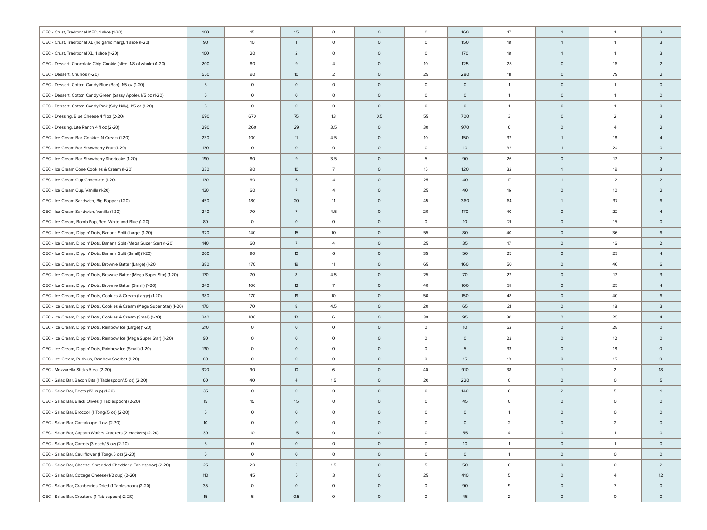| CEC - Crust, Traditional MED, 1 slice (1-20)                            | 100              | 15           | 1.5             | $\circ$         | $\mathsf{O}$ | $\circ$ | 160             | 17                      | $\overline{1}$ | $\overline{1}$ | 3                   |
|-------------------------------------------------------------------------|------------------|--------------|-----------------|-----------------|--------------|---------|-----------------|-------------------------|----------------|----------------|---------------------|
| CEC - Crust, Traditional XL (no garlic marg), 1 slice (1-20)            | 90               | 10           | $\mathbf{1}$    | $\circ$         | $\circ$      | $\circ$ | 150             | 18                      | $\overline{1}$ | $\overline{1}$ | 3                   |
| CEC - Crust, Traditional XL, 1 slice (1-20)                             | 100              | 20           | $\overline{2}$  | $\circ$         | $\mathsf{O}$ | $\circ$ | 170             | 18                      | $\overline{1}$ | $\overline{1}$ | $\overline{3}$      |
| CEC - Dessert, Chocolate Chip Cookie (slice, 1/8 of whole) (1-20)       | 200              | 80           | 9               | $\overline{4}$  | $\circ$      | 10      | 125             | 28                      | $\circ$        | 16             | $\overline{2}$      |
| CEC - Dessert, Churros (1-20)                                           | 550              | 90           | 10 <sup>°</sup> | $\overline{2}$  | $\circ$      | 25      | 280             | 111                     | $\circ$        | 79             | $\overline{2}$      |
| CEC - Dessert, Cotton Candy Blue (Boo), 1/5 oz (1-20)                   | 5                | $\mathsf{O}$ | $\circ$         | $\circ$         | $\circ$      | $\circ$ | $\circ$         | $\overline{1}$          | $\circ$        | $\overline{1}$ | $\mathsf{O}\xspace$ |
| CEC - Dessert, Cotton Candy Green (Sassy Apple), 1/5 oz (1-20)          | 5                | $\mathsf{O}$ | $\circ$         | $\circ$         | $\circ$      | $\circ$ | $\circ$         | $\overline{1}$          | $\circ$        | $\overline{1}$ | $\circ$             |
| CEC - Dessert, Cotton Candy Pink (Silly Nilly), 1/5 oz (1-20)           | 5                | $\circ$      | $\circ$         | $\circ$         | $\circ$      | $\circ$ | $\circ$         | $\overline{1}$          | $\circ$        | $\overline{1}$ | $\circ$             |
| CEC - Dressing, Blue Cheese 4 fl oz (2-20)                              | 690              | 670          | 75              | 13              | 0.5          | 55      | 700             | $\overline{\mathbf{3}}$ | $\circ$        | $\overline{2}$ | 3                   |
| CEC - Dressing, Lite Ranch 4 fl oz (2-20)                               | 290              | 260          | 29              | 3.5             | $\circ$      | 30      | 970             | 6                       | $\circ$        | $\overline{4}$ | $\overline{2}$      |
| CEC - Ice Cream Bar, Cookies N Cream (1-20)                             | 230              | 100          | 11              | 4.5             | $\circ$      | 10      | 150             | 32                      | $\overline{1}$ | 18             | $\overline{4}$      |
| CEC - Ice Cream Bar, Strawberry Fruit (1-20)                            | 130              | $\circ$      | $\circ$         | $\circ$         | $\circ$      | $\circ$ | 10              | 32                      | $\overline{1}$ | 24             | $\circ$             |
| CEC - Ice Cream Bar, Strawberry Shortcake (1-20)                        | 190              | 80           | 9               | 3.5             | $\circ$      | 5       | 90              | 26                      | $\circ$        | 17             | $\overline{2}$      |
| CEC - Ice Cream Cone Cookies & Cream (1-20)                             | 230              | 90           | 10 <sup>°</sup> | $7\overline{ }$ | $\circ$      | 15      | 120             | 32                      | $\overline{1}$ | 19             | 3                   |
| CEC - Ice Cream Cup Chocolate (1-20)                                    | 130              | 60           | 6               | $\overline{4}$  | $\circ$      | 25      | 40              | 17                      | $\overline{1}$ | 12             | $\overline{2}$      |
| CEC - Ice Cream Cup, Vanilla (1-20)                                     | 130              | 60           | $7\overline{ }$ | $\overline{4}$  | $\circ$      | 25      | 40              | 16                      | $\circ$        | 10             | $\overline{2}$      |
| CEC - Ice Cream Sandwich, Big Bopper (1-20)                             | 450              | 180          | 20              | 11              | $\mathsf{O}$ | 45      | 360             | 64                      | $\overline{1}$ | 37             | 6                   |
| CEC - Ice Cream Sandwich, Vanilla (1-20)                                | 240              | 70           | $7\overline{ }$ | 4.5             | $\mathsf{O}$ | 20      | 170             | 40                      | $\circ$        | 22             | $\overline{4}$      |
| CEC - Ice Cream, Bomb Pop, Red, White and Blue (1-20)                   | 80               | $\circ$      | $\circ$         | $\circ$         | $\mathsf{O}$ | 0       | 10 <sup>°</sup> | 21                      | $\circ$        | 15             | $\circ$             |
| CEC - Ice Cream, Dippin' Dots, Banana Split (Large) (1-20)              | 320              | 140          | 15              | 10              | $\circ$      | 55      | 80              | 40                      | $\circ$        | 36             | 6                   |
| CEC - Ice Cream, Dippin' Dots, Banana Split (Mega Super Star) (1-20)    | 140              | 60           | $7\overline{ }$ | $\overline{4}$  | $\circ$      | 25      | 35              | 17                      | $\circ$        | 16             | $\overline{2}$      |
| CEC - Ice Cream, Dippin' Dots, Banana Split (Small) (1-20)              | 200              | 90           | 10 <sup>°</sup> | 6               | $\circ$      | 35      | 50              | 25                      | $\circ$        | 23             | $\overline{4}$      |
| CEC - Ice Cream, Dippin' Dots, Brownie Batter (Large) (1-20)            | 380              | 170          | 19              | 11              | $\circ$      | 65      | 160             | 50                      | $\circ$        | 40             | 6                   |
| CEC - Ice Cream, Dippin' Dots, Brownie Batter (Mega Super Star) (1-20)  | 170              | 70           | 8               | 4.5             | $\circ$      | 25      | 70              | 22                      | $\circ$        | 17             | $\mathbf{3}$        |
| CEC - Ice Cream, Dippin' Dots, Brownie Batter (Small) (1-20)            | 240              | 100          | 12              | $7\overline{ }$ | $\circ$      | 40      | 100             | 31                      | $\circ$        | 25             | $\overline{4}$      |
| CEC - Ice Cream, Dippin' Dots, Cookies & Cream (Large) (1-20)           | 380              | 170          | 19              | 10              | $\circ$      | 50      | 150             | 48                      | $\circ$        | 40             | 6                   |
| CEC - Ice Cream, Dippin' Dots, Cookies & Cream (Mega Super Star) (1-20) | 170              | 70           | 8               | 4.5             | $\circ$      | 20      | 65              | 21                      | $\circ$        | 18             | $\mathbf{3}$        |
| CEC - Ice Cream, Dippin' Dots, Cookies & Cream (Small) (1-20)           | 240              | 100          | 12              | 6               | $\circ$      | 30      | 95              | 30                      | $\circ$        | 25             | $\overline{4}$      |
| CEC - Ice Cream, Dippin' Dots, Rainbow Ice (Large) (1-20)               | 210              | $\circ$      | $\circ$         | $\circ$         | $\circ$      | $\circ$ | 10 <sup>°</sup> | 52                      | $\circ$        | 28             | $\mathsf{O}\xspace$ |
| CEC - Ice Cream, Dippin' Dots, Rainbow Ice (Mega Super Star) (1-20)     | 90               | $\circ$      | $\circ$         | $\circ$         | $\circ$      | $\circ$ | $\circ$         | 23                      | $\circ$        | 12             | $\circ$             |
| CEC - Ice Cream, Dippin' Dots, Rainbow Ice (Small) (1-20)               | 130              | $\circ$      | $\circ$         | $\circ$         | $\circ$      | $\circ$ | 5               | 33                      | $\circ$        | 18             | $\circ$             |
| CEC - Ice Cream, Push-up, Rainbow Sherbet (1-20)                        | 80               | $\circ$      | $\circ$         | $\circ$         | $\circ$      | $\circ$ | 15              | 19                      | $\circ$        | 15             | $\circ$             |
| CEC - Mozzarella Sticks 5 ea. (2-20)                                    | 320              | 90           | 10 <sup>°</sup> | 6               | $\circ$      | 40      | 910             | 38                      | $\overline{1}$ | $\overline{2}$ | 18                  |
| CEC - Salad Bar, Bacon Bits (1 Tablespoon/.5 oz) (2-20)                 | 60               | 40           | $\overline{4}$  | 1.5             | $\circ$      | 20      | 220             | $\circ$                 | $\circ$        | $\circ$        | 5                   |
| CEC - Salad Bar, Beets (1/2 cup) (1-20)                                 | 35               | $\circ$      | $\circ$         | $\circ$         | $\circ$      | $\circ$ | 140             | 8                       | $\overline{2}$ | 5              | $\mathbf{1}$        |
| CEC - Salad Bar, Black Olives (1 Tablespoon) (2-20)                     | 15               | 15           | 1.5             | $\circ$         | $\circ$      | $\circ$ | 45              | $\circ$                 | $\circ$        | $\circ$        | $\circ$             |
| CEC - Salad Bar, Broccoli (1 Tong/.5 oz) (2-20)                         | 5                | $\circ$      | $\circ$         | $\circ$         | $\circ$      | $\circ$ | $\circ$         | $\overline{1}$          | $\circ$        | $\circ$        | $\mathsf{O}\xspace$ |
| CEC - Salad Bar, Cantaloupe (1 oz) (2-20)                               | 10               | $\circ$      | $\overline{0}$  | $\circ$         | $\mathsf{O}$ | $\circ$ | $\circ$         | $\overline{2}$          | $\circ$        | $\sqrt{2}$     |                     |
| CEC- Salad Bar, Captain Wafers Crackers (2 crackers) (2-20)             | 30               | 10           | 1.5             | $\circ$         | $\circ$      | $\circ$ | 55              | $\overline{4}$          | $\circ$        | $\overline{1}$ | $\circ$             |
| CEC - Salad Bar, Carrots (3 each/.5 oz) (2-20)                          | 5                | $\circ$      | $\circ$         | $\circ$         | $\circ$      | $\circ$ | 10 <sup>°</sup> | $\overline{1}$          | $\circ$        | $\mathbf{1}$   | $\circ$             |
| CEC - Salad Bar, Cauliflower (1 Tong/.5 oz) (2-20)                      | 5                | $\circ$      | $\circ$         | $\circ$         | $\circ$      | $\circ$ | $\circ$         | $\overline{1}$          | $\circ$        | $\circ$        | $\circ$             |
| CEC - Salad Bar, Cheese, Shredded Cheddar (1 Tablespoon) (2-20)         | 25               | 20           | $\overline{2}$  | 1.5             | $\circ$      | 5       | 50              | $\circ$                 | $\circ$        | $\circ$        | $\overline{2}$      |
| CEC - Salad Bar, Cottage Cheese (1/2 cup) (2-20)                        | 110              | 45           | 5               | 3               | $\circ$      | 25      | 410             | 5                       | $\circ$        | $\overline{4}$ | 12                  |
| CEC - Salad Bar, Cranberries Dried (1 Tablespoon) (2-20)                | 35               | $\circ$      | $\circ$         | $\circ$         | $\circ$      | $\circ$ | 90              | 9                       | $\circ$        | $\overline{7}$ | $\circ$             |
| CEC - Salad Bar, Croutons (1 Tablespoon) (2-20)                         | 15 <sup>15</sup> | 5            | 0.5             | $\circ$         | $\circ$      | $\circ$ | 45              | $\overline{2}$          | $\circ$        | $\circ$        | $\circ$             |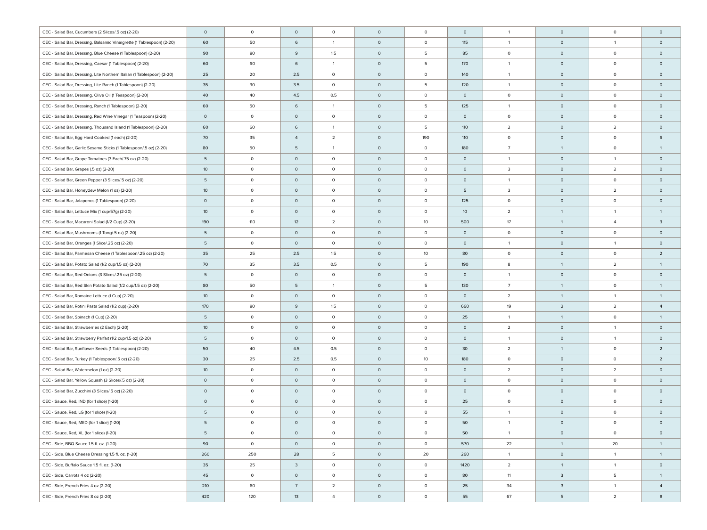| CEC - Salad Bar, Cucumbers (2 Slices/.5 oz) (2-20)                    | $\circ$         | $\mathsf{O}$ | $\circ$                 | $\circ$        | $\circ$      | $\circ$ | $\mathsf{O}\xspace$ | $\overline{1}$          | $\circ$                 | $\circ$             | $\mathsf{O}\xspace$ |
|-----------------------------------------------------------------------|-----------------|--------------|-------------------------|----------------|--------------|---------|---------------------|-------------------------|-------------------------|---------------------|---------------------|
| CEC - Salad Bar, Dressing, Balsamic Vinaigrette (1 Tablespoon) (2-20) | 60              | 50           | 6                       | $\mathbf{1}$   | $\circ$      | $\circ$ | 115                 | $\overline{1}$          | $\circ$                 | $\overline{1}$      | $\circ$             |
| CEC - Salad Bar, Dressing, Blue Cheese (1 Tablespoon) (2-20)          | 90              | 80           | 9                       | 1.5            | $\mathsf{O}$ | 5       | 85                  | $\circ$                 | $\circ$                 | $\circ$             | $\circ$             |
| CEC - Salad Bar, Dressing, Caesar (1 Tablespoon) (2-20)               | 60              | 60           | 6                       | $\mathbf{1}$   | $\circ$      | 5       | 170                 | $\overline{1}$          | $\circ$                 | $\circ$             | $\circ$             |
| CEC- Salad Bar, Dressing, Lite Northern Italian (1 Tablespoon) (2-20) | 25              | 20           | 2.5                     | $\circ$        | $\circ$      | $\circ$ | 140                 | $\overline{1}$          | $\circ$                 | $\circ$             | $\circ$             |
| CEC - Salad Bar, Dressing, Lite Ranch (1 Tablespoon) (2-20)           | 35              | 30           | 3.5                     | $\circ$        | $\circ$      | 5       | 120                 | $\overline{1}$          | $\circ$                 | $\circ$             | $\circ$             |
| CEC - Salad Bar, Dressing, Olive Oil (1 Teaspoon) (2-20)              | 40              | 40           | 4.5                     | 0.5            | $\circ$      | $\circ$ | $\circ$             | $\circ$                 | $\circ$                 | $\mathsf{O}\xspace$ | $\circ$             |
| CEC - Salad Bar, Dressing, Ranch (1 Tablespoon) (2-20)                | 60              | 50           | 6                       | $\mathbf{1}$   | $\circ$      | 5       | 125                 | $\overline{1}$          | $\circ$                 | $\circ$             | $\circ$             |
| CEC - Salad Bar, Dressing, Red Wine Vinegar (1 Teaspoon) (2-20)       | $\circ$         | $\circ$      | $\circ$                 | $\circ$        | $\circ$      | $\circ$ | $\circ$             | $\circ$                 | $\circ$                 | $\circ$             | $\circ$             |
| CEC - Salad Bar, Dressing, Thousand Island (1 Tablespoon) (2-20)      | 60              | 60           | 6                       | $\mathbf{1}$   | $\circ$      | 5       | 110                 | $\overline{2}$          | $\circ$                 | $\overline{2}$      | $\circ$             |
| CEC - Salad Bar, Egg Hard Cooked (1 each) (2-20)                      | 70              | 35           | $\overline{4}$          | $\overline{a}$ | $\circ$      | 190     | 110                 | $\circ$                 | $\circ$                 | $\circ$             | 6                   |
| CEC - Salad Bar, Garlic Sesame Sticks (1 Tablespoon/.5 oz) (2-20)     | 80              | 50           | 5                       | $\overline{1}$ | $\circ$      | $\circ$ | 180                 | $\overline{7}$          | $\overline{1}$          | $\circ$             | $\mathbf{1}$        |
| CEC - Salad Bar, Grape Tomatoes (3 Each/.75 oz) (2-20)                | 5               | $\circ$      | $\circ$                 | $\circ$        | $\circ$      | $\circ$ | $\circ$             | $\overline{1}$          | $\circ$                 | $\overline{1}$      | $\circ$             |
| CEC - Salad Bar, Grapes (.5 oz) (2-20)                                | 10 <sup>°</sup> | $\circ$      | $\circ$                 | $\circ$        | $\circ$      | $\circ$ | $\circ$             | $\overline{\mathbf{3}}$ | $\circ$                 | $\overline{2}$      | $\circ$             |
| CEC - Salad Bar, Green Pepper (3 Slices/.5 oz) (2-20)                 | 5               | $\circ$      | $\circ$                 | $\circ$        | $\circ$      | $\circ$ | $\circ$             | $\overline{1}$          | $\circ$                 | $\circ$             | $\circ$             |
| CEC - Salad Bar, Honeydew Melon (1 oz) (2-20)                         | 10 <sup>°</sup> | $\circ$      | $\circ$                 | $\circ$        | $\circ$      | $\circ$ | 5                   | $\overline{\mathbf{3}}$ | $\circ$                 | $\overline{2}$      | $\circ$             |
| CEC - Salad Bar, Jalapenos (1 Tablespoon) (2-20)                      | $\circ$         | $\circ$      | $\circ$                 | $\circ$        | $\mathsf{O}$ | $\circ$ | 125                 | $\circ$                 | $\circ$                 | $\circ$             | $\circ$             |
| CEC - Salad Bar, Lettuce Mix (1 cup/57q) (2-20)                       | 10 <sup>°</sup> | $\circ$      | $\circ$                 | $\circ$        | $\mathsf{O}$ | $\circ$ | 10 <sup>°</sup>     | $\overline{2}$          | $\overline{1}$          | $\overline{1}$      | $\mathbf{1}$        |
| CEC - Salad Bar, Macaroni Salad (1/2 Cup) (2-20)                      | 190             | 110          | 12                      | $\overline{2}$ | $\mathsf{O}$ | 10      | 500                 | 17                      | $\overline{1}$          | $\overline{4}$      | $\overline{3}$      |
| CEC - Salad Bar, Mushrooms (1 Tong/.5 oz) (2-20)                      | 5               | $\circ$      | $\circ$                 | $\circ$        | $\circ$      | $\circ$ | $\circ$             | $\circ$                 | $\circ$                 | $\circ$             | $\circ$             |
| CEC - Salad Bar, Oranges (1 Slice/.25 oz) (2-20)                      | 5               | $\circ$      | $\circ$                 | $\circ$        | $\circ$      | $\circ$ | $\circ$             | $\overline{1}$          | $\circ$                 | $\overline{1}$      | $\circ$             |
| CEC - Salad Bar, Parmesan Cheese (1 Tablespoon/.25 oz) (2-20)         | 35              | 25           | 2.5                     | 1.5            | $\circ$      | 10      | 80                  | $\circ$                 | $\circ$                 | $\circ$             | $\overline{2}$      |
| CEC - Salad Bar, Potato Salad (1/2 cup/1.5 oz) (2-20)                 | 70              | 35           | 3.5                     | 0.5            | $\circ$      | 5       | 190                 | 8                       | $\overline{1}$          | $\overline{2}$      | $\mathbf{1}$        |
| CEC - Salad Bar, Red Onions (3 Slices/.25 oz) (2-20)                  | 5               | $\circ$      | $\circ$                 | $\circ$        | $\circ$      | 0       | $\circ$             | $\overline{1}$          | $\circ$                 | $\circ$             | $\circ$             |
| CEC - Salad Bar, Red Skin Potato Salad (1/2 cup/1.5 oz) (2-20)        | 80              | 50           | 5                       | $\mathbf{1}$   | $\circ$      | 5       | 130                 | $\overline{7}$          | $\overline{1}$          | $\circ$             | $\mathbf{1}$        |
| CEC - Salad Bar, Romaine Lettuce (1 Cup) (2-20)                       | 10 <sup>°</sup> | $\circ$      | $\circ$                 | $\circ$        | $\circ$      | $\circ$ | $\circ$             | $\overline{2}$          | $\overline{1}$          | $\overline{1}$      | $\mathbf{1}$        |
| CEC - Salad Bar, Rotini Pasta Salad (1/2 cup) (2-20)                  | 170             | 80           | 9                       | 1.5            | $\circ$      | 0       | 660                 | 19                      | $\overline{2}$          | $\overline{2}$      | $\overline{4}$      |
| CEC - Salad Bar, Spinach (1 Cup) (2-20)                               | 5               | $\circ$      | $\circ$                 | $\circ$        | $\circ$      | $\circ$ | 25                  | $\overline{1}$          | $\overline{1}$          | $\circ$             | $\mathbf{1}$        |
| CEC - Salad Bar, Strawberries (2 Each) (2-20)                         | 10 <sup>°</sup> | $\circ$      | $\circ$                 | $\circ$        | $\circ$      | $\circ$ | $\mathsf{O}\xspace$ | $\overline{2}$          | $\circ$                 | $\overline{1}$      | $\circ$             |
| CEC - Salad Bar, Strawberry Parfait (1/2 cup/1.5 oz) (2-20)           | 5               | $\circ$      | $\circ$                 | $\circ$        | $\circ$      | 0       | $\circ$             | $\overline{1}$          | $\circ$                 | $\overline{1}$      | $\circ$             |
| CEC - Salad Bar, Sunflower Seeds (1 Tablespoon) (2-20)                | 50              | 40           | 4.5                     | 0.5            | $\circ$      | 0       | 30                  | $\overline{2}$          | $\overline{1}$          | $\circ$             | $\overline{2}$      |
| CEC - Salad Bar, Turkey (1 Tablespoon/.5 oz) (2-20)                   | 30              | 25           | 2.5                     | 0.5            | $\circ$      | 10      | 180                 | $\circ$                 | $\circ$                 | $\circ$             | $\overline{2}$      |
| CEC - Salad Bar, Watermelon (1 oz) (2-20)                             | 10 <sup>°</sup> | $\circ$      | $\circ$                 | $\circ$        | $\circ$      | $\circ$ | $\mathsf{O}\xspace$ | $\overline{2}$          | $\circ$                 | $\overline{2}$      | $\circ$             |
| CEC - Salad Bar, Yellow Squash (3 Slices/.5 oz) (2-20)                | $\circ$         | $\circ$      | $\circ$                 | $\circ$        | $\circ$      | $\circ$ | $\mathsf{O}\xspace$ | $\circ$                 | $\circ$                 | $\circ$             | $\circ$             |
| CEC - Salad Bar, Zucchini (3 Slices/.5 oz) (2-20)                     | $\circ$         | $\circ$      | $\circ$                 | $\circ$        | $\circ$      | $\circ$ | $\mathsf{O}\xspace$ | $\circ$                 | $\circ$                 | $\circ$             | $\circ$             |
| CEC - Sauce, Red, IND (for 1 slice) (1-20)                            | $\circ$         | $\circ$      | $\circ$                 | $\circ$        | $\circ$      | $\circ$ | 25                  | $\circ$                 | $\circ$                 | $\circ$             | $\circ$             |
| CEC - Sauce, Red, LG (for 1 slice) (1-20)                             | 5               | $\circ$      | $\circ$                 | $\circ$        | $\circ$      | $\circ$ | 55                  | $\overline{1}$          | $\circ$                 | $\circ$             | $\circ$             |
| CEC - Sauce, Red, MED (for 1 slice) (1-20)                            | 5               | $\circ$      | $\circ$                 | $\circ$        | $\circ$      | $\circ$ | 50                  |                         | $\circ$                 | $\mathsf{O}\xspace$ | $\mathsf{O}$        |
| CEC - Sauce, Red, XL (for 1 slice) (1-20)                             | 5               | $\circ$      | $\circ$                 | $\circ$        | $\circ$      | $\circ$ | 50                  | $\overline{1}$          | $\circ$                 | $\circ$             | $\circ$             |
| CEC - Side, BBQ Sauce 1.5 fl. oz. (1-20)                              | 90              | $\circ$      | $\circ$                 | $\circ$        | $\circ$      | $\circ$ | 570                 | 22                      | $\overline{1}$          | 20                  | 1                   |
| CEC - Side, Blue Cheese Dressing 1.5 fl. oz. (1-20)                   | 260             | 250          | 28                      | 5              | $\circ$      | 20      | 260                 | $\overline{1}$          | $\circ$                 | $\overline{1}$      | 1                   |
| CEC - Side, Buffalo Sauce 1.5 fl. oz. (1-20)                          | 35              | 25           | $\overline{\mathbf{3}}$ | $\circ$        | $\circ$      | $\circ$ | 1420                | $\overline{2}$          | $\overline{1}$          | $\overline{1}$      | $\circ$             |
| CEC - Side, Carrots 4 oz (2-20)                                       | 45              | $\circ$      | $\circ$                 | $\circ$        | $\circ$      | $\circ$ | 80                  | 11                      | $\overline{\mathbf{3}}$ | 5                   | $\mathbf{1}$        |
| CEC - Side, French Fries 4 oz (2-20)                                  | 210             | 60           | $7\overline{ }$         | $\overline{2}$ | $\circ$      | $\circ$ | 25                  | 34                      | $\overline{3}$          | $\mathbf{1}$        | $\overline{4}$      |
| CEC - Side, French Fries 8 oz (2-20)                                  | 420             | 120          | 13                      | $\overline{4}$ | $\circ$      | $\circ$ | 55                  | 67                      | 5                       | $\overline{2}$      | 8                   |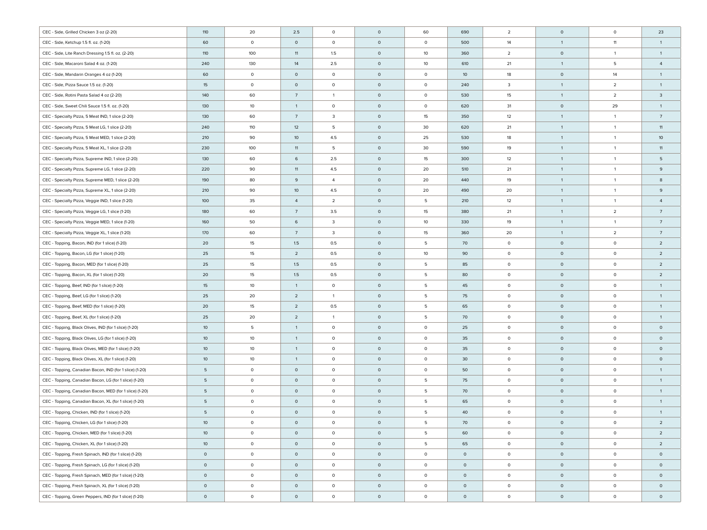| CEC - Side, Grilled Chicken 3 oz (2-20)                 | 110             | 20           | 2.5             | $\mathsf{O}\xspace$ | $\circ$ | 60                  | 690             | $\overline{2}$          | $\circ$        | $\circ$        | 23              |
|---------------------------------------------------------|-----------------|--------------|-----------------|---------------------|---------|---------------------|-----------------|-------------------------|----------------|----------------|-----------------|
| CEC - Side, Ketchup 1.5 fl. oz. (1-20)                  | 60              | $\mathsf{O}$ | $\circ$         | $\mathsf{O}\xspace$ | $\circ$ | $\circ$             | 500             | 14                      | $\overline{1}$ | 11             | $\mathbf{1}$    |
| CEC - Side, Lite Ranch Dressing 1.5 fl. oz. (2-20)      | 110             | 100          | 11              | 1.5                 | $\circ$ | 10                  | 360             | $\overline{2}$          | $\circ$        | $\mathbf{1}$   | $\mathbf{1}$    |
| CEC - Side, Macaroni Salad 4 oz. (1-20)                 | 240             | 130          | 14              | 2.5                 | $\circ$ | 10                  | 610             | 21                      | $\overline{1}$ | 5              | $\overline{4}$  |
| CEC - Side, Mandarin Oranges 4 oz (1-20)                | 60              | $\mathsf{O}$ | $\circ$         | $\mathsf{O}\xspace$ | $\circ$ | $\circ$             | 10 <sup>°</sup> | 18                      | $\circ$        | 14             | $\mathbf{1}$    |
| CEC - Side, Pizza Sauce 1.5 oz. (1-20)                  | 15              | $\mathsf{O}$ | $\circ$         | $\mathsf{O}\xspace$ | $\circ$ | $\circ$             | 240             | $\overline{\mathbf{3}}$ | $\overline{1}$ | $\overline{2}$ | $\mathbf{1}$    |
| CEC - Side, Rotini Pasta Salad 4 oz (2-20)              | 140             | 60           | $7\overline{ }$ | $\mathbf{1}$        | $\circ$ | $\mathsf{O}\xspace$ | 530             | 15                      | $\overline{1}$ | $\overline{2}$ | $\mathbf{3}$    |
| CEC - Side, Sweet Chili Sauce 1.5 fl. oz. (1-20)        | 130             | 10           | $\overline{1}$  | $\mathsf{O}\xspace$ | $\circ$ | $\circ$             | 620             | 31                      | $\circ$        | 29             | $\mathbf{1}$    |
| CEC - Specialty Pizza, 5 Meat IND, 1 slice (2-20)       | 130             | 60           | $7\overline{ }$ | 3                   | $\circ$ | 15                  | 350             | 12                      | $\overline{1}$ | $\overline{1}$ | $7\overline{ }$ |
| CEC - Specialty Pizza, 5 Meat LG, 1 slice (2-20)        | 240             | 110          | 12              | 5                   | $\circ$ | 30                  | 620             | 21                      | $\overline{1}$ | $\overline{1}$ | 11              |
| CEC - Specialty Pizza, 5 Meat MED, 1 slice (2-20)       | 210             | 90           | 10 <sup>°</sup> | 4.5                 | $\circ$ | 25                  | 530             | 18                      | $\overline{1}$ | $\overline{1}$ | 10 <sup>°</sup> |
| CEC - Specialty Pizza, 5 Meat XL, 1 slice (2-20)        | 230             | 100          | 11              | 5                   | $\circ$ | 30                  | 590             | 19                      | $\overline{1}$ | $\overline{1}$ | 11              |
| CEC - Specialty Pizza, Supreme IND, 1 slice (2-20)      | 130             | 60           | 6               | 2.5                 | $\circ$ | 15                  | 300             | 12                      | $\overline{1}$ | $\overline{1}$ | 5               |
| CEC - Specialty Pizza, Supreme LG, 1 slice (2-20)       | 220             | 90           | 11              | 4.5                 | $\circ$ | 20                  | 510             | 21                      | $\overline{1}$ | $\overline{1}$ | 9               |
| CEC - Specialty Pizza, Supreme MED, 1 slice (2-20)      | 190             | 80           | 9               | $\overline{4}$      | $\circ$ | 20                  | 440             | 19                      | $\overline{1}$ | $\overline{1}$ | 8               |
| CEC - Specialty Pizza, Supreme XL, 1 slice (2-20)       | 210             | 90           | 10 <sup>°</sup> | 4.5                 | $\circ$ | 20                  | 490             | 20                      | $\overline{1}$ | $\overline{1}$ | 9               |
| CEC - Specialty Pizza, Veggie IND, 1 slice (1-20)       | 100             | 35           | $\overline{4}$  | $\overline{2}$      | $\circ$ | 5                   | 210             | 12                      | $\overline{1}$ | $\overline{1}$ | $\overline{4}$  |
| CEC - Specialty Pizza, Veggie LG, 1 slice (1-20)        | 180             | 60           | $7\overline{ }$ | 3.5                 | $\circ$ | 15                  | 380             | 21                      | $\overline{1}$ | $\overline{2}$ | $7\overline{ }$ |
| CEC - Specialty Pizza, Veggie MED, 1 slice (1-20)       | 160             | 50           | 6               | 3                   | $\circ$ | 10                  | 330             | 19                      | $\overline{1}$ | $\overline{1}$ | $7\overline{ }$ |
| CEC - Specialty Pizza, Veggie XL, 1 slice (1-20)        | 170             | 60           | $7\overline{ }$ | 3                   | $\circ$ | 15                  | 360             | 20                      | $\overline{1}$ | $\overline{2}$ | $7\overline{ }$ |
| CEC - Topping, Bacon, IND (for 1 slice) (1-20)          | 20              | 15           | 1.5             | 0.5                 | $\circ$ | 5                   | 70              | $\circ$                 | $\circ$        | $\circ$        | $\overline{2}$  |
| CEC - Topping, Bacon, LG (for 1 slice) (1-20)           | 25              | 15           | $\overline{2}$  | 0.5                 | $\circ$ | 10                  | 90              | $\circ$                 | $\circ$        | $\circ$        | $\overline{2}$  |
| CEC - Topping, Bacon, MED (for 1 slice) (1-20)          | 25              | 15           | 1.5             | 0.5                 | $\circ$ | 5                   | 85              | $\circ$                 | $\circ$        | $\circ$        | $\overline{2}$  |
| CEC - Topping, Bacon, XL (for 1 slice) (1-20)           | 20              | 15           | 1.5             | 0.5                 | $\circ$ | 5                   | 80              | $\circ$                 | $\circ$        | $\circ$        | $\overline{2}$  |
| CEC - Topping, Beef, IND (for 1 slice) (1-20)           | 15              | 10           | $\mathbf{1}$    | $\mathsf{O}\xspace$ | $\circ$ | 5                   | 45              | $\circ$                 | $\circ$        | $\circ$        | $\mathbf{1}$    |
| CEC - Topping, Beef, LG (for 1 slice) (1-20)            | 25              | 20           | $\overline{2}$  | $\mathbf{1}$        | $\circ$ | 5                   | 75              | $\circ$                 | $\circ$        | $\circ$        | $\mathbf{1}$    |
| CEC - Topping, Beef, MED (for 1 slice) (1-20)           | 20              | 15           | $\overline{2}$  | 0.5                 | $\circ$ | 5                   | 65              | $\circ$                 | $\circ$        | $\circ$        | $\mathbf{1}$    |
| CEC - Topping, Beef, XL (for 1 slice) (1-20)            | 25              | 20           | $\overline{2}$  | $\mathbf{1}$        | $\circ$ | 5                   | 70              | $\circ$                 | $\circ$        | $\circ$        | $\mathbf{1}$    |
| CEC - Topping, Black Olives, IND (for 1 slice) (1-20)   | 10 <sup>°</sup> | 5            | $\mathbf{1}$    | $\mathsf{O}\xspace$ | $\circ$ | $\circ$             | 25              | $\circ$                 | $\circ$        | $\circ$        | $\circ$         |
| CEC - Topping, Black Olives, LG (for 1 slice) (1-20)    | 10 <sup>°</sup> | 10           | $\mathbf{1}$    | $\mathsf{O}\xspace$ | $\circ$ | $\circ$             | 35              | $\circ$                 | $\circ$        | $\circ$        | $\circ$         |
| CEC - Topping, Black Olives, MED (for 1 slice) (1-20)   | 10 <sup>°</sup> | 10           | $\mathbf{1}$    | $\mathsf{O}\xspace$ | $\circ$ | $\circ$             | 35              | $\circ$                 | $\circ$        | $\circ$        | $\circ$         |
| CEC - Topping, Black Olives, XL (for 1 slice) (1-20)    | 10 <sup>°</sup> | 10           | $\mathbf{1}$    | $\mathsf{O}\xspace$ | $\circ$ | $\circ$             | 30              | $\mathsf{O}$            | $\circ$        | $\circ$        | $\circ$         |
| CEC - Topping, Canadian Bacon, IND (for 1 slice) (1-20) | $5\phantom{.0}$ | $\circ$      | $\circ$         | $\circ$             | $\circ$ | $\circ$             | 50              | $\mathsf{O}$            | $\circ$        | $\circ$        | $\mathbf{1}$    |
| CEC - Topping, Canadian Bacon, LG (for 1 slice) (1-20)  | 5               | $\circ$      | $\circ$         | $\circ$             | $\circ$ | 5                   | 75              | $\circ$                 | $\circ$        | $\circ$        | $\mathbf{1}$    |
| CEC - Topping, Canadian Bacon, MED (for 1 slice) (1-20) | $5\phantom{.0}$ | $\circ$      | $\circ$         | $\mathsf{O}\xspace$ | $\circ$ | 5                   | 70              | $\circ$                 | $\circ$        | $\circ$        | $\mathbf{1}$    |
| CEC - Topping, Canadian Bacon, XL (for 1 slice) (1-20)  | 5               | $\circ$      | $\circ$         | $\circ$             | $\circ$ | 5                   | 65              | $\circ$                 | $\circ$        | $\circ$        | $\mathbf{1}$    |
| CEC - Topping, Chicken, IND (for 1 slice) (1-20)        | 5               | $\circ$      | $\circ$         | $\circ$             | $\circ$ | 5                   | 40              | $\circ$                 | $\circ$        | $\circ$        | $\mathbf{1}$    |
| CEC - Topping, Chicken, LG (for 1 slice) (1-20)         | 10 <sup>°</sup> | $^{\circ}$   | $\circ$         | $\circ$             | $\circ$ | 5                   | 70              | $\circ$                 | $\circ$        | $\circ$        | $\overline{2}$  |
| CEC - Topping, Chicken, MED (for 1 slice) (1-20)        | 10 <sup>°</sup> | $\circ$      | $\circ$         | $\circ$             | $\circ$ | 5                   | 60              | $\circ$                 | $\circ$        | $\circ$        | $\overline{2}$  |
| CEC - Topping, Chicken, XL (for 1 slice) (1-20)         | 10 <sup>°</sup> | $\circ$      | $\circ$         | $\circ$             | $\circ$ | 5                   | 65              | $\circ$                 | $\circ$        | $\circ$        | $\overline{2}$  |
| CEC - Topping, Fresh Spinach, IND (for 1 slice) (1-20)  | $\circ$         | $\circ$      | $\circ$         | $\circ$             | $\circ$ | $\circ$             | $\circ$         | $\circ$                 | $\circ$        | $\circ$        | $\circ$         |
| CEC - Topping, Fresh Spinach, LG (for 1 slice) (1-20)   | $\circ$         | $\circ$      | $\circ$         | $\circ$             | $\circ$ | $\circ$             | $\circ$         | $\circ$                 | $\circ$        | $\circ$        | $\circ$         |
| CEC - Topping, Fresh Spinach, MED (for 1 slice) (1-20)  | $\circ$         | $\circ$      | $\circ$         | $\circ$             | $\circ$ | $\circ$             | $\circ$         | $\circ$                 | $\circ$        | $\circ$        | $\circ$         |
| CEC - Topping, Fresh Spinach, XL (for 1 slice) (1-20)   | $\circ$         | $\circ$      | $\circ$         | $\circ$             | $\circ$ | $\circ$             | $\circ$         | $\circ$                 | $\circ$        | $\circ$        | $\circ$         |
| CEC - Topping, Green Peppers, IND (for 1 slice) (1-20)  | $\circ$         | $\circ$      | $\circ$         | $\circ$             | $\circ$ | $\circ$             | $\circ$         | $\circ$                 | $\circ$        | $\circ$        | $\circ$         |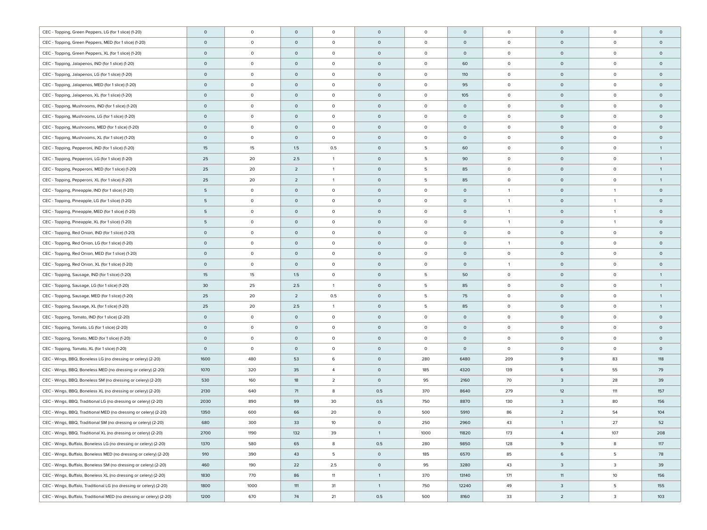| CEC - Topping, Green Peppers, LG (for 1 slice) (1-20)                | $\circ$ | $\circ$ | $\mathsf O$    | $\circ$        | $\circ$        | $\circ$ | $\circ$ | $\circ$        | $\circ$             | $\circ$        | $\circ$        |
|----------------------------------------------------------------------|---------|---------|----------------|----------------|----------------|---------|---------|----------------|---------------------|----------------|----------------|
| CEC - Topping, Green Peppers, MED (for 1 slice) (1-20)               | $\circ$ | $\circ$ | $\circ$        | $\circ$        | $\circ$        | $\circ$ | $\circ$ | $\circ$        | $\circ$             | $\circ$        | $\circ$        |
| CEC - Topping, Green Peppers, XL (for 1 slice) (1-20)                | $\circ$ | $\circ$ | $\circ$        | $\circ$        | $\circ$        | $\circ$ | $\circ$ | $\circ$        | $\circ$             | $\circ$        | $\circ$        |
| CEC - Topping, Jalapenos, IND (for 1 slice) (1-20)                   | $\circ$ | $\circ$ | $\circ$        | $\circ$        | $\circ$        | 0       | 60      | $\circ$        | $\circ$             | $\circ$        | $\circ$        |
| CEC - Topping, Jalapenos, LG (for 1 slice) (1-20)                    | $\circ$ | $\circ$ | $\circ$        | $\circ$        | $\circ$        | 0       | 110     | $\circ$        | $\circ$             | $\circ$        | $\circ$        |
| CEC - Topping, Jalapenos, MED (for 1 slice) (1-20)                   | $\circ$ | $\circ$ | $\circ$        | $\circ$        | $\circ$        | $\circ$ | 95      | $\circ$        | $\circ$             | $\circ$        | $\circ$        |
| CEC - Topping, Jalapenos, XL (for 1 slice) (1-20)                    | $\circ$ | $\circ$ | $\circ$        | $\circ$        | $\circ$        | 0       | 105     | $\circ$        | $\circ$             | $\circ$        | $\circ$        |
| CEC - Topping, Mushrooms, IND (for 1 slice) (1-20)                   | $\circ$ | $\circ$ | $\circ$        | $\circ$        | $\circ$        | 0       | $\circ$ | $\circ$        | $\circ$             | $\mathsf 0$    | $\circ$        |
| CEC - Topping, Mushrooms, LG (for 1 slice) (1-20)                    | $\circ$ | $\circ$ | $\circ$        | $\circ$        | $\circ$        | 0       | $\circ$ | $\circ$        | $\circ$             | $\circ$        | $\circ$        |
| CEC - Topping, Mushrooms, MED (for 1 slice) (1-20)                   | $\circ$ | $\circ$ | $\circ$        | $\circ$        | $\circ$        | 0       | $\circ$ | $\circ$        | $\circ$             | $\circ$        | $\circ$        |
| CEC - Topping, Mushrooms, XL (for 1 slice) (1-20)                    | $\circ$ | $\circ$ | $\circ$        | $\circ$        | $\circ$        | 0       | $\circ$ | $\circ$        | $\circ$             | $\circ$        | $\circ$        |
| CEC - Topping, Pepperoni, IND (for 1 slice) (1-20)                   | 15      | 15      | 1.5            | 0.5            | $\circ$        | 5       | 60      | $\circ$        | $\circ$             | $\circ$        | $\overline{1}$ |
| CEC - Topping, Pepperoni, LG (for 1 slice) (1-20)                    | 25      | 20      | 2.5            | $\mathbf{1}$   | $\circ$        | 5       | 90      | $\circ$        | $\circ$             | $\circ$        | $\overline{1}$ |
| CEC - Topping, Pepperoni, MED (for 1 slice) (1-20)                   | 25      | 20      | $\overline{2}$ | $\mathbf{1}$   | $\circ$        | 5       | 85      | $\circ$        | $\circ$             | $\circ$        | $\mathbf{1}$   |
| CEC - Topping, Pepperoni, XL (for 1 slice) (1-20)                    | 25      | 20      | $\overline{2}$ | $\mathbf{1}$   | $\circ$        | 5       | 85      | $\circ$        | $\circ$             | $\circ$        | $\mathbf{1}$   |
| CEC - Topping, Pineapple, IND (for 1 slice) (1-20)                   | 5       | $\circ$ | $\circ$        | $\circ$        | $\circ$        | $\circ$ | $\circ$ | $\overline{1}$ | $\circ$             | $\overline{1}$ | $\circ$        |
| CEC - Topping, Pineapple, LG (for 1 slice) (1-20)                    | 5       | $\circ$ | $\circ$        | $\circ$        | $\circ$        | $\circ$ | $\circ$ | $\overline{1}$ | $\circ$             | $\overline{1}$ | $\circ$        |
| CEC - Topping, Pineapple, MED (for 1 slice) (1-20)                   | 5       | $\circ$ | $\circ$        | $\circ$        | $\mathsf{O}$   | $\circ$ | $\circ$ | $\overline{1}$ | $\circ$             | $\overline{1}$ | $\circ$        |
| CEC - Topping, Pineapple, XL (for 1 slice) (1-20)                    | 5       | $\circ$ | $\circ$        | $\circ$        | $\mathsf{O}$   | $\circ$ | $\circ$ | $\overline{1}$ | $\circ$             | $\overline{1}$ | $\circ$        |
| CEC - Topping, Red Onion, IND (for 1 slice) (1-20)                   | $\circ$ | $\circ$ | $\circ$        | $\circ$        | $\circ$        | $\circ$ | $\circ$ | $\circ$        | $\circ$             | $\circ$        | $\circ$        |
| CEC - Topping, Red Onion, LG (for 1 slice) (1-20)                    | $\circ$ | $\circ$ | $\circ$        | $\circ$        | $\mathsf{O}$   | $\circ$ | $\circ$ | $\overline{1}$ | $\circ$             | $\circ$        | $\circ$        |
| CEC - Topping, Red Onion, MED (for 1 slice) (1-20)                   | $\circ$ | $\circ$ | $\circ$        | $\circ$        | $\mathsf{O}$   | $\circ$ | $\circ$ | $\circ$        | $\circ$             | $\circ$        | $\circ$        |
| CEC - Topping, Red Onion, XL (for 1 slice) (1-20)                    | $\circ$ | $\circ$ | $\circ$        | $\circ$        | $\mathsf{O}$   | $\circ$ | $\circ$ | $\overline{1}$ | $\circ$             | $\circ$        | $\circ$        |
| CEC - Topping, Sausage, IND (for 1 slice) (1-20)                     | 15      | 15      | 1.5            | $\circ$        | $\mathsf{O}$   | 5       | 50      | $\circ$        | $\circ$             | $\circ$        | $\overline{1}$ |
| CEC - Topping, Sausage, LG (for 1 slice) (1-20)                      | 30      | 25      | 2.5            | 1              | $\mathsf{O}$   | 5       | 85      | $\circ$        | $\circ$             | $\circ$        | $\overline{1}$ |
| CEC - Topping, Sausage, MED (for 1 slice) (1-20)                     | 25      | 20      | $\overline{2}$ | 0.5            | $\mathsf{O}$   | 5       | 75      | $\circ$        | $\circ$             | $\circ$        | $\mathbf{1}$   |
| CEC - Topping, Sausage, XL (for 1 slice) (1-20)                      | 25      | 20      | 2.5            | 1              | $\circ$        | 5       | 85      | $\circ$        | $\circ$             | $\circ$        | $\overline{1}$ |
| CEC - Topping, Tomato, IND (for 1 slice) (2-20)                      | $\circ$ | $\circ$ | $\circ$        | $\circ$        | $\circ$        | $\circ$ | $\circ$ | $\circ$        | $\circ$             | $\circ$        | $\circ$        |
| CEC - Topping, Tomato, LG (for 1 slice) (2-20)                       | $\circ$ | $\circ$ | $\circ$        | $\circ$        | $\circ$        | $\circ$ | $\circ$ | $\circ$        | $\circ$             | $\circ$        | $\circ$        |
| CEC - Topping, Tomato, MED (for 1 slice) (1-20)                      | $\circ$ | $\circ$ | $\circ$        | $\circ$        | $\circ$        | $\circ$ | $\circ$ | $\circ$        | $\mathsf{O}\xspace$ | $\circ$        | $\circ$        |
| CEC - Topping, Tomato, XL (for 1 slice) (1-20)                       | $\circ$ | $\circ$ | $\circ$        | $\circ$        | $\mathsf{O}$   | $\circ$ | $\circ$ | $\circ$        | $\circ$             | $\circ$        | $\circ$        |
| CEC - Wings, BBQ, Boneless LG (no dressing or celery) (2-20)         | 1600    | 480     | 53             | 6              | $\circ$        | 280     | 6480    | 209            | 9                   | 83             | 118            |
| CEC - Wings, BBQ, Boneless MED (no dressing or celery) (2-20)        | 1070    | 320     | 35             | $\overline{4}$ | $\circ$        | 185     | 4320    | 139            | 6                   | 55             | 79             |
| CEC - Wings, BBQ, Boneless SM (no dressing or celery) (2-20)         | 530     | 160     | 18             | $\overline{2}$ | $\circ$        | 95      | 2160    | 70             | 3                   | 28             | 39             |
| CEC - Wings, BBQ, Boneless XL (no dressing or celery) (2-20)         | 2130    | 640     | 71             | 8              | 0.5            | 370     | 8640    | 279            | 12                  | 111            | 157            |
| CEC - Wings, BBQ, Traditional LG (no dressing or celery) (2-20)      | 2030    | 890     | 99             | 30             | 0.5            | 750     | 8870    | 130            | 3                   | 80             | 156            |
| CEC - Wings, BBQ, Traditional MED (no dressing or celery) (2-20)     | 1350    | 600     | 66             | 20             | $\circ$        | 500     | 5910    | 86             | $\overline{2}$      | 54             | 104            |
| CEC - Wings, BBQ, Traditional SM (no dressing or celery) (2-20)      | 680     | 300     | 33             | 10             | $\circ$        | 250     | 2960    | 43             | $\overline{1}$      | 27             | 52             |
| CEC - Wings, BBQ, Traditional XL (no dressing or celery) (2-20)      | 2700    | 1190    | 132            | 39             | $\overline{1}$ | 1000    | 11820   | 173            | $\overline{4}$      | 107            | 208            |
| CEC - Wings, Buffalo, Boneless LG (no dressing or celery) (2-20)     | 1370    | 580     | 65             | 8              | 0.5            | 280     | 9850    | 128            | 9                   | 8              | 117            |
| CEC - Wings, Buffalo, Boneless MED (no dressing or celery) (2-20)    | 910     | 390     | 43             | 5              | $\circ$        | 185     | 6570    | 85             | 6                   | 5              | 78             |
| CEC - Wings, Buffalo, Boneless SM (no dressing or celery) (2-20)     | 460     | 190     | 22             | 2.5            | $\circ$        | 95      | 3280    | 43             | $\overline{3}$      | 3              | 39             |
| CEC - Wings, Buffalo, Boneless XL (no dressing or celery) (2-20)     | 1830    | 770     | 86             | 11             | $\mathbf{1}$   | 370     | 13140   | 171            | 11                  | 10             | 156            |
| CEC - Wings, Buffalo, Traditional LG (no dressing or celery) (2-20)  | 1800    | 1000    | 111            | 31             | $\overline{1}$ | 750     | 12240   | 49             | $\overline{3}$      | 5              | 155            |
| CEC - Wings, Buffalo, Traditional MED (no dressing or celery) (2-20) | 1200    | 670     | 74             | 21             | 0.5            | 500     | 8160    | 33             | $\overline{2}$      | 3              | 103            |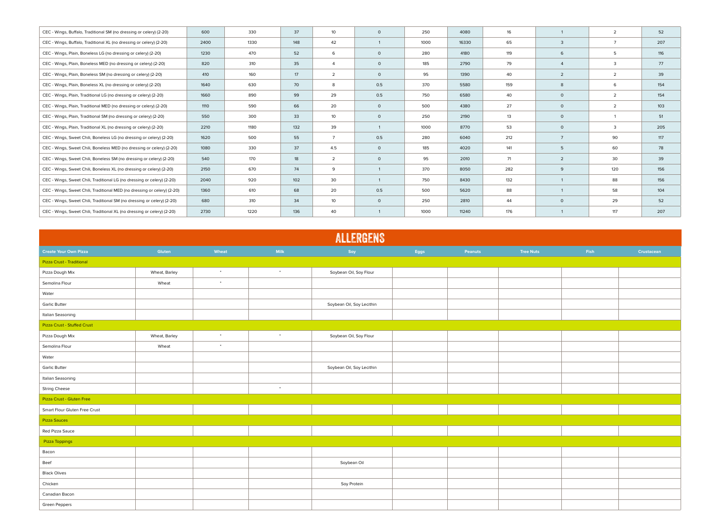| CEC - Wings, Buffalo, Traditional SM (no dressing or celery) (2-20)      | 600  | 330  | 37              | 10 <sup>°</sup>  | $\circ$ | 250  | 4080  | 16  |                | $\overline{2}$ | 52  |
|--------------------------------------------------------------------------|------|------|-----------------|------------------|---------|------|-------|-----|----------------|----------------|-----|
| CEC - Wings, Buffalo, Traditional XL (no dressing or celery) (2-20)      | 2400 | 1330 | 148             | 42               |         | 1000 | 16330 | 65  | 3              | $\overline{7}$ | 207 |
| CEC - Wings, Plain, Boneless LG (no dressing or celery) (2-20)           | 1230 | 470  | 52              | 6                | $\circ$ | 280  | 4180  | 119 | 6              | 5              | 116 |
| CEC - Wings, Plain, Boneless MED (no dressing or celery) (2-20)          | 820  | 310  | 35              | $\overline{4}$   | $\circ$ | 185  | 2790  | 79  |                | 3              | 77  |
| CEC - Wings, Plain, Boneless SM (no dressing or celery) (2-20)           | 410  | 160  | 17 <sup>2</sup> | $\overline{2}$   | $\circ$ | 95   | 1390  | 40  | $\overline{2}$ | $\overline{2}$ | 39  |
| CEC - Wings, Plain, Boneless XL (no dressing or celery) (2-20)           | 1640 | 630  | 70              | 8                | 0.5     | 370  | 5580  | 159 | 8              | 6              | 154 |
| CEC - Wings, Plain, Traditional LG (no dressing or celery) (2-20)        | 1660 | 890  | 99              | 29               | 0.5     | 750  | 6580  | 40  | $\circ$        | 2              | 154 |
| CEC - Wings, Plain, Traditional MED (no dressing or celery) (2-20)       | 1110 | 590  | 66              | 20               | $\circ$ | 500  | 4380  | 27  | $\circ$        | $\overline{2}$ | 103 |
| CEC - Wings, Plain, Traditional SM (no dressing or celery) (2-20)        | 550  | 300  | 33              | 10               | $\circ$ | 250  | 2190  | 13  | $\circ$        |                | 51  |
| CEC - Wings, Plain, Traditional XL (no dressing or celery) (2-20)        | 2210 | 1180 | 132             | 39               |         | 1000 | 8770  | 53  | $\circ$        | 3              | 205 |
| CEC - Wings, Sweet Chili, Boneless LG (no dressing or celery) (2-20)     | 1620 | 500  | 55              | $\overline{7}$   | 0.5     | 280  | 6040  | 212 | $\overline{7}$ | 90             | 117 |
| CEC - Wings, Sweet Chili, Boneless MED (no dressing or celery) (2-20)    | 1080 | 330  | 37              | 4.5              | $\circ$ | 185  | 4020  | 141 | 5              | 60             | 78  |
| CEC - Wings, Sweet Chili, Boneless SM (no dressing or celery) (2-20)     | 540  | 170  | 18              | $\overline{2}$   | $\circ$ | 95   | 2010  | 71  | $\overline{2}$ | 30             | 39  |
| CEC - Wings, Sweet Chili, Boneless XL (no dressing or celery) (2-20)     | 2150 | 670  | 74              | 9                |         | 370  | 8050  | 282 | 9              | 120            | 156 |
| CEC - Wings, Sweet Chili, Traditional LG (no dressing or celery) (2-20)  | 2040 | 920  | 102             | 30               |         | 750  | 8430  | 132 |                | 88             | 156 |
| CEC - Wings, Sweet Chili, Traditional MED (no dressing or celery) (2-20) | 1360 | 610  | 68              | 20               | 0.5     | 500  | 5620  | 88  |                | 58             | 104 |
| CEC - Wings, Sweet Chili, Traditional SM (no dressing or celery) (2-20)  | 680  | 310  | 34              | 10 <sub>10</sub> | $\circ$ | 250  | 2810  | 44  | $\circ$        | 29             | 52  |
| CEC - Wings, Sweet Chili, Traditional XL (no dressing or celery) (2-20)  | 2730 | 1220 | 136             | 40               |         | 1000 | 11240 | 176 |                | 117            | 207 |
|                                                                          |      |      |                 |                  |         |      |       |     |                |                |     |

| <b>ALLERGENS</b>              |               |                      |           |                           |      |         |                  |      |            |  |
|-------------------------------|---------------|----------------------|-----------|---------------------------|------|---------|------------------|------|------------|--|
| <b>Create Your Own Pizza</b>  | Gluten        | Wheat                | Milk      | Soy                       | Eggs | Peanuts | <b>Tree Nuts</b> | Fish | Crustacean |  |
| Pizza Crust - Traditional     |               |                      |           |                           |      |         |                  |      |            |  |
| Pizza Dough Mix               | Wheat, Barley | $\bullet$            | $\bullet$ | Soybean Oil, Soy Flour    |      |         |                  |      |            |  |
| Semolina Flour                | Wheat         | $\bullet$            |           |                           |      |         |                  |      |            |  |
| Water                         |               |                      |           |                           |      |         |                  |      |            |  |
| <b>Garlic Butter</b>          |               |                      |           | Soybean Oil, Soy Lecithin |      |         |                  |      |            |  |
| Italian Seasoning             |               |                      |           |                           |      |         |                  |      |            |  |
| Pizza Crust - Stuffed Crust   |               |                      |           |                           |      |         |                  |      |            |  |
| Pizza Dough Mix               | Wheat, Barley | $\bullet$            | $\bullet$ | Soybean Oil, Soy Flour    |      |         |                  |      |            |  |
| Semolina Flour                | Wheat         | $\ddot{\phantom{1}}$ |           |                           |      |         |                  |      |            |  |
| Water                         |               |                      |           |                           |      |         |                  |      |            |  |
| <b>Garlic Butter</b>          |               |                      |           | Soybean Oil, Soy Lecithin |      |         |                  |      |            |  |
| Italian Seasoning             |               |                      |           |                           |      |         |                  |      |            |  |
| <b>String Cheese</b>          |               |                      | $\sim$    |                           |      |         |                  |      |            |  |
| Pizza Crust - Gluten Free     |               |                      |           |                           |      |         |                  |      |            |  |
| Smart Flour Gluten Free Crust |               |                      |           |                           |      |         |                  |      |            |  |
| <b>Pizza Sauces</b>           |               |                      |           |                           |      |         |                  |      |            |  |
| Red Pizza Sauce               |               |                      |           |                           |      |         |                  |      |            |  |
| Pizza Toppings                |               |                      |           |                           |      |         |                  |      |            |  |
| Bacon                         |               |                      |           |                           |      |         |                  |      |            |  |
| Beef                          |               |                      |           | Soybean Oil               |      |         |                  |      |            |  |
| <b>Black Olives</b>           |               |                      |           |                           |      |         |                  |      |            |  |
| Chicken                       |               |                      |           | Soy Protein               |      |         |                  |      |            |  |
| Canadian Bacon                |               |                      |           |                           |      |         |                  |      |            |  |
| Green Peppers                 |               |                      |           |                           |      |         |                  |      |            |  |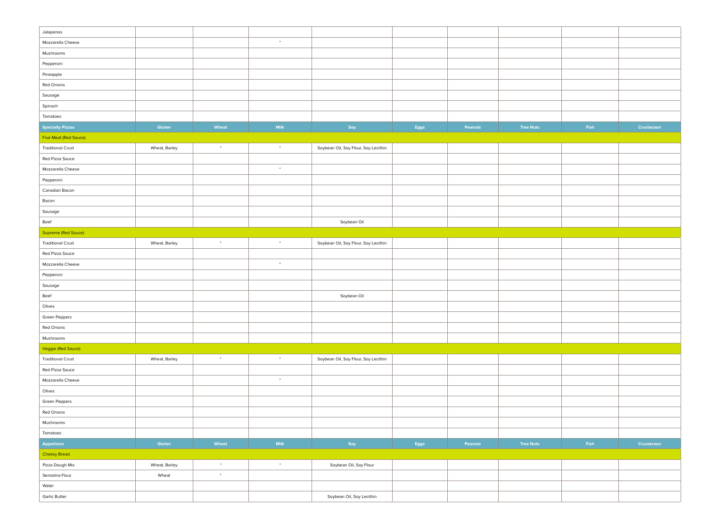| Jalapenos                    |               |           |           |                                      |      |         |                  |      |            |
|------------------------------|---------------|-----------|-----------|--------------------------------------|------|---------|------------------|------|------------|
| Mozzarella Cheese            |               |           | $\bullet$ |                                      |      |         |                  |      |            |
| Mushrooms                    |               |           |           |                                      |      |         |                  |      |            |
| Pepperoni                    |               |           |           |                                      |      |         |                  |      |            |
| Pineapple                    |               |           |           |                                      |      |         |                  |      |            |
| Red Onions                   |               |           |           |                                      |      |         |                  |      |            |
| Sausage                      |               |           |           |                                      |      |         |                  |      |            |
| Spinach                      |               |           |           |                                      |      |         |                  |      |            |
| Tomatoes                     |               |           |           |                                      |      |         |                  |      |            |
| <b>Specialty Pizzas</b>      | Gluten        | Wheat     | Milk      | Soy                                  | Eggs | Peanuts | <b>Tree Nuts</b> | Fish | Crustacean |
| <b>Five Meat (Red Sauce)</b> |               |           |           |                                      |      |         |                  |      |            |
| <b>Traditional Crust</b>     | Wheat, Barley | $\bullet$ | $\bullet$ | Soybean Oil, Soy Flour, Soy Lecithin |      |         |                  |      |            |
| Red Pizza Sauce              |               |           |           |                                      |      |         |                  |      |            |
| Mozzarella Cheese            |               |           | $\bullet$ |                                      |      |         |                  |      |            |
| Pepperoni                    |               |           |           |                                      |      |         |                  |      |            |
| Canadian Bacon               |               |           |           |                                      |      |         |                  |      |            |
| Bacon                        |               |           |           |                                      |      |         |                  |      |            |
| Sausage                      |               |           |           |                                      |      |         |                  |      |            |
| Beef                         |               |           |           | Soybean Oil                          |      |         |                  |      |            |
| Supreme (Red Sauce)          |               |           |           |                                      |      |         |                  |      |            |
| <b>Traditional Crust</b>     | Wheat, Barley | $\bullet$ | $\bullet$ | Soybean Oil, Soy Flour, Soy Lecithin |      |         |                  |      |            |
| Red Pizza Sauce              |               |           |           |                                      |      |         |                  |      |            |
| Mozzarella Cheese            |               |           | $\bullet$ |                                      |      |         |                  |      |            |
| Pepperoni                    |               |           |           |                                      |      |         |                  |      |            |
| Sausage                      |               |           |           |                                      |      |         |                  |      |            |
| Beef                         |               |           |           | Soybean Oil                          |      |         |                  |      |            |
| Olives                       |               |           |           |                                      |      |         |                  |      |            |
| Green Peppers                |               |           |           |                                      |      |         |                  |      |            |
| Red Onions                   |               |           |           |                                      |      |         |                  |      |            |
| Mushrooms                    |               |           |           |                                      |      |         |                  |      |            |
| Veggie (Red Sauce)           |               |           |           |                                      |      |         |                  |      |            |
| <b>Traditional Crust</b>     | Wheat, Barley | $\bullet$ | $\bullet$ | Soybean Oil, Soy Flour, Soy Lecithin |      |         |                  |      |            |
| Red Pizza Sauce              |               |           |           |                                      |      |         |                  |      |            |
| Mozzarella Cheese            |               |           | $\bullet$ |                                      |      |         |                  |      |            |
| Olives                       |               |           |           |                                      |      |         |                  |      |            |
| Green Peppers                |               |           |           |                                      |      |         |                  |      |            |
| Red Onions                   |               |           |           |                                      |      |         |                  |      |            |
| Mushrooms                    |               |           |           |                                      |      |         |                  |      |            |
| Tomatoes                     |               |           |           |                                      |      |         |                  |      |            |
| Appetizers                   | Gluten        | Wheat     | Milk      | Soy                                  | Eggs | Peanuts | <b>Tree Nuts</b> | Fish | Crustacean |
| <b>Cheesy Bread</b>          |               |           |           |                                      |      |         |                  |      |            |
| Pizza Dough Mix              | Wheat, Barley | $\bullet$ | $^\star$  | Soybean Oil, Soy Flour               |      |         |                  |      |            |
| Semolina Flour               | Wheat         | $\sim$    |           |                                      |      |         |                  |      |            |
| Water                        |               |           |           |                                      |      |         |                  |      |            |
| Garlic Butter                |               |           |           | Soybean Oil, Soy Lecithin            |      |         |                  |      |            |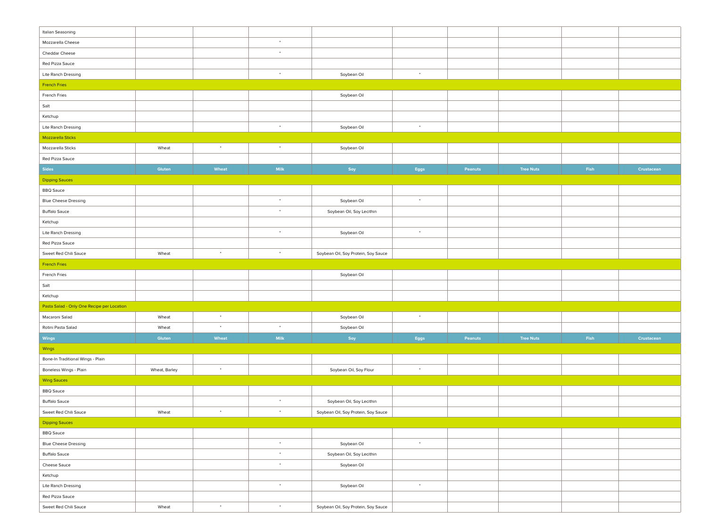| Italian Seasoning                          |               |           |             |                                     |               |         |                  |      |            |
|--------------------------------------------|---------------|-----------|-------------|-------------------------------------|---------------|---------|------------------|------|------------|
| Mozzarella Cheese                          |               |           | $\bullet$   |                                     |               |         |                  |      |            |
| Cheddar Cheese                             |               |           | $\bullet$   |                                     |               |         |                  |      |            |
| Red Pizza Sauce                            |               |           |             |                                     |               |         |                  |      |            |
| Lite Ranch Dressing                        |               |           | $\bullet$   | Soybean Oil                         | $\bullet$     |         |                  |      |            |
| <b>French Fries</b>                        |               |           |             |                                     |               |         |                  |      |            |
| French Fries                               |               |           |             | Soybean Oil                         |               |         |                  |      |            |
| Salt                                       |               |           |             |                                     |               |         |                  |      |            |
| Ketchup                                    |               |           |             |                                     |               |         |                  |      |            |
| Lite Ranch Dressing                        |               |           | $\bullet$   | Soybean Oil                         | $\rightarrow$ |         |                  |      |            |
| Mozzarella Sticks                          |               |           |             |                                     |               |         |                  |      |            |
| Mozzarella Sticks                          | Wheat         | $\sim$    | $\bullet$   | Soybean Oil                         |               |         |                  |      |            |
| Red Pizza Sauce                            |               |           |             |                                     |               |         |                  |      |            |
| <b>Sides</b>                               | Gluten        | Wheat     | <b>Milk</b> | Soy                                 | Eggs          | Peanuts | <b>Tree Nuts</b> | Fish | Crustacean |
| <b>Dipping Sauces</b>                      |               |           |             |                                     |               |         |                  |      |            |
| <b>BBQ Sauce</b>                           |               |           |             |                                     |               |         |                  |      |            |
| <b>Blue Cheese Dressing</b>                |               |           | $\;$        | Soybean Oil                         | $\rightarrow$ |         |                  |      |            |
| <b>Buffalo Sauce</b>                       |               |           | $\bullet$   | Soybean Oil, Soy Lecithin           |               |         |                  |      |            |
| Ketchup                                    |               |           |             |                                     |               |         |                  |      |            |
| Lite Ranch Dressing                        |               |           | $\bullet$   | Soybean Oil                         | $\sim$        |         |                  |      |            |
| Red Pizza Sauce                            |               |           |             |                                     |               |         |                  |      |            |
| Sweet Red Chili Sauce                      | Wheat         | $\bullet$ | $\bullet$   | Soybean Oil, Soy Protein, Soy Sauce |               |         |                  |      |            |
| <b>French Fries</b>                        |               |           |             |                                     |               |         |                  |      |            |
| French Fries                               |               |           |             | Soybean Oil                         |               |         |                  |      |            |
| Salt                                       |               |           |             |                                     |               |         |                  |      |            |
| Ketchup                                    |               |           |             |                                     |               |         |                  |      |            |
| Pasta Salad - Only One Recipe per Location |               |           |             |                                     |               |         |                  |      |            |
| Macaroni Salad                             | Wheat         | $\bullet$ |             | Soybean Oil                         | $\sim$        |         |                  |      |            |
| Rotini Pasta Salad                         | Wheat         | $\bullet$ | $\bullet$   | Soybean Oil                         |               |         |                  |      |            |
| Wings                                      | Gluten        | Wheat     | Milk        | Soy                                 | Eggs          | Peanuts | <b>Tree Nuts</b> | Fish | Crustacean |
| Wings                                      |               |           |             |                                     |               |         |                  |      |            |
| Bone-In Traditional Wings - Plain          |               |           |             |                                     |               |         |                  |      |            |
| Boneless Wings - Plain                     | Wheat, Barley | $\bullet$ |             | Soybean Oil, Soy Flour              | $\,$          |         |                  |      |            |
| <b>Wing Sauces</b>                         |               |           |             |                                     |               |         |                  |      |            |
| <b>BBQ</b> Sauce                           |               |           |             |                                     |               |         |                  |      |            |
| <b>Buffalo Sauce</b>                       |               |           | $\bullet$   | Soybean Oil, Soy Lecithin           |               |         |                  |      |            |
| Sweet Red Chili Sauce                      | Wheat         | $\bullet$ | $\bullet$   | Soybean Oil, Soy Protein, Soy Sauce |               |         |                  |      |            |
| Dipping Sauces                             |               |           |             |                                     |               |         |                  |      |            |
| <b>BBQ</b> Sauce                           |               |           |             |                                     |               |         |                  |      |            |
| <b>Blue Cheese Dressing</b>                |               |           | $\bullet$   | Soybean Oil                         | $\rightarrow$ |         |                  |      |            |
| <b>Buffalo Sauce</b>                       |               |           | $\bullet$   | Soybean Oil, Soy Lecithin           |               |         |                  |      |            |
| Cheese Sauce                               |               |           | $\bullet$   | Soybean Oil                         |               |         |                  |      |            |
| Ketchup                                    |               |           |             |                                     |               |         |                  |      |            |
| Lite Ranch Dressing                        |               |           | $\bullet$   | Soybean Oil                         | $\rightarrow$ |         |                  |      |            |
|                                            |               |           |             |                                     |               |         |                  |      |            |
| Red Pizza Sauce                            |               |           |             |                                     |               |         |                  |      |            |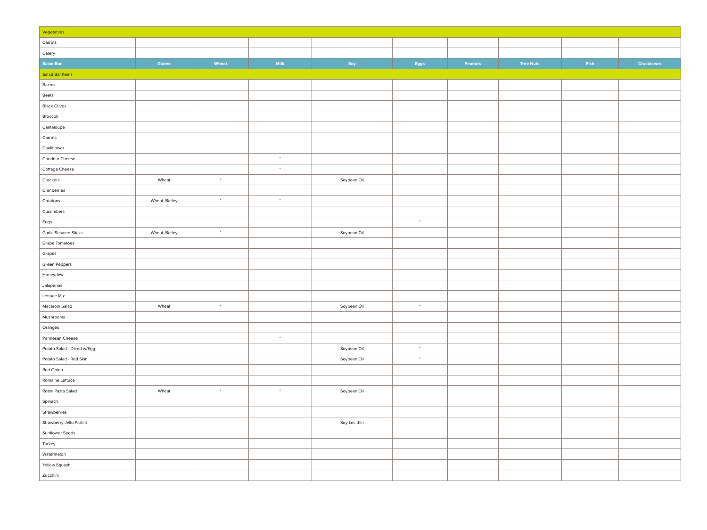| Vegetables                 |               |           |               |              |               |         |                  |      |            |
|----------------------------|---------------|-----------|---------------|--------------|---------------|---------|------------------|------|------------|
| Carrots                    |               |           |               |              |               |         |                  |      |            |
| Celery                     |               |           |               |              |               |         |                  |      |            |
| <b>Salad Bar</b>           | Gluten        | Wheat     | Milk          | Soy          | Eggs          | Peanuts | <b>Tree Nuts</b> | Fish | Crustacean |
| Salad Bar Items            |               |           |               |              |               |         |                  |      |            |
| Bacon                      |               |           |               |              |               |         |                  |      |            |
| Beets                      |               |           |               |              |               |         |                  |      |            |
| <b>Black Olives</b>        |               |           |               |              |               |         |                  |      |            |
| Broccoli                   |               |           |               |              |               |         |                  |      |            |
| Cantaloupe                 |               |           |               |              |               |         |                  |      |            |
| Carrots                    |               |           |               |              |               |         |                  |      |            |
| Cauliflower                |               |           |               |              |               |         |                  |      |            |
| Cheddar Cheese             |               |           | $\rightarrow$ |              |               |         |                  |      |            |
| Cottage Cheese             |               |           | $\sim$        |              |               |         |                  |      |            |
| Crackers                   | Wheat         | $\sim$    |               | Soybean Oil  |               |         |                  |      |            |
| Cranberries                |               |           |               |              |               |         |                  |      |            |
| Croutons                   | Wheat, Barley | $\cdot$   | $\;$          |              |               |         |                  |      |            |
| Cucumbers                  |               |           |               |              |               |         |                  |      |            |
| Eggs                       |               |           |               |              | $\star$       |         |                  |      |            |
| Garlic Sesame Sticks       | Wheat, Barley | $\bullet$ |               | Soybean Oil  |               |         |                  |      |            |
| Grape Tomatoes             |               |           |               |              |               |         |                  |      |            |
| Grapes                     |               |           |               |              |               |         |                  |      |            |
| Green Peppers              |               |           |               |              |               |         |                  |      |            |
| Honeydew                   |               |           |               |              |               |         |                  |      |            |
| Jalapenos                  |               |           |               |              |               |         |                  |      |            |
| Lettuce Mix                |               |           |               |              |               |         |                  |      |            |
| Macaroni Salad             | Wheat         | $\bullet$ |               | Soybean Oil  | $\rightarrow$ |         |                  |      |            |
| Mushrooms                  |               |           |               |              |               |         |                  |      |            |
| Oranges                    |               |           |               |              |               |         |                  |      |            |
| Parmesan Cheese            |               |           | $\rightarrow$ |              |               |         |                  |      |            |
| Potato Salad - Diced w/Egg |               |           |               | Soybean Oil  | $\rightarrow$ |         |                  |      |            |
| Potato Salad - Red Skin    |               |           |               | Soybean Oil  | $^\star$      |         |                  |      |            |
| Red Onion                  |               |           |               |              |               |         |                  |      |            |
| Romaine Lettuce            |               |           |               |              |               |         |                  |      |            |
| Rotini Pasta Salad         | Wheat         | $\cdot$   | $\bullet$     | Soybean Oil  |               |         |                  |      |            |
| Spinach                    |               |           |               |              |               |         |                  |      |            |
| Strawberries               |               |           |               |              |               |         |                  |      |            |
| Strawberry Jello Parfait   |               |           |               | Soy Lecithin |               |         |                  |      |            |
| Sunflower Seeds            |               |           |               |              |               |         |                  |      |            |
| Turkey                     |               |           |               |              |               |         |                  |      |            |
| Watermelon                 |               |           |               |              |               |         |                  |      |            |
| Yellow Squash              |               |           |               |              |               |         |                  |      |            |
| Zucchini                   |               |           |               |              |               |         |                  |      |            |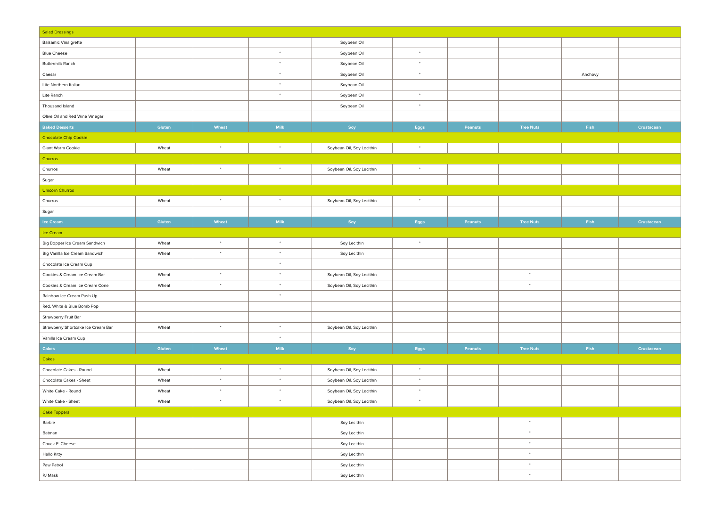| <b>Salad Dressings</b>             |        |           |             |                           |                    |         |                  |         |            |
|------------------------------------|--------|-----------|-------------|---------------------------|--------------------|---------|------------------|---------|------------|
| <b>Balsamic Vinaigrette</b>        |        |           |             | Soybean Oil               |                    |         |                  |         |            |
| <b>Blue Cheese</b>                 |        |           | $\star$     | Soybean Oil               | $\bullet$          |         |                  |         |            |
| Buttermilk Ranch                   |        |           | $\star$     | Soybean Oil               | $\bullet$          |         |                  |         |            |
| Caesar                             |        |           | $^\ast$     | Soybean Oil               | $\;$               |         |                  | Anchovy |            |
| Lite Northern Italian              |        |           | $\bullet$   | Soybean Oil               |                    |         |                  |         |            |
| Lite Ranch                         |        |           | $\bullet$   | Soybean Oil               | $\bullet$          |         |                  |         |            |
| Thousand Island                    |        |           |             | Soybean Oil               | $\bullet$          |         |                  |         |            |
| Olive Oil and Red Wine Vinegar     |        |           |             |                           |                    |         |                  |         |            |
| <b>Baked Desserts</b>              | Gluten | Wheat     | Milk        | Soy                       | Eggs               | Peanuts | <b>Tree Nuts</b> | Fish    | Crustacean |
| Chocolate Chip Cookie              |        |           |             |                           |                    |         |                  |         |            |
| Giant Warm Cookie                  | Wheat  | $\bullet$ | $^\star$    | Soybean Oil, Soy Lecithin | $\sim$             |         |                  |         |            |
| Churros                            |        |           |             |                           |                    |         |                  |         |            |
| Churros                            | Wheat  | $\bullet$ | $^\star$    | Soybean Oil, Soy Lecithin | $^\star$           |         |                  |         |            |
| Sugar                              |        |           |             |                           |                    |         |                  |         |            |
| <b>Unicorn Churros</b>             |        |           |             |                           |                    |         |                  |         |            |
| Churros                            | Wheat  | $\bullet$ | $\star$     | Soybean Oil, Soy Lecithin | $\sim$             |         |                  |         |            |
| Sugar                              |        |           |             |                           |                    |         |                  |         |            |
| <b>Ice Cream</b>                   | Gluten | Wheat     | Milk        | Soy                       | $_{\mathsf{Eggs}}$ | Peanuts | <b>Tree Nuts</b> | Fish    | Crustacean |
| Ice Cream                          |        |           |             |                           |                    |         |                  |         |            |
| Big Bopper Ice Cream Sandwich      | Wheat  | $\bullet$ | $\bullet$   | Soy Lecithin              | $\bullet$          |         |                  |         |            |
| Big Vanilla Ice Cream Sandwich     | Wheat  | $\bullet$ | $\bullet$   | Soy Lecithin              |                    |         |                  |         |            |
| Chocolate Ice Cream Cup            |        |           | $\bullet$   |                           |                    |         |                  |         |            |
| Cookies & Cream Ice Cream Bar      | Wheat  | $\bullet$ | $\bullet$   | Soybean Oil, Soy Lecithin |                    |         | $\bullet$        |         |            |
| Cookies & Cream Ice Cream Cone     | Wheat  | $\bullet$ | $^\star$    | Soybean Oil, Soy Lecithin |                    |         | $^\star$         |         |            |
| Rainbow Ice Cream Push Up          |        |           | $\star$     |                           |                    |         |                  |         |            |
| Red, White & Blue Bomb Pop         |        |           |             |                           |                    |         |                  |         |            |
| Strawberry Fruit Bar               |        |           |             |                           |                    |         |                  |         |            |
| Strawberry Shortcake Ice Cream Bar | Wheat  | $\bullet$ | $\ast$      | Soybean Oil, Soy Lecithin |                    |         |                  |         |            |
| Vanilla Ice Cream Cup              |        |           | $\star$     |                           |                    |         |                  |         |            |
| <b>Cakes</b>                       | Gluten | Wheat     | <b>Milk</b> | Soy                       | Eggs               | Peanuts | <b>Tree Nuts</b> | Fish    | Crustacean |
| Cakes                              |        |           |             |                           |                    |         |                  |         |            |
| Chocolate Cakes - Round            | Wheat  | $\bullet$ | $\bullet$   | Soybean Oil, Soy Lecithin | $\bullet$          |         |                  |         |            |
| Chocolate Cakes - Sheet            | Wheat  | $\bullet$ | $\bullet$   | Soybean Oil, Soy Lecithin | $\bullet$          |         |                  |         |            |
| White Cake - Round                 | Wheat  | $\bullet$ | $\bullet$   | Soybean Oil, Soy Lecithin | $\bullet$          |         |                  |         |            |
| White Cake - Sheet                 | Wheat  | $\bullet$ | $^\star$    | Soybean Oil, Soy Lecithin | $\bullet$          |         |                  |         |            |
| <b>Cake Toppers</b>                |        |           |             |                           |                    |         |                  |         |            |
| Barbie                             |        |           |             | Soy Lecithin              |                    |         | $\bullet$        |         |            |
| Batman                             |        |           |             | Soy Lecithin              |                    |         | $\bullet$        |         |            |
| Chuck E. Cheese                    |        |           |             | Soy Lecithin              |                    |         | $\star$          |         |            |
| <b>Hello Kitty</b>                 |        |           |             | Soy Lecithin              |                    |         | $\star$          |         |            |
| Paw Patrol                         |        |           |             | Soy Lecithin              |                    |         | $\star$          |         |            |
| PJ Mask                            |        |           |             | Soy Lecithin              |                    |         | $\bullet$        |         |            |